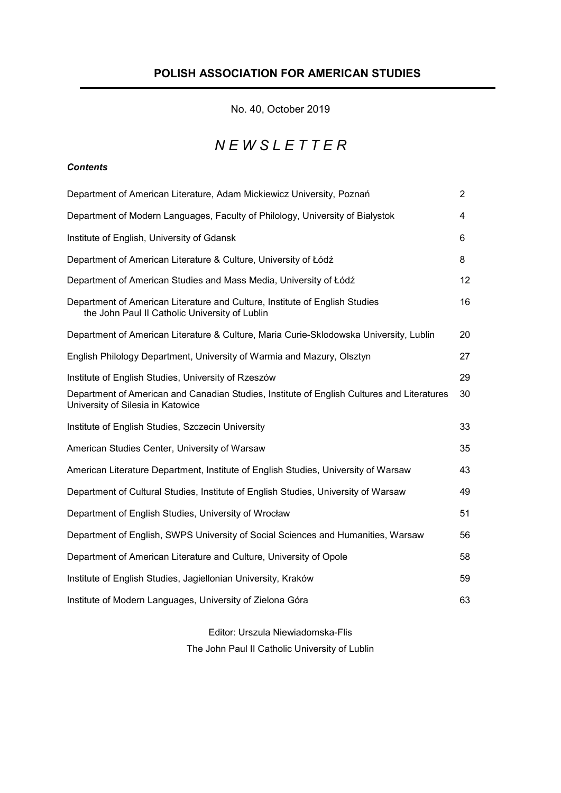# POLISH ASSOCIATION FOR AMERICAN STUDIES

No. 40, October 2019

# *N E W S L E T T E R*

# *Contents*

| Department of American Literature, Adam Mickiewicz University, Poznań                                                           | $\overline{2}$ |
|---------------------------------------------------------------------------------------------------------------------------------|----------------|
| Department of Modern Languages, Faculty of Philology, University of Białystok                                                   | 4              |
| Institute of English, University of Gdansk                                                                                      | 6              |
| Department of American Literature & Culture, University of Łódź                                                                 | 8              |
| Department of American Studies and Mass Media, University of Łódź                                                               | 12             |
| Department of American Literature and Culture, Institute of English Studies<br>the John Paul II Catholic University of Lublin   | 16             |
| Department of American Literature & Culture, Maria Curie-Sklodowska University, Lublin                                          | 20             |
| English Philology Department, University of Warmia and Mazury, Olsztyn                                                          | 27             |
| Institute of English Studies, University of Rzeszów                                                                             | 29             |
| Department of American and Canadian Studies, Institute of English Cultures and Literatures<br>University of Silesia in Katowice | 30             |
| Institute of English Studies, Szczecin University                                                                               | 33             |
| American Studies Center, University of Warsaw                                                                                   | 35             |
| American Literature Department, Institute of English Studies, University of Warsaw                                              | 43             |
| Department of Cultural Studies, Institute of English Studies, University of Warsaw                                              | 49             |
| Department of English Studies, University of Wrocław                                                                            | 51             |
| Department of English, SWPS University of Social Sciences and Humanities, Warsaw                                                | 56             |
| Department of American Literature and Culture, University of Opole                                                              | 58             |
| Institute of English Studies, Jagiellonian University, Kraków                                                                   | 59             |
| Institute of Modern Languages, University of Zielona Góra                                                                       | 63             |

# Editor: Urszula Niewiadomska-Flis

The John Paul II Catholic University of Lublin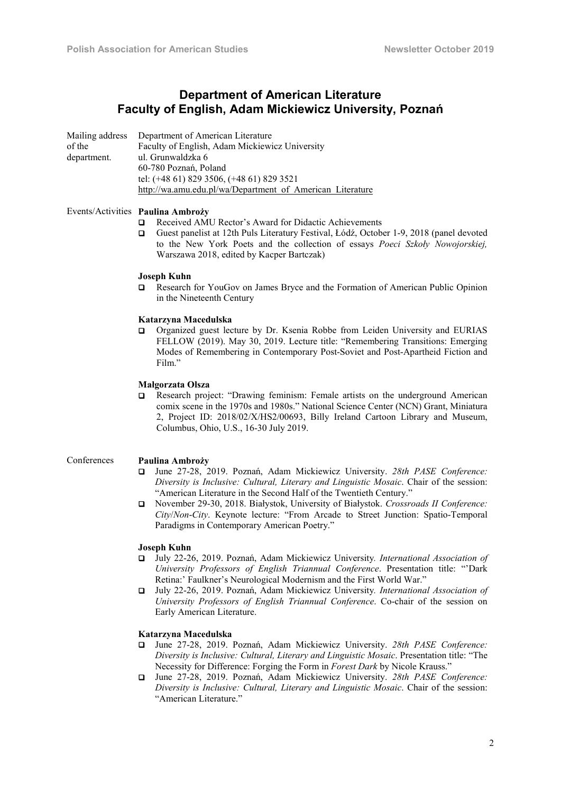# Department of American Literature Faculty of English, Adam Mickiewicz University, Poznań

|             | Mailing address Department of American Literature         |
|-------------|-----------------------------------------------------------|
| of the      | Faculty of English, Adam Mickiewicz University            |
| department. | ul. Grunwaldzka 6                                         |
|             | 60-780 Poznań, Poland                                     |
|             | tel: (+48 61) 829 3506, (+48 61) 829 3521                 |
|             | http://wa.amu.edu.pl/wa/Department of American Literature |

# Events/Activities Paulina Ambroży

- Received AMU Rector's Award for Didactic Achievements
- Guest panelist at 12th Puls Literatury Festival, Łódź, October 1-9, 2018 (panel devoted to the New York Poets and the collection of essays *Poeci Szkoły Nowojorskiej,*  Warszawa 2018, edited by Kacper Bartczak)

#### Joseph Kuhn

 Research for YouGov on James Bryce and the Formation of American Public Opinion in the Nineteenth Century

#### Katarzyna Macedulska

 Organized guest lecture by Dr. Ksenia Robbe from Leiden University and EURIAS FELLOW (2019). May 30, 2019. Lecture title: "Remembering Transitions: Emerging Modes of Remembering in Contemporary Post-Soviet and Post-Apartheid Fiction and Film."

#### Małgorzata Olsza

 Research project: "Drawing feminism: Female artists on the underground American comix scene in the 1970s and 1980s." National Science Center (NCN) Grant, Miniatura 2, Project ID: 2018/02/X/HS2/00693, Billy Ireland Cartoon Library and Museum, Columbus, Ohio, U.S., 16-30 July 2019.

# Conferences Paulina Ambroży

- June 27-28, 2019. Poznań, Adam Mickiewicz University. *28th PASE Conference: Diversity is Inclusive: Cultural, Literary and Linguistic Mosaic*. Chair of the session: "American Literature in the Second Half of the Twentieth Century."
- November 29-30, 2018. Białystok, University of Białystok. *Crossroads II Conference: City*/*Non*-*City*. Keynote lecture: "From Arcade to Street Junction: Spatio-Temporal Paradigms in Contemporary American Poetry."

#### Joseph Kuhn

- July 22-26, 2019. Poznań, Adam Mickiewicz University*. International Association of University Professors of English Triannual Conference*. Presentation title: "'Dark Retina:' Faulkner's Neurological Modernism and the First World War."
- July 22-26, 2019. Poznań, Adam Mickiewicz University*. International Association of University Professors of English Triannual Conference*. Co-chair of the session on Early American Literature.

#### Katarzyna Macedulska

- June 27-28, 2019. Poznań, Adam Mickiewicz University. *28th PASE Conference: Diversity is Inclusive: Cultural, Literary and Linguistic Mosaic*. Presentation title: "The Necessity for Difference: Forging the Form in *Forest Dark* by Nicole Krauss."
- June 27-28, 2019. Poznań, Adam Mickiewicz University. *28th PASE Conference: Diversity is Inclusive: Cultural, Literary and Linguistic Mosaic*. Chair of the session: "American Literature."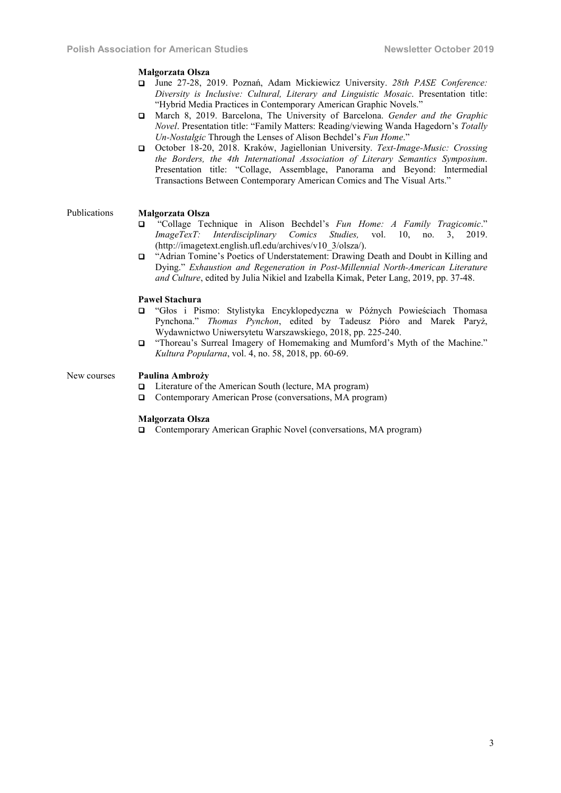#### Małgorzata Olsza

- June 27-28, 2019. Poznań, Adam Mickiewicz University. *28th PASE Conference: Diversity is Inclusive: Cultural, Literary and Linguistic Mosaic*. Presentation title: "Hybrid Media Practices in Contemporary American Graphic Novels."
- March 8, 2019. Barcelona, The University of Barcelona. *Gender and the Graphic Novel*. Presentation title: "Family Matters: Reading/viewing Wanda Hagedorn's *Totally Un-Nostalgic* Through the Lenses of Alison Bechdel's *Fun Home*."
- October 18-20, 2018. Kraków, Jagiellonian University. *Text-Image-Music: Crossing the Borders, the 4th International Association of Literary Semantics Symposium*. Presentation title: "Collage, Assemblage, Panorama and Beyond: Intermedial Transactions Between Contemporary American Comics and The Visual Arts."

# Publications Małgorzata Olsza

- "Collage Technique in Alison Bechdel's *Fun Home: A Family Tragicomic*." *ImageTexT: Interdisciplinary Comics Studies,* vol. 10, no. 3, 2019. (http://imagetext.english.ufl.edu/archives/v10\_3/olsza/).
- "Adrian Tomine's Poetics of Understatement: Drawing Death and Doubt in Killing and Dying." *Exhaustion and Regeneration in Post-Millennial North-American Literature and Culture*, edited by Julia Nikiel and Izabella Kimak, Peter Lang, 2019, pp. 37-48.

# Paweł Stachura

- "Głos i Pismo: Stylistyka Encyklopedyczna w Późnych Powieściach Thomasa Pynchona." *Thomas Pynchon*, edited by Tadeusz Pióro and Marek Paryż, Wydawnictwo Uniwersytetu Warszawskiego, 2018, pp. 225-240.
- "Thoreau's Surreal Imagery of Homemaking and Mumford's Myth of the Machine." *Kultura Popularna*, vol. 4, no. 58, 2018, pp. 60-69.

# New courses Paulina Ambroży

- □ Literature of the American South (lecture, MA program)
- □ Contemporary American Prose (conversations, MA program)

#### Małgorzata Olsza

□ Contemporary American Graphic Novel (conversations, MA program)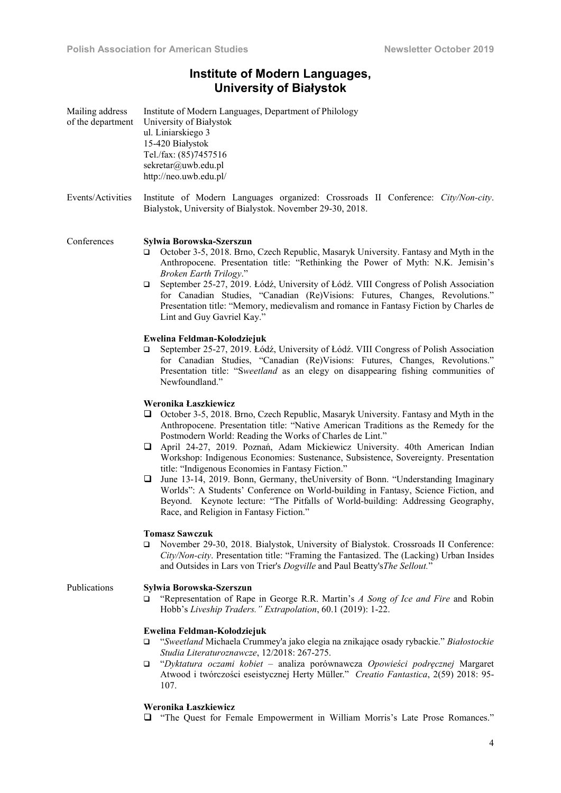# Institute of Modern Languages, University of Białystok

| Mailing address<br>of the department | Institute of Modern Languages, Department of Philology<br>University of Białystok<br>ul. Liniarskiego 3<br>15-420 Białystok<br>Tel./fax: (85)7457516<br>sekretar@uwb.edu.pl<br>http://neo.uwb.edu.pl/                                                                                                                                                                                                                                                                                                                                                                                                                                                                                                                                                                                                              |
|--------------------------------------|--------------------------------------------------------------------------------------------------------------------------------------------------------------------------------------------------------------------------------------------------------------------------------------------------------------------------------------------------------------------------------------------------------------------------------------------------------------------------------------------------------------------------------------------------------------------------------------------------------------------------------------------------------------------------------------------------------------------------------------------------------------------------------------------------------------------|
| Events/Activities                    | Institute of Modern Languages organized: Crossroads II Conference: City/Non-city.<br>Bialystok, University of Bialystok. November 29-30, 2018.                                                                                                                                                                                                                                                                                                                                                                                                                                                                                                                                                                                                                                                                     |
| Conferences                          | Sylwia Borowska-Szerszun<br>October 3-5, 2018. Brno, Czech Republic, Masaryk University. Fantasy and Myth in the<br>❏<br>Anthropocene. Presentation title: "Rethinking the Power of Myth: N.K. Jemisin's<br>Broken Earth Trilogy."<br>September 25-27, 2019. Łódź, University of Łódź. VIII Congress of Polish Association<br>$\Box$<br>for Canadian Studies, "Canadian (Re)Visions: Futures, Changes, Revolutions."<br>Presentation title: "Memory, medievalism and romance in Fantasy Fiction by Charles de<br>Lint and Guy Gavriel Kay."                                                                                                                                                                                                                                                                        |
|                                      | Ewelina Feldman-Kołodziejuk<br>September 25-27, 2019. Łódź, University of Łódź. VIII Congress of Polish Association<br>▫<br>for Canadian Studies, "Canadian (Re)Visions: Futures, Changes, Revolutions."<br>Presentation title: "Sweetland as an elegy on disappearing fishing communities of<br>Newfoundland."                                                                                                                                                                                                                                                                                                                                                                                                                                                                                                    |
|                                      | Weronika Łaszkiewicz<br>October 3-5, 2018. Brno, Czech Republic, Masaryk University. Fantasy and Myth in the<br>u<br>Anthropocene. Presentation title: "Native American Traditions as the Remedy for the<br>Postmodern World: Reading the Works of Charles de Lint."<br>April 24-27, 2019. Poznań, Adam Mickiewicz University. 40th American Indian<br>u.<br>Workshop: Indigenous Economies: Sustenance, Subsistence, Sovereignty. Presentation<br>title: "Indigenous Economies in Fantasy Fiction."<br>June 13-14, 2019. Bonn, Germany, the University of Bonn. "Understanding Imaginary<br>❏<br>Worlds": A Students' Conference on World-building in Fantasy, Science Fiction, and<br>Beyond. Keynote lecture: "The Pitfalls of World-building: Addressing Geography,<br>Race, and Religion in Fantasy Fiction." |
|                                      | <b>Tomasz Sawczuk</b><br>November 29-30, 2018. Bialystok, University of Bialystok. Crossroads II Conference:<br>□<br>City/Non-city. Presentation title: "Framing the Fantasized. The (Lacking) Urban Insides<br>and Outsides in Lars von Trier's Dogville and Paul Beatty's The Sellout."                                                                                                                                                                                                                                                                                                                                                                                                                                                                                                                          |
| Publications                         | Sylwia Borowska-Szerszun<br>"Representation of Rape in George R.R. Martin's A Song of Ice and Fire and Robin<br>□<br>Hobb's Liveship Traders." Extrapolation, 60.1 (2019): 1-22.                                                                                                                                                                                                                                                                                                                                                                                                                                                                                                                                                                                                                                   |
|                                      | Ewelina Feldman-Kołodziejuk<br>"Sweetland Michaela Crummey'a jako elegia na znikające osady rybackie." Białostockie<br>□<br>Studia Literaturoznawcze, 12/2018: 267-275.<br>"Dyktatura oczami kobiet - analiza porównawcza Opowieści podręcznej Margaret<br>$\Box$<br>Atwood i twórczości eseistycznej Herty Müller." Creatio Fantastica, 2(59) 2018: 95-<br>107.                                                                                                                                                                                                                                                                                                                                                                                                                                                   |
|                                      | Weronika Łaszkiewicz                                                                                                                                                                                                                                                                                                                                                                                                                                                                                                                                                                                                                                                                                                                                                                                               |

"The Quest for Female Empowerment in William Morris's Late Prose Romances."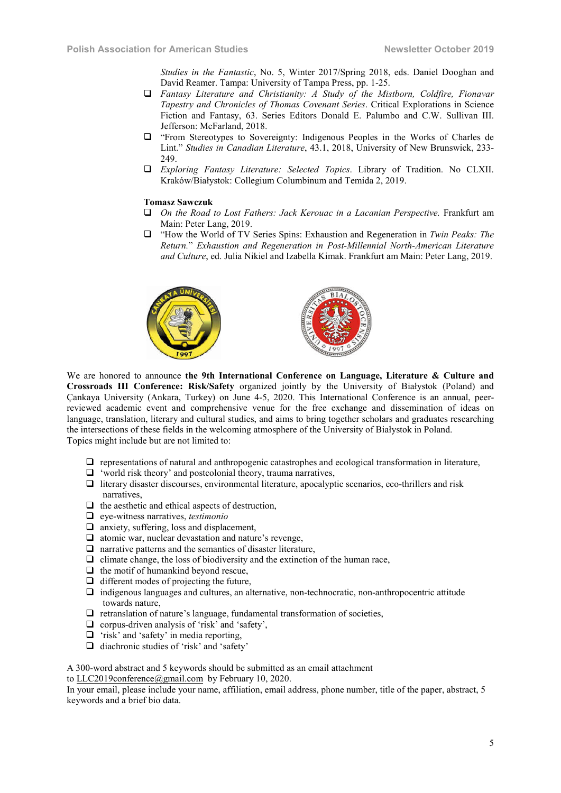*Studies in the Fantastic*, No. 5, Winter 2017/Spring 2018, eds. Daniel Dooghan and David Reamer. Tampa: University of Tampa Press, pp. 1-25.

- *Fantasy Literature and Christianity: A Study of the Mistborn, Coldfire, Fionavar Tapestry and Chronicles of Thomas Covenant Series*. Critical Explorations in Science Fiction and Fantasy, 63. Series Editors Donald E. Palumbo and C.W. Sullivan III. Jefferson: McFarland, 2018.
- "From Stereotypes to Sovereignty: Indigenous Peoples in the Works of Charles de Lint." *Studies in Canadian Literature*, 43.1, 2018, University of New Brunswick, 233- 249.
- *Exploring Fantasy Literature: Selected Topics*. Library of Tradition. No CLXII. Kraków/Białystok: Collegium Columbinum and Temida 2, 2019.

# Tomasz Sawczuk

- *On the Road to Lost Fathers: Jack Kerouac in a Lacanian Perspective.* Frankfurt am Main: Peter Lang, 2019.
- "How the World of TV Series Spins: Exhaustion and Regeneration in *Twin Peaks: The Return.*" *Exhaustion and Regeneration in Post-Millennial North-American Literature and Culture*, ed. Julia Nikiel and Izabella Kimak. Frankfurt am Main: Peter Lang, 2019.



We are honored to announce the 9th International Conference on Language, Literature & Culture and Crossroads III Conference: Risk/Safety organized jointly by the University of Białystok (Poland) and Çankaya University (Ankara, Turkey) on June 4-5, 2020. This International Conference is an annual, peerreviewed academic event and comprehensive venue for the free exchange and dissemination of ideas on language, translation, literary and cultural studies, and aims to bring together scholars and graduates researching the intersections of these fields in the welcoming atmosphere of the University of Białystok in Poland. Topics might include but are not limited to:

- $\Box$  representations of natural and anthropogenic catastrophes and ecological transformation in literature,
- $\Box$  'world risk theory' and postcolonial theory, trauma narratives,
- $\Box$  literary disaster discourses, environmental literature, apocalyptic scenarios, eco-thrillers and risk narratives,
- $\Box$  the aesthetic and ethical aspects of destruction,
- eye-witness narratives, *testimonio*
- $\Box$  anxiety, suffering, loss and displacement,
- $\Box$  atomic war, nuclear devastation and nature's revenge,
- $\Box$  narrative patterns and the semantics of disaster literature,
- $\Box$  climate change, the loss of biodiversity and the extinction of the human race,
- $\Box$  the motif of humankind beyond rescue,
- $\Box$  different modes of projecting the future,
- $\Box$  indigenous languages and cultures, an alternative, non-technocratic, non-anthropocentric attitude towards nature,
- $\Box$  retranslation of nature's language, fundamental transformation of societies,
- $\Box$  corpus-driven analysis of 'risk' and 'safety',
- $\Box$  'risk' and 'safety' in media reporting,
- $\Box$  diachronic studies of 'risk' and 'safety'

A 300-word abstract and 5 keywords should be submitted as an email attachment

to LLC2019conference@gmail.com by February 10, 2020.

In your email, please include your name, affiliation, email address, phone number, title of the paper, abstract, 5 keywords and a brief bio data.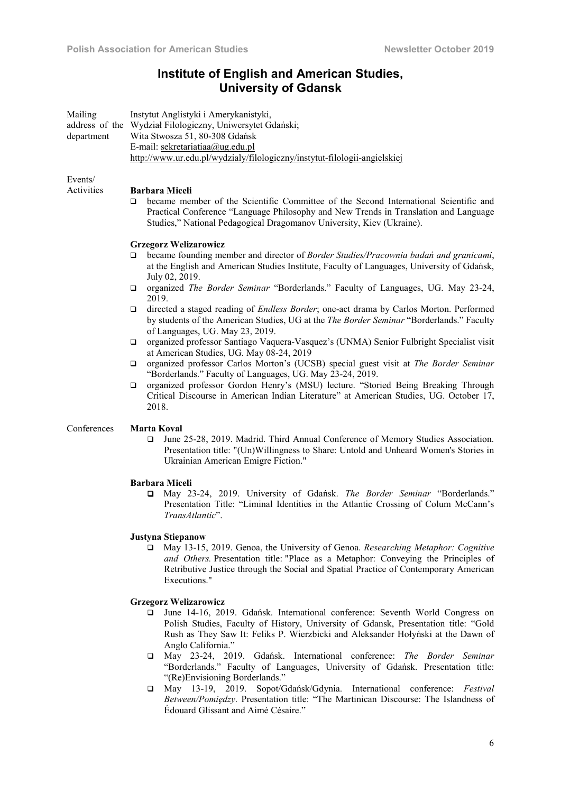# Institute of English and American Studies, University of Gdansk

| Mailing<br>department | Instytut Anglistyki i Amerykanistyki,<br>address of the Wydział Filologiczny, Uniwersytet Gdański;<br>Wita Stwosza 51, 80-308 Gdańsk<br>E-mail: sekretariatiaa@ug.edu.pl<br>http://www.ur.edu.pl/wydzialy/filologiczny/instytut-filologii-angielskiej |
|-----------------------|-------------------------------------------------------------------------------------------------------------------------------------------------------------------------------------------------------------------------------------------------------|
| Events/               |                                                                                                                                                                                                                                                       |

# Activities Barbara Miceli

 became member of the Scientific Committee of the Second International Scientific and Practical Conference "Language Philosophy and New Trends in Translation and Language Studies," National Pedagogical Dragomanov University, Kiev (Ukraine).

# Grzegorz Welizarowicz

- became founding member and director of *Border Studies/Pracownia badań and granicami*, at the English and American Studies Institute, Faculty of Languages, University of Gdańsk, July 02, 2019.
- organized *The Border Seminar* "Borderlands." Faculty of Languages, UG. May 23-24, 2019.
- directed a staged reading of *Endless Border*; one-act drama by Carlos Morton. Performed by students of the American Studies, UG at the *The Border Seminar* "Borderlands." Faculty of Languages, UG. May 23, 2019.
- organized professor Santiago Vaquera-Vasquez's (UNMA) Senior Fulbright Specialist visit at American Studies, UG. May 08-24, 2019
- organized professor Carlos Morton's (UCSB) special guest visit at *The Border Seminar*  "Borderlands." Faculty of Languages, UG. May 23-24, 2019.
- organized professor Gordon Henry's (MSU) lecture. "Storied Being Breaking Through Critical Discourse in American Indian Literature" at American Studies, UG. October 17, 2018.

# Conferences Marta Koval

 June 25-28, 2019. Madrid. Third Annual Conference of Memory Studies Association. Presentation title: "(Un)Willingness to Share: Untold and Unheard Women's Stories in Ukrainian American Emigre Fiction."

# Barbara Miceli

 May 23-24, 2019. University of Gdańsk. *The Border Seminar* "Borderlands." Presentation Title: "Liminal Identities in the Atlantic Crossing of Colum McCann's *TransAtlantic*".

# Justyna Stiepanow

 May 13-15, 2019. Genoa, the University of Genoa. *Researching Metaphor: Cognitive and Others.* Presentation title: "Place as a Metaphor: Conveying the Principles of Retributive Justice through the Social and Spatial Practice of Contemporary American Executions."

# Grzegorz Welizarowicz

- June 14-16, 2019. Gdańsk. International conference: Seventh World Congress on Polish Studies, Faculty of History, University of Gdansk, Presentation title: "Gold Rush as They Saw It: Feliks P. Wierzbicki and Aleksander Hołyński at the Dawn of Anglo California."
- May 23-24, 2019. Gdańsk. International conference: *The Border Seminar*  "Borderlands." Faculty of Languages, University of Gdańsk. Presentation title: "(Re)Envisioning Borderlands."
- May 13-19, 2019. Sopot/Gdańsk/Gdynia. International conference: *Festival Between/Pomiędzy*. Presentation title: "The Martinican Discourse: The Islandness of Édouard Glissant and Aimé Césaire."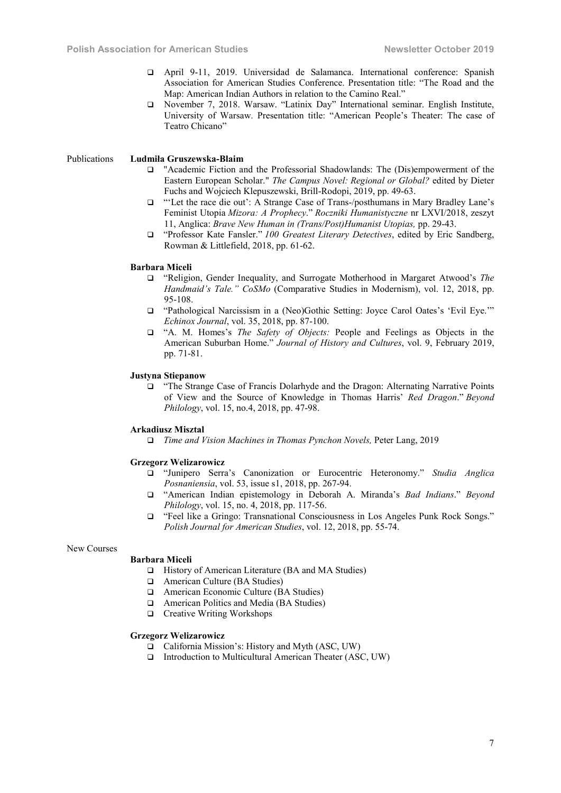- April 9-11, 2019. Universidad de Salamanca. International conference: Spanish Association for American Studies Conference. Presentation title: "The Road and the Map: American Indian Authors in relation to the Camino Real."
- November 7, 2018. Warsaw. "Latinix Day" International seminar. English Institute, University of Warsaw. Presentation title: "American People's Theater: The case of Teatro Chicano"

# Publications Ludmiła Gruszewska-Blaim

- "Academic Fiction and the Professorial Shadowlands: The (Dis)empowerment of the Eastern European Scholar." *The Campus Novel: Regional or Global?* edited by Dieter Fuchs and Wojciech Klepuszewski, Brill-Rodopi, 2019, pp. 49-63.
- "'Let the race die out': A Strange Case of Trans-/posthumans in Mary Bradley Lane's Feminist Utopia *Mizora: A Prophecy*." *Roczniki Humanistyczne* nr LXVI/2018, zeszyt 11, Anglica: *Brave New Human in (Trans/Post)Humanist Utopias,* pp. 29-43.
- "Professor Kate Fansler." *100 Greatest Literary Detectives*, edited by Eric Sandberg, Rowman & Littlefield, 2018, pp. 61-62.

#### Barbara Miceli

- "Religion, Gender Inequality, and Surrogate Motherhood in Margaret Atwood's *The Handmaid's Tale." CoSMo* (Comparative Studies in Modernism), vol. 12, 2018, pp. 95-108.
- "Pathological Narcissism in a (Neo)Gothic Setting: Joyce Carol Oates's 'Evil Eye.'" *Echinox Journal*, vol. 35, 2018, pp. 87-100.
- "A. M. Homes's *The Safety of Objects:* People and Feelings as Objects in the American Suburban Home." *Journal of History and Cultures*, vol. 9, February 2019, pp. 71-81.

# Justyna Stiepanow

 "The Strange Case of Francis Dolarhyde and the Dragon: Alternating Narrative Points of View and the Source of Knowledge in Thomas Harris' *Red Dragon*." *Beyond Philology*, vol. 15, no.4, 2018, pp. 47-98.

#### Arkadiusz Misztal

*Time and Vision Machines in Thomas Pynchon Novels,* Peter Lang, 2019

#### Grzegorz Welizarowicz

- "Junipero Serra's Canonization or Eurocentric Heteronomy." *Studia Anglica Posnaniensia*, vol. 53, issue s1, 2018, pp. 267-94.
- "American Indian epistemology in Deborah A. Miranda's *Bad Indians*." *Beyond Philology*, vol. 15, no. 4, 2018, pp. 117-56.
- "Feel like a Gringo: Transnational Consciousness in Los Angeles Punk Rock Songs." *Polish Journal for American Studies*, vol. 12, 2018, pp. 55-74.

#### New Courses

#### Barbara Miceli

- □ History of American Literature (BA and MA Studies)
- □ American Culture (BA Studies)
- American Economic Culture (BA Studies)
- American Politics and Media (BA Studies)
- □ Creative Writing Workshops

#### Grzegorz Welizarowicz

- □ California Mission's: History and Myth (ASC, UW)
- $\Box$  Introduction to Multicultural American Theater (ASC, UW)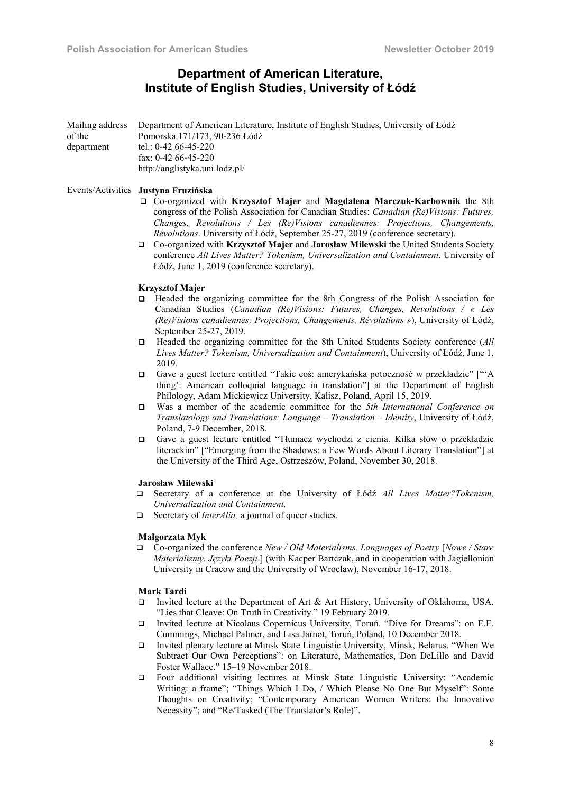# Department of American Literature, Institute of English Studies, University of Łódź

|            | Mailing address Department of American Literature, Institute of English Studies, University of Łódź |
|------------|-----------------------------------------------------------------------------------------------------|
| of the     | Pomorska 171/173, 90-236 Łódź                                                                       |
| department | tel.: 0-42 66-45-220                                                                                |
|            | fax: $0-42$ 66-45-220                                                                               |
|            | http://anglistyka.uni.lodz.pl/                                                                      |

#### Events/Activities Justyna Fruzińska

- Co-organized with Krzysztof Majer and Magdalena Marczuk-Karbownik the 8th congress of the Polish Association for Canadian Studies: *Canadian (Re)Visions: Futures, Changes, Revolutions / Les (Re)Visions canadiennes: Projections, Changements, Révolutions*. University of Łódź, September 25-27, 2019 (conference secretary).
- Co-organized with Krzysztof Majer and Jarosław Milewski the United Students Society conference *All Lives Matter? Tokenism, Universalization and Containment*. University of Łódź, June 1, 2019 (conference secretary).

#### Krzysztof Majer

- Headed the organizing committee for the 8th Congress of the Polish Association for Canadian Studies (*Canadian (Re)Visions: Futures, Changes, Revolutions / « Les (Re)Visions canadiennes: Projections, Changements, Révolutions »*), University of Łódź, September 25-27, 2019.
- Headed the organizing committee for the 8th United Students Society conference (*All Lives Matter? Tokenism, Universalization and Containment*), University of Łódź, June 1, 2019.
- Gave a guest lecture entitled "Takie coś: amerykańska potoczność w przekładzie" ["'A thing': American colloquial language in translation"] at the Department of English Philology, Adam Mickiewicz University, Kalisz, Poland, April 15, 2019.
- Was a member of the academic committee for the *5th International Conference on Translatology and Translations: Language – Translation – Identity*, University of Łódź, Poland, 7-9 December, 2018.
- Gave a guest lecture entitled "Tłumacz wychodzi z cienia. Kilka słów o przekładzie literackim" ["Emerging from the Shadows: a Few Words About Literary Translation"] at the University of the Third Age, Ostrzeszów, Poland, November 30, 2018.

#### Jarosław Milewski

- Secretary of a conference at the University of Łódź *All Lives Matter?Tokenism, Universalization and Containment.*
- □ Secretary of *InterAlia*, a journal of queer studies.

#### Małgorzata Myk

 Co-organized the conference *New / Old Materialisms. Languages of Poetry* [*Nowe / Stare Materializmy. Języki Poezji*.] (with Kacper Bartczak, and in cooperation with Jagiellonian University in Cracow and the University of Wroclaw), November 16-17, 2018.

# Mark Tardi

- Invited lecture at the Department of Art & Art History, University of Oklahoma, USA. "Lies that Cleave: On Truth in Creativity." 19 February 2019.
- Invited lecture at Nicolaus Copernicus University, Toruń. "Dive for Dreams": on E.E. Cummings, Michael Palmer, and Lisa Jarnot, Toruń, Poland, 10 December 2018.
- Invited plenary lecture at Minsk State Linguistic University, Minsk, Belarus. "When We Subtract Our Own Perceptions": on Literature, Mathematics, Don DeLillo and David Foster Wallace." 15–19 November 2018.
- Four additional visiting lectures at Minsk State Linguistic University: "Academic Writing: a frame"; "Things Which I Do, / Which Please No One But Myself": Some Thoughts on Creativity; "Contemporary American Women Writers: the Innovative Necessity"; and "Re/Tasked (The Translator's Role)".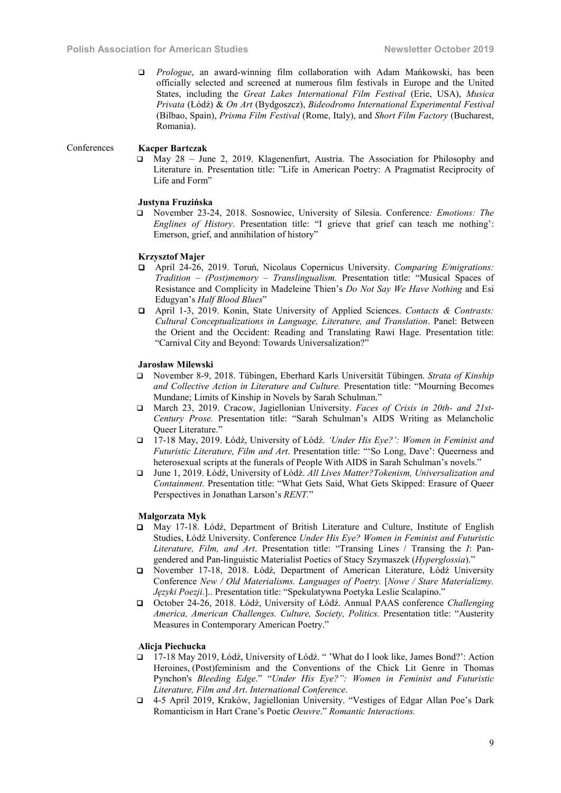*Prologue*, an award-winning film collaboration with Adam Mańkowski, has been officially selected and screened at numerous film festivals in Europe and the United States, including the *Great Lakes International Film Festival* (Erie, USA), *Musica Privata* (Łódź) & *On Art* (Bydgoszcz), *Bideodromo International Experimental Festival* (Bilbao, Spain), *Prisma Film Festival* (Rome, Italy), and *Short Film Factory* (Bucharest, Romania).

#### Conferences Kacper Bartczak

 May 28 – June 2, 2019. Klagenenfurt, Austria. The Association for Philosophy and Literature in. Presentation title: "Life in American Poetry: A Pragmatist Reciprocity of Life and Form"

# Justyna Fruzińska

 November 23-24, 2018. Sosnowiec, University of Silesia. Conference*: Emotions: The Englines of History*. Presentation title: "I grieve that grief can teach me nothing': Emerson, grief, and annihilation of history"

#### Krzysztof Majer

- April 24-26, 2019. Toruń, Nicolaus Copernicus University. *Comparing E/migrations: Tradition – (Post)memory – Translingualism.* Presentation title: "Musical Spaces of Resistance and Complicity in Madeleine Thien's *Do Not Say We Have Nothing* and Esi Edugyan's *Half Blood Blues*"
- April 1-3, 2019. Konin, State University of Applied Sciences. *Contacts & Contrasts: Cultural Conceptualizations in Language, Literature, and Translation*. Panel: Between the Orient and the Occident: Reading and Translating Rawi Hage. Presentation title: "Carnival City and Beyond: Towards Universalization?"

### Jarosław Milewski

- November 8-9, 2018. Tübingen, Eberhard Karls Universität Tübingen. *Strata of Kinship and Collective Action in Literature and Culture.* Presentation title: "Mourning Becomes Mundane; Limits of Kinship in Novels by Sarah Schulman."
- March 23, 2019. Cracow, Jagiellonian University. *Faces of Crisis in 20th- and 21st-Century Prose.* Presentation title: "Sarah Schulman's AIDS Writing as Melancholic Queer Literature."
- 17-18 May, 2019. Łódź, University of Łódź. *'Under His Eye?': Women in Feminist and Futuristic Literature, Film and Art*. Presentation title: "'So Long, Dave': Queerness and heterosexual scripts at the funerals of People With AIDS in Sarah Schulman's novels."
- June 1, 2019. Łódź, University of Łódź. *All Lives Matter?Tokenism, Universalization and Containment.* Presentation title: "What Gets Said, What Gets Skipped: Erasure of Queer Perspectives in Jonathan Larson's *RENT.*"

#### Małgorzata Myk

- May 17-18. Łódź, Department of British Literature and Culture, Institute of English Studies, Łódź University. Conference *Under His Eye? Women in Feminist and Futuristic Literature, Film, and Art*. Presentation title: "Transing Lines / Transing the *I*: Pangendered and Pan-linguistic Materialist Poetics of Stacy Szymaszek (*Hyperglossia*)."
- November 17-18, 2018. Łódź, Department of American Literature, Łódź University Conference *New / Old Materialisms. Languages of Poetry.* [*Nowe / Stare Materializmy. Języki Poezji*.].. Presentation title: "Spekulatywna Poetyka Leslie Scalapino."
- October 24-26, 2018. Łódź, University of Łódź. Annual PAAS conference *Challenging America, American Challenges. Culture, Society, Politics.* Presentation title: "Austerity Measures in Contemporary American Poetry."

#### Alicja Piechucka

- 17-18 May 2019, Łódź, University of Łódź. " 'What do I look like, James Bond?': Action Heroines, (Post)feminism and the Conventions of the Chick Lit Genre in Thomas Pynchon's *Bleeding Edge*." "*Under His Eye?": Women in Feminist and Futuristic Literature, Film and Art*. *International Conference*.
- 4-5 April 2019, Kraków, Jagiellonian University. "Vestiges of Edgar Allan Poe's Dark Romanticism in Hart Crane's Poetic *Oeuvre*." *Romantic Interactions.*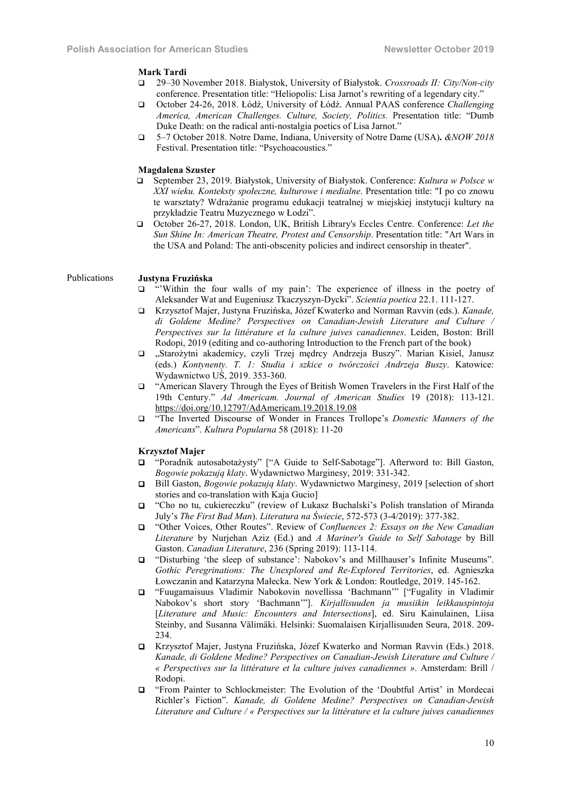#### Mark Tardi

- 29–30 November 2018. Białystok, University of Białystok. *Crossroads II: City/Non-city* conference. Presentation title: "Heliopolis: Lisa Jarnot's rewriting of a legendary city."
- October 24-26, 2018. Łódź, University of Łódź. Annual PAAS conference *Challenging America, American Challenges. Culture, Society, Politics.* Presentation title: "Dumb Duke Death: on the radical anti-nostalgia poetics of Lisa Jarnot."
- 5–7 October 2018. Notre Dame, Indiana, University of Notre Dame (USA). *&NOW 2018*  Festival. Presentation title: "Psychoacoustics."

#### Magdalena Szuster

- September 23, 2019. Białystok, University of Białystok. Conference: *Kultura w Polsce w XXI wieku. Konteksty społeczne, kulturowe i medialne*. Presentation title: "I po co znowu te warsztaty? Wdrażanie programu edukacji teatralnej w miejskiej instytucji kultury na przykładzie Teatru Muzycznego w Łodzi".
- October 26-27, 2018. London, UK, British Library's Eccles Centre. Conference: *Let the Sun Shine In: American Theatre, Protest and Censorship*. Presentation title: "Art Wars in the USA and Poland: The anti-obscenity policies and indirect censorship in theater".

#### Publications Justyna Fruzińska

- "'Within the four walls of my pain': The experience of illness in the poetry of Aleksander Wat and Eugeniusz Tkaczyszyn-Dycki". *Scientia poetica* 22.1. 111-127.
- Krzysztof Majer, Justyna Fruzińska, Józef Kwaterko and Norman Ravvin (eds.). *Kanade, di Goldene Medine? Perspectives on Canadian-Jewish Literature and Culture / Perspectives sur la littérature et la culture juives canadiennes*. Leiden, Boston: Brill Rodopi, 2019 (editing and co-authoring Introduction to the French part of the book)
- "Starożytni akademicy, czyli Trzej mędrcy Andrzeja Buszy". Marian Kisiel, Janusz (eds.) *Kontynenty. T. 1: Studia i szkice o twórczości Andrzeja Buszy*. Katowice: Wydawnictwo UŚ, 2019. 353-360.
- "American Slavery Through the Eyes of British Women Travelers in the First Half of the 19th Century." *Ad Americam. Journal of American Studies* 19 (2018): 113-121. https://doi.org/10.12797/AdAmericam.19.2018.19.08
- "The Inverted Discourse of Wonder in Frances Trollope's *Domestic Manners of the Americans*". *Kultura Popularna* 58 (2018): 11-20

### Krzysztof Majer

- "Poradnik autosabotażysty" ["A Guide to Self-Sabotage"]. Afterword to: Bill Gaston, *Bogowie pokazują klaty*. Wydawnictwo Marginesy, 2019: 331-342.
- Bill Gaston, *Bogowie pokazują klaty*. Wydawnictwo Marginesy, 2019 [selection of short stories and co-translation with Kaja Gucio]
- "Cho no tu, cukiereczku" (review of Łukasz Buchalski's Polish translation of Miranda July's *The First Bad Man*). *Literatura na Świecie*, 572-573 (3-4/2019): 377-382.
- "Other Voices, Other Routes". Review of *Confluences 2: Essays on the New Canadian Literature* by Nurjehan Aziz (Ed.) and *A Mariner's Guide to Self Sabotage* by Bill Gaston. *Canadian Literature*, 236 (Spring 2019): 113-114.
- "Disturbing 'the sleep of substance': Nabokov's and Millhauser's Infinite Museums". *Gothic Peregrinations: The Unexplored and Re-Explored Territories*, ed. Agnieszka Łowczanin and Katarzyna Małecka. New York & London: Routledge, 2019. 145-162.
- "Fuugamaisuus Vladimir Nabokovin novellissa 'Bachmann'" ["Fugality in Vladimir Nabokov's short story 'Bachmann'"]. *Kirjallisuuden ja musiikin leikkauspintoja* [*Literature and Music: Encounters and Intersections*], ed. Siru Kainulainen, Liisa Steinby, and Susanna Välimäki. Helsinki: Suomalaisen Kirjallisuuden Seura, 2018. 209- 234.
- Krzysztof Majer, Justyna Fruzińska, Józef Kwaterko and Norman Ravvin (Eds.) 2018. *Kanade, di Goldene Medine? Perspectives on Canadian-Jewish Literature and Culture / « Perspectives sur la littérature et la culture juives canadiennes »*. Amsterdam: Brill / Rodopi.
- "From Painter to Schlockmeister: The Evolution of the 'Doubtful Artist' in Mordecai Richler's Fiction". *Kanade, di Goldene Medine? Perspectives on Canadian-Jewish Literature and Culture / « Perspectives sur la littérature et la culture juives canadiennes*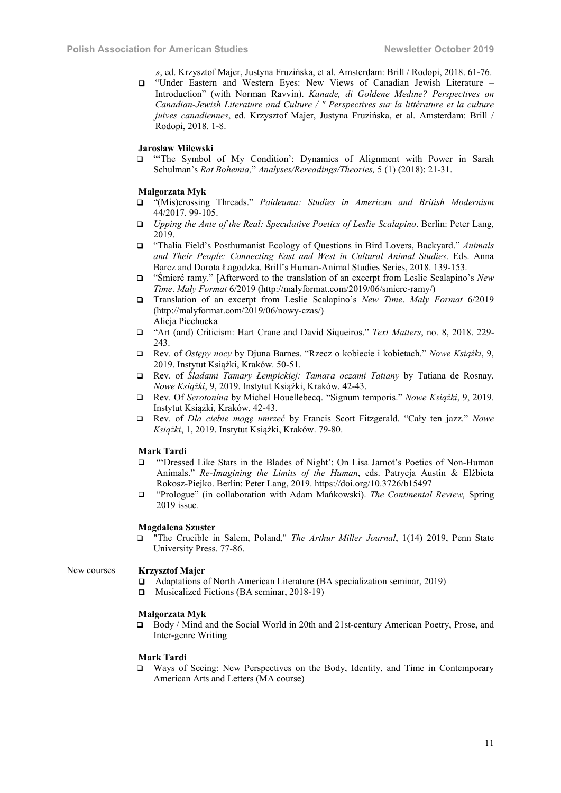*»*, ed. Krzysztof Majer, Justyna Fruzińska, et al. Amsterdam: Brill / Rodopi, 2018. 61-76.

 "Under Eastern and Western Eyes: New Views of Canadian Jewish Literature – Introduction" (with Norman Ravvin). *Kanade, di Goldene Medine? Perspectives on Canadian-Jewish Literature and Culture / " Perspectives sur la littérature et la culture juives canadiennes*, ed. Krzysztof Majer, Justyna Fruzińska, et al. Amsterdam: Brill / Rodopi, 2018. 1-8.

#### Jarosław Milewski

 "'The Symbol of My Condition': Dynamics of Alignment with Power in Sarah Schulman's *Rat Bohemia,*" *Analyses/Rereadings/Theories,* 5 (1) (2018): 21-31.

#### Małgorzata Myk

- "(Mis)crossing Threads." *Paideuma: Studies in American and British Modernism* 44/2017. 99-105.
- *Upping the Ante of the Real: Speculative Poetics of Leslie Scalapino*. Berlin: Peter Lang, 2019.
- "Thalia Field's Posthumanist Ecology of Questions in Bird Lovers, Backyard." *Animals and Their People: Connecting East and West in Cultural Animal Studies*. Eds. Anna Barcz and Dorota Łagodzka. Brill's Human-Animal Studies Series, 2018. 139-153.
- "Śmierć ramy." [Afterword to the translation of an excerpt from Leslie Scalapino's *New Time*. *Mały Format* 6/2019 (http://malyformat.com/2019/06/smierc-ramy/)
- Translation of an excerpt from Leslie Scalapino's *New Time*. *Mały Format* 6/2019 (http://malyformat.com/2019/06/nowy-czas/) Alicja Piechucka
- "Art (and) Criticism: Hart Crane and David Siqueiros." *Text Matters*, no. 8, 2018. 229- 243.
- Rev. of *Ostępy nocy* by Djuna Barnes. "Rzecz o kobiecie i kobietach." *Nowe Książki*, 9, 2019. Instytut Książki, Kraków. 50-51.
- Rev. of *Śladami Tamary Łempickiej: Tamara oczami Tatiany* by Tatiana de Rosnay. *Nowe Książki*, 9, 2019. Instytut Książki, Kraków. 42-43.
- Rev. Of *Serotonina* by Michel Houellebecq. "Signum temporis." *Nowe Książki*, 9, 2019. Instytut Książki, Kraków. 42-43.
- Rev. of *Dla ciebie mogę umrzeć* by Francis Scott Fitzgerald. "Cały ten jazz." *Nowe Książki*, 1, 2019. Instytut Książki, Kraków. 79-80.

#### Mark Tardi

- "'Dressed Like Stars in the Blades of Night': On Lisa Jarnot's Poetics of Non-Human Animals." *Re-Imagining the Limits of the Human*, eds. Patrycja Austin & Elżbieta Rokosz-Piejko. Berlin: Peter Lang, 2019. https://doi.org/10.3726/b15497
- "Prologue" (in collaboration with Adam Mańkowski). *The Continental Review,* Spring 2019 issue*.*

#### Magdalena Szuster

 "The Crucible in Salem, Poland," *The Arthur Miller Journal*, 1(14) 2019, Penn State University Press. 77-86.

# New courses Krzysztof Majer

- Adaptations of North American Literature (BA specialization seminar, 2019)
- □ Musicalized Fictions (BA seminar, 2018-19)

# Małgorzata Myk

 Body / Mind and the Social World in 20th and 21st-century American Poetry, Prose, and Inter-genre Writing

#### Mark Tardi

 Ways of Seeing: New Perspectives on the Body, Identity, and Time in Contemporary American Arts and Letters (MA course)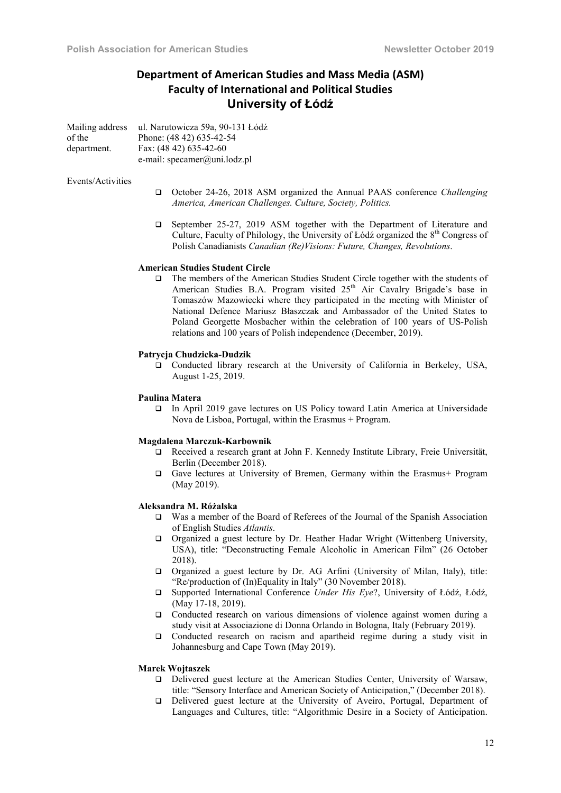# **Department of American Studies and Mass Media (ASM) Faculty of International and Political Studies** University of Łódź

| Mailing address | ul. Narutowicza 59a, 90-131 Łódź |
|-----------------|----------------------------------|
| of the          | Phone: (48 42) 635-42-54         |
| department.     | Fax: (48 42) 635-42-60           |
|                 | e-mail: specamer@uni.lodz.pl     |

#### Events/Activities

- October 24-26, 2018 ASM organized the Annual PAAS conference *Challenging America, American Challenges. Culture, Society, Politics.*
- September 25-27, 2019 ASM together with the Department of Literature and Culture, Faculty of Philology, the University of Łódź organized the  $8<sup>th</sup>$  Congress of Polish Canadianists *Canadian (Re)Visions: Future, Changes, Revolutions*.

# American Studies Student Circle

 The members of the American Studies Student Circle together with the students of American Studies B.A. Program visited  $25<sup>th</sup>$  Air Cavalry Brigade's base in Tomaszów Mazowiecki where they participated in the meeting with Minister of National Defence Mariusz Błaszczak and Ambassador of the United States to Poland Georgette Mosbacher within the celebration of 100 years of US-Polish relations and 100 years of Polish independence (December, 2019).

### Patrycja Chudzicka-Dudzik

 Conducted library research at the University of California in Berkeley, USA, August 1-25, 2019.

#### Paulina Matera

 In April 2019 gave lectures on US Policy toward Latin America at Universidade Nova de Lisboa, Portugal, within the Erasmus + Program.

#### Magdalena Marczuk-Karbownik

- Received a research grant at John F. Kennedy Institute Library, Freie Universität, Berlin (December 2018).
- Gave lectures at University of Bremen, Germany within the Erasmus+ Program (May 2019).

#### Aleksandra M. Różalska

- Was a member of the Board of Referees of the Journal of the Spanish Association of English Studies *Atlantis*.
- Organized a guest lecture by Dr. Heather Hadar Wright (Wittenberg University, USA), title: "Deconstructing Female Alcoholic in American Film" (26 October 2018).
- Organized a guest lecture by Dr. AG Arfini (University of Milan, Italy), title: "Re/production of (In)Equality in Italy" (30 November 2018).
- Supported International Conference *Under His Eye*?, University of Łódź, Łódź, (May 17-18, 2019).
- Conducted research on various dimensions of violence against women during a study visit at Associazione di Donna Orlando in Bologna, Italy (February 2019).
- Conducted research on racism and apartheid regime during a study visit in Johannesburg and Cape Town (May 2019).

### Marek Wojtaszek

- Delivered guest lecture at the American Studies Center, University of Warsaw, title: "Sensory Interface and American Society of Anticipation," (December 2018).
- Delivered guest lecture at the University of Aveiro, Portugal, Department of Languages and Cultures, title: "Algorithmic Desire in a Society of Anticipation.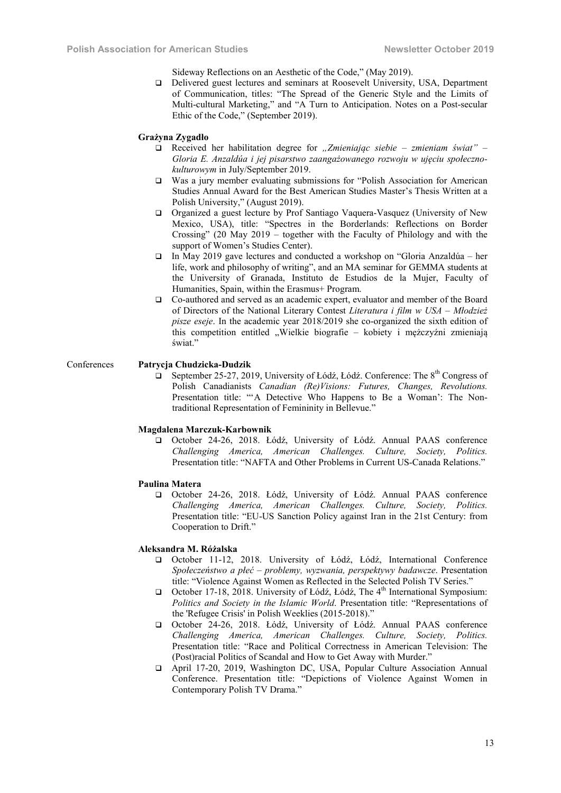Sideway Reflections on an Aesthetic of the Code," (May 2019).

□ Delivered guest lectures and seminars at Roosevelt University, USA, Department of Communication, titles: "The Spread of the Generic Style and the Limits of Multi-cultural Marketing," and "A Turn to Anticipation. Notes on a Post-secular Ethic of the Code," (September 2019).

#### Grażyna Zygadło

- Received her habilitation degree for *"Zmieniając siebie – zmieniam świat" – Gloria E. Anzaldúa i jej pisarstwo zaangażowanego rozwoju w ujęciu społecznokulturowym* in July/September 2019.
- Was a jury member evaluating submissions for "Polish Association for American Studies Annual Award for the Best American Studies Master's Thesis Written at a Polish University," (August 2019).
- Organized a guest lecture by Prof Santiago Vaquera-Vasquez (University of New Mexico, USA), title: "Spectres in the Borderlands: Reflections on Border Crossing" (20 May 2019 – together with the Faculty of Philology and with the support of Women's Studies Center).
- In May 2019 gave lectures and conducted a workshop on "Gloria Anzaldúa her life, work and philosophy of writing", and an MA seminar for GEMMA students at the University of Granada, Instituto de Estudios de la Mujer, Faculty of Humanities, Spain, within the Erasmus+ Program.
- Co-authored and served as an academic expert, evaluator and member of the Board of Directors of the National Literary Contest *Literatura i film w USA – Młodzież pisze eseje*. In the academic year 2018/2019 she co-organized the sixth edition of this competition entitled "Wielkie biografie – kobiety i mężczyźni zmieniają świat."

# Conferences Patrycja Chudzicka-Dudzik

 $\Box$  September 25-27, 2019, University of Łódź, Łódź. Conference: The 8<sup>th</sup> Congress of Polish Canadianists *Canadian (Re)Visions: Futures, Changes, Revolutions.* Presentation title: "ʻA Detective Who Happens to Be a Woman': The Nontraditional Representation of Femininity in Bellevue."

#### Magdalena Marczuk-Karbownik

 October 24-26, 2018. Łódź, University of Łódź. Annual PAAS conference *Challenging America, American Challenges. Culture, Society, Politics.* Presentation title: "NAFTA and Other Problems in Current US-Canada Relations."

#### Paulina Matera

 October 24-26, 2018. Łódź, University of Łódź. Annual PAAS conference *Challenging America, American Challenges. Culture, Society, Politics.* Presentation title: "EU-US Sanction Policy against Iran in the 21st Century: from Cooperation to Drift."

#### Aleksandra M. Różalska

- October 11-12, 2018. University of Łódź, Łódź, International Conference *Społeczeństwo a płeć – problemy, wyzwania, perspektywy badawcze*. Presentation title: "Violence Against Women as Reflected in the Selected Polish TV Series."
- $\Box$  October 17-18, 2018. University of Łódź, Łódź, The 4<sup>th</sup> International Symposium: *Politics and Society in the Islamic World*. Presentation title: "Representations of the 'Refugee Crisis' in Polish Weeklies (2015-2018)."
- October 24-26, 2018. Łódź, University of Łódź. Annual PAAS conference *Challenging America, American Challenges. Culture, Society, Politics.* Presentation title: "Race and Political Correctness in American Television: The (Post)racial Politics of Scandal and How to Get Away with Murder."
- April 17-20, 2019, Washington DC, USA, Popular Culture Association Annual Conference. Presentation title: "Depictions of Violence Against Women in Contemporary Polish TV Drama."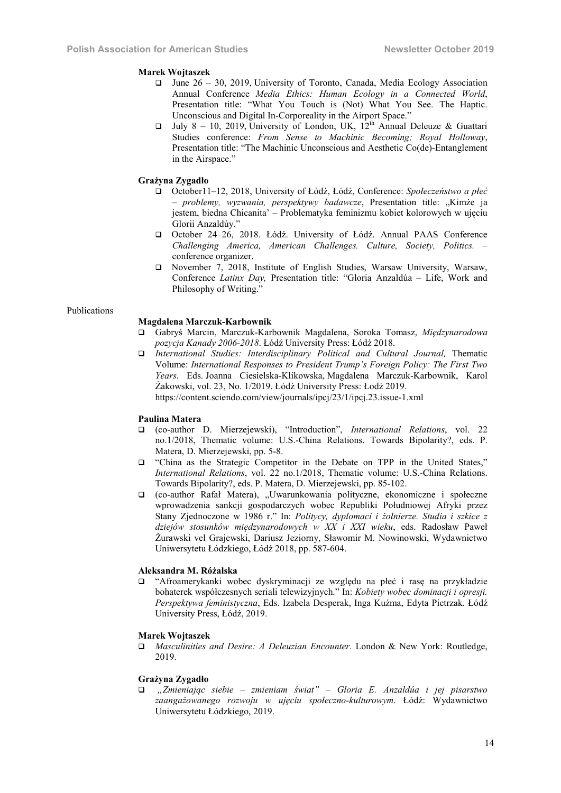# Marek Wojtaszek

- $\Box$  June 26 30, 2019, University of Toronto, Canada, Media Ecology Association Annual Conference *Media Ethics: Human Ecology in a Connected World*, Presentation title: "What You Touch is (Not) What You See. The Haptic. Unconscious and Digital In-Corporeality in the Airport Space."
- July 8 10, 2019, University of London, UK,  $12^{th}$  Annual Deleuze & Guattari Studies conference: *From Sense to Machinic Becoming; Royal Holloway*, Presentation title: "The Machinic Unconscious and Aesthetic Co(de)-Entanglement in the Airspace."

# Grażyna Zygadło

- October11–12, 2018, University of Łódź, Łódź, Conference: *Społeczeństwo a płeć – problemy, wyzwania, perspektywy badawcze*, Presentation title: "Kimże ja jestem, biedna Chicanita' – Problematyka feminizmu kobiet kolorowych w ujęciu Glorii Anzaldúy."
- October 24–26, 2018. Łódź. University of Łódź. Annual PAAS Conference *Challenging America, American Challenges. Culture, Society, Politics.* – conference organizer.
- November 7, 2018, Institute of English Studies, Warsaw University, Warsaw, Conference *Latinx Day,* Presentation title: "Gloria Anzaldúa – Life, Work and Philosophy of Writing."

#### Publications

# Magdalena Marczuk-Karbownik

- Gabryś Marcin, Marczuk-Karbownik Magdalena, Soroka Tomasz, *Międzynarodowa pozycja Kanady 2006-2018*. Łódź University Press: Łódź 2018.
- *International Studies: Interdisciplinary Political and Cultural Journal,* Thematic Volume: *International Responses to President Trump's Foreign Policy: The First Two Years*. Eds. Joanna Ciesielska-Klikowska, Magdalena Marczuk-Karbownik, Karol Żakowski, vol. 23, No. 1/2019. Łódź University Press: Łodź 2019. https://content.sciendo.com/view/journals/ipcj/23/1/ipcj.23.issue-1.xml

#### Paulina Matera

- (co-author D. Mierzejewski), "Introduction", *International Relations*, vol. 22 no.1/2018, Thematic volume: U.S.-China Relations. Towards Bipolarity?, eds. P. Matera, D. Mierzejewski, pp. 5-8.
- "China as the Strategic Competitor in the Debate on TPP in the United States," *International Relations*, vol. 22 no.1/2018, Thematic volume: U.S.-China Relations. Towards Bipolarity?, eds. P. Matera, D. Mierzejewski, pp. 85-102.
- (co-author Rafał Matera), "Uwarunkowania polityczne, ekonomiczne i społeczne wprowadzenia sankcji gospodarczych wobec Republiki Południowej Afryki przez Stany Zjednoczone w 1986 r." In: *Politycy, dyplomaci i żołnierze. Studia i szkice z dziejów stosunków międzynarodowych w XX i XXI wieku*, eds. Radosław Paweł Żurawski vel Grajewski, Dariusz Jeziorny, Sławomir M. Nowinowski, Wydawnictwo Uniwersytetu Łódzkiego, Łódź 2018, pp. 587-604.

# Aleksandra M. Różalska

 "Afroamerykanki wobec dyskryminacji ze względu na płeć i rasę na przykładzie bohaterek współczesnych seriali telewizyjnych." In: *Kobiety wobec dominacji i opresji. Perspektywa feministyczna*, Eds. Izabela Desperak, Inga Kuźma, Edyta Pietrzak. Łódź University Press, Łódź, 2019.

#### Marek Wojtaszek

 *Masculinities and Desire: A Deleuzian Encounter.* London & New York: Routledge, 2019.

#### Grażyna Zygadło

 *"Zmieniając siebie – zmieniam świat" – Gloria E. Anzaldúa i jej pisarstwo zaangażowanego rozwoju w ujęciu społeczno-kulturowym*. Łódź: Wydawnictwo Uniwersytetu Łódzkiego, 2019.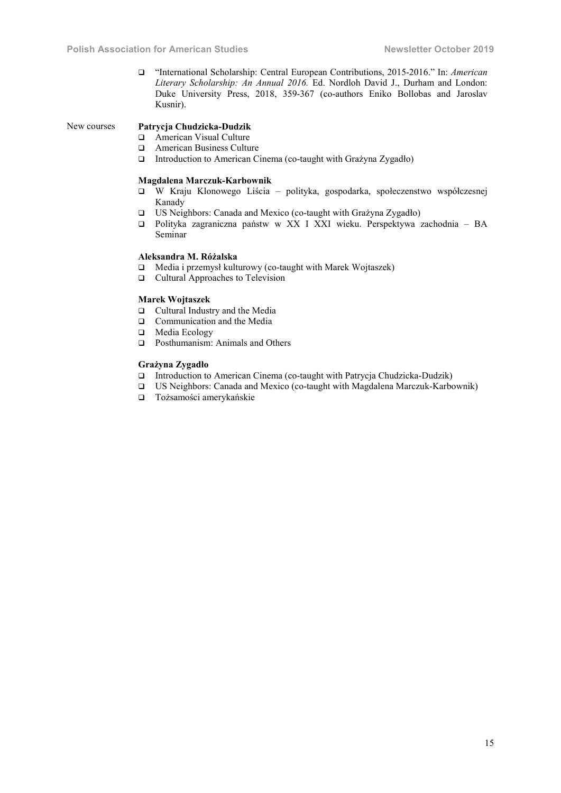"International Scholarship: Central European Contributions, 2015-2016." In: *American Literary Scholarship: An Annual 2016.* Ed. Nordloh David J., Durham and London: Duke University Press, 2018, 359-367 (co-authors Eniko Bollobas and Jaroslav Kusnir).

#### New courses Patrycja Chudzicka-Dudzik

- □ American Visual Culture
- $\Box$  American Business Culture<br> $\Box$  Introduction to American Ci
- Introduction to American Cinema (co-taught with Grażyna Zygadło)

# Magdalena Marczuk-Karbownik

- W Kraju Klonowego Liścia polityka, gospodarka, społeczenstwo współczesnej Kanady
- US Neighbors: Canada and Mexico (co-taught with Grażyna Zygadło)
- Polityka zagraniczna państw w XX I XXI wieku. Perspektywa zachodnia BA Seminar

# Aleksandra M. Różalska

- Media i przemysł kulturowy (co-taught with Marek Wojtaszek)
- □ Cultural Approaches to Television

# Marek Wojtaszek

- □ Cultural Industry and the Media
- **Q** Communication and the Media
- □ Media Ecology
- **Q** Posthumanism: Animals and Others

# Grażyna Zygadło

- Introduction to American Cinema (co-taught with Patrycja Chudzicka-Dudzik)
- US Neighbors: Canada and Mexico (co-taught with Magdalena Marczuk-Karbownik)
- Tożsamości amerykańskie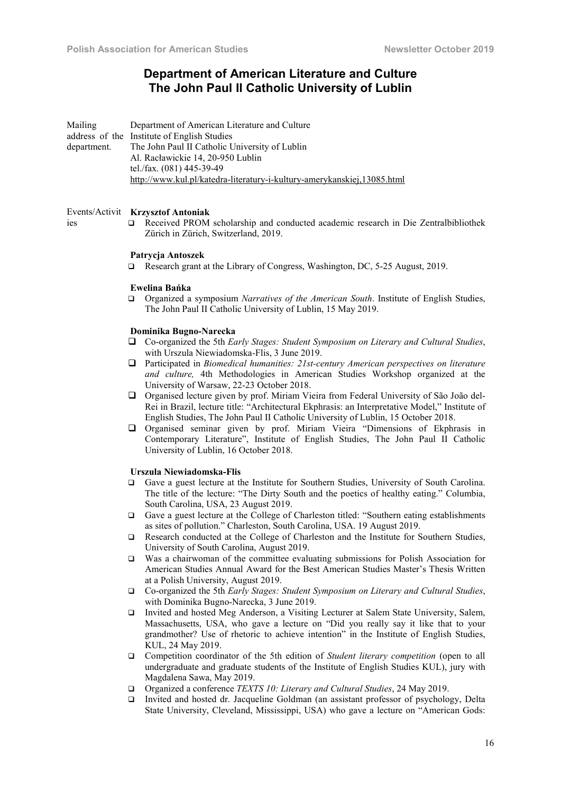# Department of American Literature and Culture The John Paul II Catholic University of Lublin

Mailing address of the Institute of English Studies department. Department of American Literature and Culture The John Paul II Catholic University of Lublin Al. Racławickie 14, 20-950 Lublin tel./fax. (081) 445-39-49 http://www.kul.pl/katedra-literatury-i-kultury-amerykanskiej,13085.html

# Events/Activit Krzysztof Antoniak

ies

 Received PROM scholarship and conducted academic research in Die Zentralbibliothek Zürich in Zürich, Switzerland, 2019.

#### Patrycja Antoszek

Research grant at the Library of Congress, Washington, DC, 5-25 August, 2019.

# Ewelina Bańka

 Organized a symposium *Narratives of the American South*. Institute of English Studies, The John Paul II Catholic University of Lublin, 15 May 2019.

#### Dominika Bugno-Narecka

- Co-organized the 5th *Early Stages: Student Symposium on Literary and Cultural Studies*, with Urszula Niewiadomska-Flis, 3 June 2019.
- Participated in *Biomedical humanities: 21st-century American perspectives on literature and culture,* 4th Methodologies in American Studies Workshop organized at the University of Warsaw, 22-23 October 2018.
- Organised lecture given by prof. Miriam Vieira from Federal University of São João del-Rei in Brazil, lecture title: "Architectural Ekphrasis: an Interpretative Model," Institute of English Studies, The John Paul II Catholic University of Lublin, 15 October 2018.
- Organised seminar given by prof. Miriam Vieira "Dimensions of Ekphrasis in Contemporary Literature", Institute of English Studies, The John Paul II Catholic University of Lublin, 16 October 2018.

#### Urszula Niewiadomska-Flis

- Gave a guest lecture at the Institute for Southern Studies, University of South Carolina. The title of the lecture: "The Dirty South and the poetics of healthy eating." Columbia, South Carolina, USA, 23 August 2019.
- Gave a guest lecture at the College of Charleston titled: "Southern eating establishments as sites of pollution." Charleston, South Carolina, USA. 19 August 2019.
- Research conducted at the College of Charleston and the Institute for Southern Studies, University of South Carolina, August 2019.
- Was a chairwoman of the committee evaluating submissions for Polish Association for American Studies Annual Award for the Best American Studies Master's Thesis Written at a Polish University, August 2019.
- Co-organized the 5th *Early Stages: Student Symposium on Literary and Cultural Studies*, with Dominika Bugno-Narecka, 3 June 2019.
- Invited and hosted Meg Anderson, a Visiting Lecturer at Salem State University, Salem, Massachusetts, USA, who gave a lecture on "Did you really say it like that to your grandmother? Use of rhetoric to achieve intention" in the Institute of English Studies, KUL, 24 May 2019.
- Competition coordinator of the 5th edition of *Student literary competition* (open to all undergraduate and graduate students of the Institute of English Studies KUL), jury with Magdalena Sawa, May 2019.
- Organized a conference *TEXTS 10: Literary and Cultural Studies*, 24 May 2019.
- Invited and hosted dr. Jacqueline Goldman (an assistant professor of psychology, Delta State University, Cleveland, Mississippi, USA) who gave a lecture on "American Gods: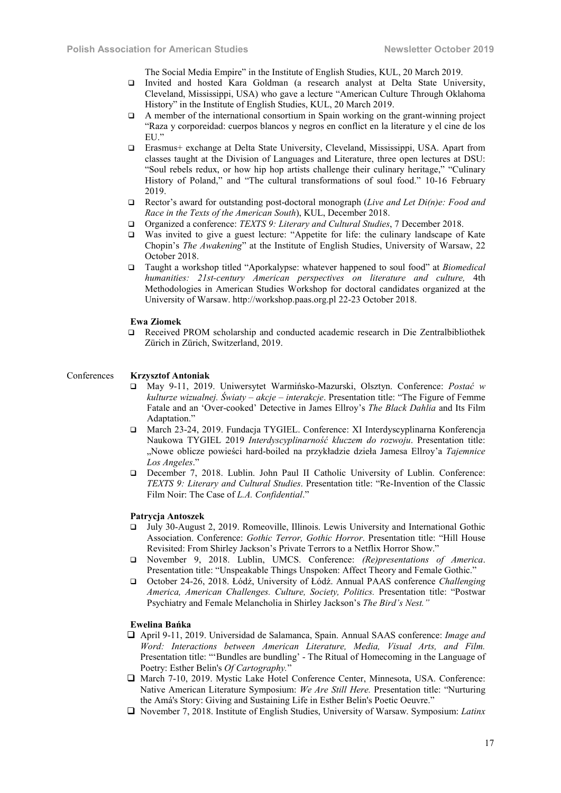The Social Media Empire" in the Institute of English Studies, KUL, 20 March 2019.

- Invited and hosted Kara Goldman (a research analyst at Delta State University, Cleveland, Mississippi, USA) who gave a lecture "American Culture Through Oklahoma History" in the Institute of English Studies, KUL, 20 March 2019.
- $\Box$  A member of the international consortium in Spain working on the grant-winning project "Raza y corporeidad: cuerpos blancos y negros en conflict en la literature y el cine de los EU."
- Erasmus+ exchange at Delta State University, Cleveland, Mississippi, USA. Apart from classes taught at the Division of Languages and Literature, three open lectures at DSU: "Soul rebels redux, or how hip hop artists challenge their culinary heritage," "Culinary History of Poland," and "The cultural transformations of soul food." 10-16 February 2019.
- Rector's award for outstanding post-doctoral monograph (*Live and Let Di(n)e: Food and Race in the Texts of the American South*), KUL, December 2018.
- Organized a conference: *TEXTS 9: Literary and Cultural Studies*, 7 December 2018.
- Was invited to give a guest lecture: "Appetite for life: the culinary landscape of Kate Chopin's *The Awakening*" at the Institute of English Studies, University of Warsaw, 22 October 2018.
- Taught a workshop titled "Aporkalypse: whatever happened to soul food" at *Biomedical humanities: 21st-century American perspectives on literature and culture,* 4th Methodologies in American Studies Workshop for doctoral candidates organized at the University of Warsaw. http://workshop.paas.org.pl 22-23 October 2018.

#### Ewa Ziomek

 Received PROM scholarship and conducted academic research in Die Zentralbibliothek Zürich in Zürich, Switzerland, 2019.

# Conferences Krzysztof Antoniak

- May 9-11, 2019. Uniwersytet Warmińsko-Mazurski, Olsztyn. Conference: *Postać w kulturze wizualnej. Światy – akcje – interakcje*. Presentation title: "The Figure of Femme Fatale and an 'Over-cooked' Detective in James Ellroy's *The Black Dahlia* and Its Film Adaptation."
- March 23-24, 2019. Fundacja TYGIEL. Conference: XI Interdyscyplinarna Konferencja Naukowa TYGIEL 2019 *Interdyscyplinarność kluczem do rozwoju*. Presentation title: "Nowe oblicze powieści hard-boiled na przykładzie dzieła Jamesa Ellroy'a *Tajemnice Los Angeles*."
- December 7, 2018. Lublin. John Paul II Catholic University of Lublin. Conference: *TEXTS 9: Literary and Cultural Studies*. Presentation title: "Re-Invention of the Classic Film Noir: The Case of *L.A. Confidential*."

#### Patrycja Antoszek

- July 30-August 2, 2019. Romeoville, Illinois. Lewis University and International Gothic Association. Conference: *Gothic Terror, Gothic Horror*. Presentation title: "Hill House Revisited: From Shirley Jackson's Private Terrors to a Netflix Horror Show."
- November 9, 2018. Lublin, UMCS. Conference: *(Re)presentations of America*. Presentation title: "Unspeakable Things Unspoken: Affect Theory and Female Gothic."
- October 24-26, 2018. Łódź, University of Łódź. Annual PAAS conference *Challenging America, American Challenges. Culture, Society, Politics.* Presentation title: "Postwar Psychiatry and Female Melancholia in Shirley Jackson's *The Bird's Nest."*

# Ewelina Bańka

- April 9-11, 2019. Universidad de Salamanca, Spain. Annual SAAS conference: *Image and Word: Interactions between American Literature, Media, Visual Arts, and Film.* Presentation title: "'Bundles are bundling' - The Ritual of Homecoming in the Language of Poetry: Esther Belin's *Of Cartography.*"
- March 7-10, 2019. Mystic Lake Hotel Conference Center, Minnesota, USA. Conference: Native American Literature Symposium: *We Are Still Here.* Presentation title: "Nurturing the Amá's Story: Giving and Sustaining Life in Esther Belin's Poetic Oeuvre."
- November 7, 2018. Institute of English Studies, University of Warsaw. Symposium: *Latinx*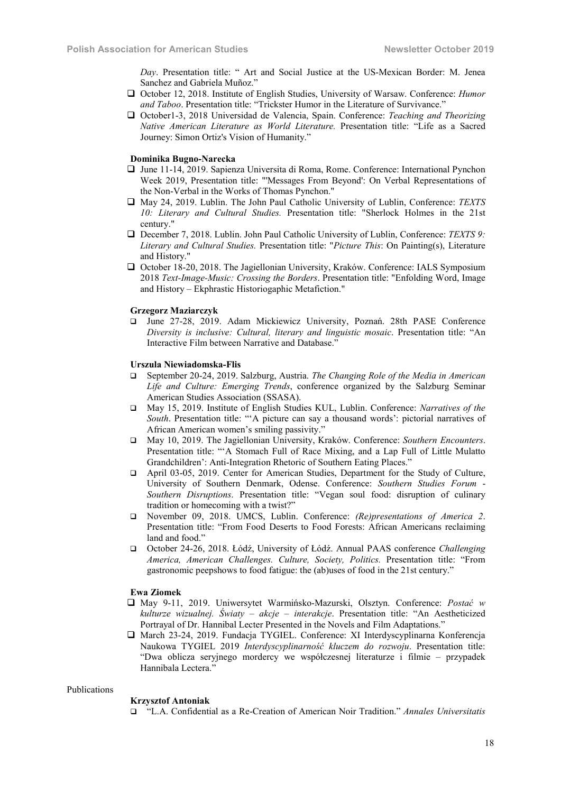*Day*. Presentation title: " Art and Social Justice at the US-Mexican Border: M. Jenea Sanchez and Gabriela Muñoz."

- October 12, 2018. Institute of English Studies, University of Warsaw. Conference: *Humor and Taboo*. Presentation title: "Trickster Humor in the Literature of Survivance."
- October1-3, 2018 Universidad de Valencia, Spain. Conference: *Teaching and Theorizing Native American Literature as World Literature.* Presentation title: "Life as a Sacred Journey: Simon Ortiz's Vision of Humanity."

# Dominika Bugno-Narecka

- June 11-14, 2019. Sapienza Universita di Roma, Rome. Conference: International Pynchon Week 2019, Presentation title: "'Messages From Beyond': On Verbal Representations of the Non-Verbal in the Works of Thomas Pynchon."
- May 24, 2019. Lublin. The John Paul Catholic University of Lublin, Conference: *TEXTS 10: Literary and Cultural Studies.* Presentation title: "Sherlock Holmes in the 21st century."
- December 7, 2018. Lublin. John Paul Catholic University of Lublin, Conference: *TEXTS 9: Literary and Cultural Studies.* Presentation title: "*Picture This*: On Painting(s), Literature and History."
- October 18-20, 2018. The Jagiellonian University, Kraków. Conference: IALS Symposium 2018 *Text-Image-Music: Crossing the Borders*. Presentation title: "Enfolding Word, Image and History – Ekphrastic Historiogaphic Metafiction."

#### Grzegorz Maziarczyk

 June 27-28, 2019. Adam Mickiewicz University, Poznań. 28th PASE Conference *Diversity is inclusive: Cultural, literary and linguistic mosaic*. Presentation title: "An Interactive Film between Narrative and Database."

# Urszula Niewiadomska-Flis

- September 20-24, 2019. Salzburg, Austria. *The Changing Role of the Media in American Life and Culture: Emerging Trends*, conference organized by the Salzburg Seminar American Studies Association (SSASA).
- May 15, 2019. Institute of English Studies KUL, Lublin. Conference: *Narratives of the South*. Presentation title: "'A picture can say a thousand words': pictorial narratives of African American women's smiling passivity."
- May 10, 2019. The Jagiellonian University, Kraków. Conference: *Southern Encounters*. Presentation title: "'A Stomach Full of Race Mixing, and a Lap Full of Little Mulatto Grandchildren': Anti-Integration Rhetoric of Southern Eating Places."
- April 03-05, 2019. Center for American Studies, Department for the Study of Culture, University of Southern Denmark, Odense. Conference: *Southern Studies Forum* - *Southern Disruptions*. Presentation title: "Vegan soul food: disruption of culinary tradition or homecoming with a twist?"
- November 09, 2018. UMCS, Lublin. Conference: *(Re)presentations of America 2*. Presentation title: "From Food Deserts to Food Forests: African Americans reclaiming land and food."
- October 24-26, 2018. Łódź, University of Łódź. Annual PAAS conference *Challenging America, American Challenges. Culture, Society, Politics.* Presentation title: "From gastronomic peepshows to food fatigue: the (ab)uses of food in the 21st century."

#### Ewa Ziomek

- May 9-11, 2019. Uniwersytet Warmińsko-Mazurski, Olsztyn. Conference: *Postać w kulturze wizualnej. Światy – akcje – interakcje*. Presentation title: "An Aestheticized Portrayal of Dr. Hannibal Lecter Presented in the Novels and Film Adaptations."
- March 23-24, 2019. Fundacja TYGIEL. Conference: XI Interdyscyplinarna Konferencja Naukowa TYGIEL 2019 *Interdyscyplinarność kluczem do rozwoju*. Presentation title: "Dwa oblicza seryjnego mordercy we współczesnej literaturze i filmie – przypadek Hannibala Lectera."

#### Publications

#### Krzysztof Antoniak

"L.A. Confidential as a Re-Creation of American Noir Tradition." *Annales Universitatis*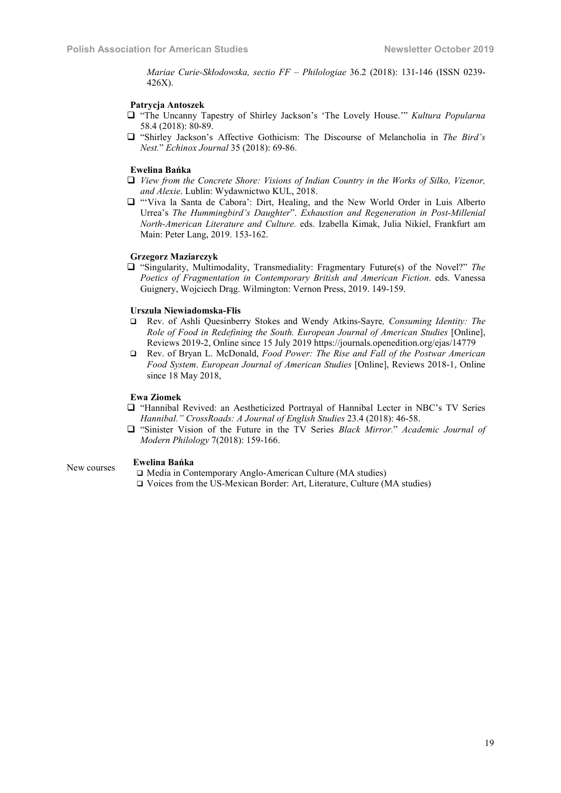*Mariae Curie-Skłodowska, sectio FF – Philologiae* 36.2 (2018): 131-146 (ISSN 0239- 426X).

# Patrycja Antoszek

- "The Uncanny Tapestry of Shirley Jackson's 'The Lovely House.'" *Kultura Popularna* 58.4 (2018): 80-89.
- "Shirley Jackson's Affective Gothicism: The Discourse of Melancholia in *The Bird's Nest.*" *Echinox Journal* 35 (2018): 69-86.

#### Ewelina Bańka

- *View from the Concrete Shore: Visions of Indian Country in the Works of Silko, Vizenor, and Alexie*. Lublin: Wydawnictwo KUL, 2018.
- "'Viva la Santa de Cabora': Dirt, Healing, and the New World Order in Luis Alberto Urrea's *The Hummingbird's Daughter*". *Exhaustion and Regeneration in Post-Millenial North-American Literature and Culture.* eds. Izabella Kimak, Julia Nikiel, Frankfurt am Main: Peter Lang, 2019. 153-162.

#### Grzegorz Maziarczyk

 "Singularity, Multimodality, Transmediality: Fragmentary Future(s) of the Novel?" *The Poetics of Fragmentation in Contemporary British and American Fiction*. eds. Vanessa Guignery, Wojciech Drąg. Wilmington: Vernon Press, 2019. 149-159.

# Urszula Niewiadomska-Flis

- Rev. of Ashli Quesinberry Stokes and Wendy Atkins-Sayre*, Consuming Identity: The Role of Food in Redefining the South. European Journal of American Studies* [Online], Reviews 2019-2, Online since 15 July 2019 https://journals.openedition.org/ejas/14779
- Rev. of Bryan L. McDonald, *Food Power: The Rise and Fall of the Postwar American Food System*. *European Journal of American Studies* [Online], Reviews 2018-1, Online since 18 May 2018,

# Ewa Ziomek

- "Hannibal Revived: an Aestheticized Portrayal of Hannibal Lecter in NBC's TV Series *Hannibal." CrossRoads: A Journal of English Studies* 23.4 (2018): 46-58.
- "Sinister Vision of the Future in the TV Series *Black Mirror.*" *Academic Journal of Modern Philology* 7(2018): 159-166.

# New courses Ewelina Bańka

- □ Media in Contemporary Anglo-American Culture (MA studies)
- Voices from the US-Mexican Border: Art, Literature, Culture (MA studies)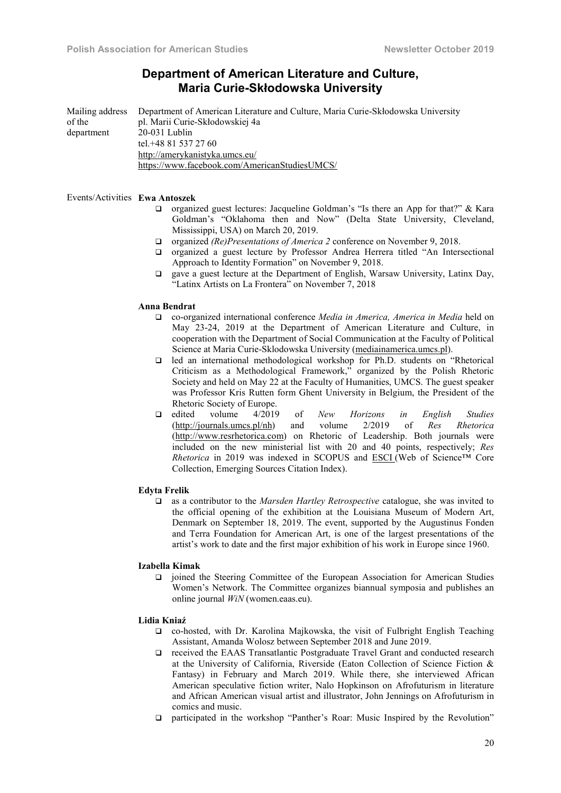# Department of American Literature and Culture, Maria Curie-Skłodowska University

Mailing address of the department Department of American Literature and Culture, Maria Curie-Skłodowska University pl. Marii Curie-Skłodowskiej 4a 20-031 Lublin tel.+48 81 537 27 60 http://amerykanistyka.umcs.eu/ https://www.facebook.com/AmericanStudiesUMCS/

#### Events/Activities Ewa Antoszek

- $\Box$  organized guest lectures: Jacqueline Goldman's "Is there an App for that?" & Kara Goldman's "Oklahoma then and Now" (Delta State University, Cleveland, Mississippi, USA) on March 20, 2019.
- □ organized *(Re)Presentations of America 2* conference on November 9, 2018.
- organized a guest lecture by Professor Andrea Herrera titled "An Intersectional Approach to Identity Formation" on November 9, 2018.
- gave a guest lecture at the Department of English, Warsaw University, Latinx Day, "Latinx Artists on La Frontera" on November 7, 2018

#### Anna Bendrat

- co-organized international conference *Media in America, America in Media* held on May 23-24, 2019 at the Department of American Literature and Culture, in cooperation with the Department of Social Communication at the Faculty of Political Science at Maria Curie-Sklodowska University (mediainamerica.umcs.pl).
- led an international methodological workshop for Ph.D. students on "Rhetorical Criticism as a Methodological Framework," organized by the Polish Rhetoric Society and held on May 22 at the Faculty of Humanities, UMCS. The guest speaker was Professor Kris Rutten form Ghent University in Belgium, the President of the Rhetoric Society of Europe.
- edited volume 4/2019 of *New Horizons in English Studies*  (http://journals.umcs.pl/nh) and volume 2/2019 of *Res Rhetorica*  (http://www.resrhetorica.com) on Rhetoric of Leadership. Both journals were included on the new ministerial list with 20 and 40 points, respectively; *Res Rhetorica* in 2019 was indexed in SCOPUS and **ESCI** (Web of Science™ Core Collection, Emerging Sources Citation Index).

#### Edyta Frelik

 as a contributor to the *Marsden Hartley Retrospective* catalogue, she was invited to the official opening of the exhibition at the Louisiana Museum of Modern Art, Denmark on September 18, 2019. The event, supported by the Augustinus Fonden and Terra Foundation for American Art, is one of the largest presentations of the artist's work to date and the first major exhibition of his work in Europe since 1960.

#### Izabella Kimak

 joined the Steering Committee of the European Association for American Studies Women's Network. The Committee organizes biannual symposia and publishes an online journal *WiN* (women.eaas.eu).

#### Lidia Kniaź

- co-hosted, with Dr. Karolina Majkowska, the visit of Fulbright English Teaching Assistant, Amanda Wolosz between September 2018 and June 2019.
- received the EAAS Transatlantic Postgraduate Travel Grant and conducted research at the University of California, Riverside (Eaton Collection of Science Fiction & Fantasy) in February and March 2019. While there, she interviewed African American speculative fiction writer, Nalo Hopkinson on Afrofuturism in literature and African American visual artist and illustrator, John Jennings on Afrofuturism in comics and music.
- participated in the workshop "Panther's Roar: Music Inspired by the Revolution"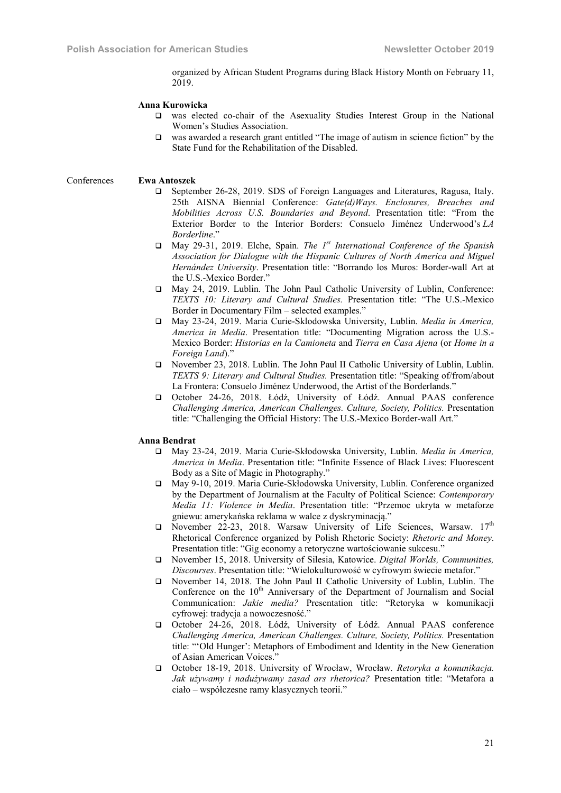organized by African Student Programs during Black History Month on February 11, 2019.

#### Anna Kurowicka

- was elected co-chair of the Asexuality Studies Interest Group in the National Women's Studies Association.
- was awarded a research grant entitled "The image of autism in science fiction" by the State Fund for the Rehabilitation of the Disabled.

Conferences Ewa Antoszek

- September 26-28, 2019. SDS of Foreign Languages and Literatures, Ragusa, Italy. 25th AISNA Biennial Conference: *Gate(d)Ways. Enclosures, Breaches and Mobilities Across U.S. Boundaries and Beyond*. Presentation title: "From the Exterior Border to the Interior Borders: Consuelo Jiménez Underwood's *LA Borderline*."
- May 29-31, 2019. Elche, Spain. *The 1st International Conference of the Spanish Association for Dialogue with the Hispanic Cultures of North America and Miguel Hernández University*. Presentation title: "Borrando los Muros: Border-wall Art at the U.S.-Mexico Border."
- May 24, 2019. Lublin. The John Paul Catholic University of Lublin, Conference: *TEXTS 10: Literary and Cultural Studies.* Presentation title: "The U.S.-Mexico Border in Documentary Film – selected examples."
- May 23-24, 2019. Maria Curie-Sklodowska University, Lublin. *Media in America, America in Media*. Presentation title: "Documenting Migration across the U.S.- Mexico Border: *Historias en la Camioneta* and *Tierra en Casa Ajena* (or *Home in a Foreign Land*)."
- November 23, 2018. Lublin. The John Paul II Catholic University of Lublin, Lublin. *TEXTS 9: Literary and Cultural Studies.* Presentation title: "Speaking of/from/about La Frontera: Consuelo Jiménez Underwood, the Artist of the Borderlands."
- October 24-26, 2018. Łódź, University of Łódź. Annual PAAS conference *Challenging America, American Challenges. Culture, Society, Politics.* Presentation title: "Challenging the Official History: The U.S.-Mexico Border-wall Art."

#### Anna Bendrat

- May 23-24, 2019. Maria Curie-Skłodowska University, Lublin. *Media in America, America in Media*. Presentation title: "Infinite Essence of Black Lives: Fluorescent Body as a Site of Magic in Photography."
- May 9-10, 2019. Maria Curie-Skłodowska University, Lublin. Conference organized by the Department of Journalism at the Faculty of Political Science: *Contemporary Media 11: Violence in Media*. Presentation title: "Przemoc ukryta w metaforze gniewu: amerykańska reklama w walce z dyskryminacją."
- $\Box$  November 22-23, 2018. Warsaw University of Life Sciences, Warsaw. 17<sup>th</sup> Rhetorical Conference organized by Polish Rhetoric Society: *Rhetoric and Money*. Presentation title: "Gig economy a retoryczne wartościowanie sukcesu."
- November 15, 2018. University of Silesia, Katowice. *Digital Worlds, Communities, Discourses*. Presentation title: "Wielokulturowość w cyfrowym świecie metafor."
- November 14, 2018. The John Paul II Catholic University of Lublin, Lublin. The Conference on the 10<sup>th</sup> Anniversary of the Department of Journalism and Social Communication: *Jakie media?* Presentation title: "Retoryka w komunikacji cyfrowej: tradycja a nowoczesność."
- October 24-26, 2018. Łódź, University of Łódź. Annual PAAS conference *Challenging America, American Challenges. Culture, Society, Politics.* Presentation title: "'Old Hunger': Metaphors of Embodiment and Identity in the New Generation of Asian American Voices."
- October 18-19, 2018. University of Wrocław, Wrocław. *Retoryka a komunikacja. Jak używamy i nadużywamy zasad ars rhetorica?* Presentation title: "Metafora a ciało – współczesne ramy klasycznych teorii."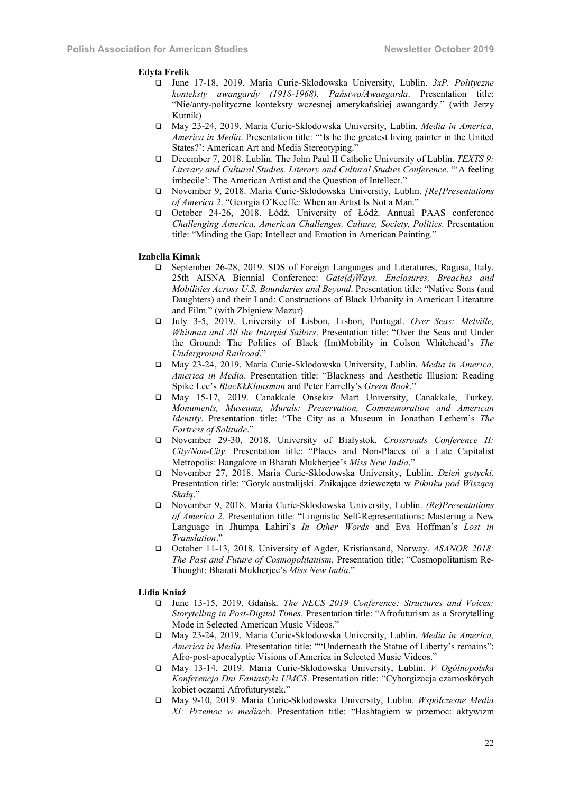#### Edyta Frelik

- June 17-18, 2019. Maria Curie-Sklodowska University, Lublin. *3xP. Polityczne konteksty awangardy (1918-1968). Państwo/Awangarda*. Presentation title: "Nie/anty-polityczne konteksty wczesnej amerykańskiej awangardy." (with Jerzy Kutnik)
- May 23-24, 2019. Maria Curie-Sklodowska University, Lublin. *Media in America, America in Media*. Presentation title: "'Is he the greatest living painter in the United States?': American Art and Media Stereotyping."
- December 7, 2018. Lublin. The John Paul II Catholic University of Lublin. *TEXTS 9: Literary and Cultural Studies. Literary and Cultural Studies Conference*. "'A feeling imbecile': The American Artist and the Question of Intellect."
- November 9, 2018. Maria Curie-Sklodowska University, Lublin. *[Re]Presentations of America 2*. "Georgia O'Keeffe: When an Artist Is Not a Man."
- October 24-26, 2018. Łódź, University of Łódź. Annual PAAS conference *Challenging America, American Challenges. Culture, Society, Politics.* Presentation title: "Minding the Gap: Intellect and Emotion in American Painting."

#### Izabella Kimak

- September 26-28, 2019. SDS of Foreign Languages and Literatures, Ragusa, Italy. 25th AISNA Biennial Conference: *Gate(d)Ways. Enclosures, Breaches and Mobilities Across U.S. Boundaries and Beyond*. Presentation title: "Native Sons (and Daughters) and their Land: Constructions of Black Urbanity in American Literature and Film." (with Zbigniew Mazur)
- July 3-5, 2019. University of Lisbon, Lisbon, Portugal. *Over\_Seas: Melville, Whitman and All the Intrepid Sailors*. Presentation title: "Over the Seas and Under the Ground: The Politics of Black (Im)Mobility in Colson Whitehead's *The Underground Railroad*."
- May 23-24, 2019. Maria Curie-Sklodowska University, Lublin. *Media in America, America in Media*. Presentation title: "Blackness and Aesthetic Illusion: Reading Spike Lee's *BlacKkKlansman* and Peter Farrelly's *Green Book*."
- May 15-17, 2019. Canakkale Onsekiz Mart University, Canakkale, Turkey. *Monuments, Museums, Murals: Preservation, Commemoration and American Identity*. Presentation title: "The City as a Museum in Jonathan Lethem's *The Fortress of Solitude*."
- November 29-30, 2018. University of Białystok. *Crossroads Conference II: City/Non-City*. Presentation title: "Places and Non-Places of a Late Capitalist Metropolis: Bangalore in Bharati Mukherjee's *Miss New India*."
- November 27, 2018. Maria Curie-Sklodowska University, Lublin. *Dzień gotycki*. Presentation title: "Gotyk australijski. Znikające dziewczęta w *Pikniku pod Wiszącą Skałą*."
- November 9, 2018. Maria Curie-Sklodowska University, Lublin. *(Re)Presentations of America 2*. Presentation title: "Linguistic Self-Representations: Mastering a New Language in Jhumpa Lahiri's *In Other Words* and Eva Hoffman's *Lost in Translation*."
- October 11-13, 2018. University of Agder, Kristiansand, Norway. *ASANOR 2018: The Past and Future of Cosmopolitanism*. Presentation title: "Cosmopolitanism Re-Thought: Bharati Mukherjee's *Miss New India*."

#### Lidia Kniaź

- June 13-15, 2019. Gdańsk. *The NECS 2019 Conference: Structures and Voices: Storytelling in Post-Digital Times.* Presentation title: "Afrofuturism as a Storytelling Mode in Selected American Music Videos."
- May 23-24, 2019. Maria Curie-Sklodowska University, Lublin. *Media in America, America in Media*. Presentation title: ""Underneath the Statue of Liberty's remains": Afro-post-apocalyptic Visions of America in Selected Music Videos."
- May 13-14, 2019. Maria Curie-Sklodowska University, Lublin. *V Ogólnopolska Konferencja Dni Fantastyki UMCS*. Presentation title: "Cyborgizacja czarnoskórych kobiet oczami Afrofuturystek."
- May 9-10, 2019. Maria Curie-Sklodowska University, Lublin. *Współczesne Media XI: Przemoc w mediac*h. Presentation title: "Hashtagiem w przemoc: aktywizm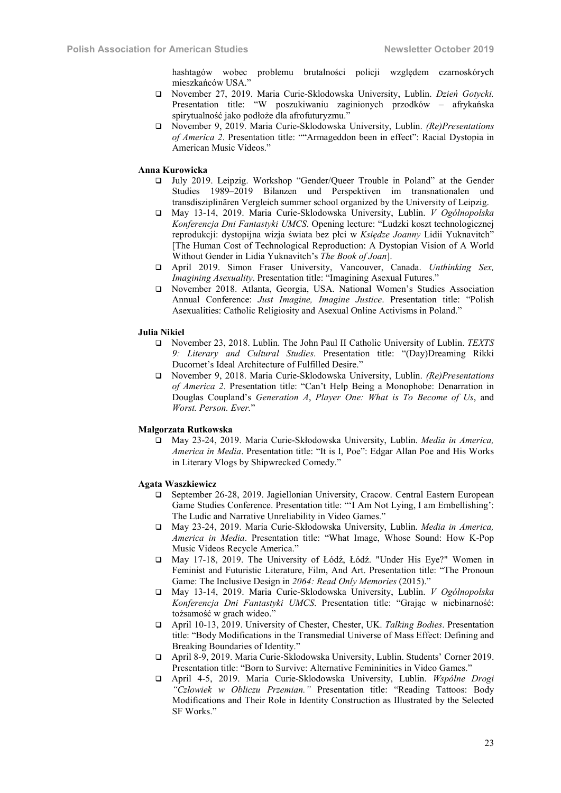hashtagów wobec problemu brutalności policji względem czarnoskórych mieszkańców USA."

- November 27, 2019. Maria Curie-Sklodowska University, Lublin. *Dzień Gotycki.* Presentation title: "W poszukiwaniu zaginionych przodków – afrykańska spirytualność jako podłoże dla afrofuturyzmu."
- November 9, 2019. Maria Curie-Sklodowska University, Lublin. *(Re)Presentations of America 2*. Presentation title: ""Armageddon been in effect": Racial Dystopia in American Music Videos."

#### Anna Kurowicka

- July 2019. Leipzig. Workshop "Gender/Queer Trouble in Poland" at the Gender Studies 1989–2019 Bilanzen und Perspektiven im transnationalen und transdisziplinären Vergleich summer school organized by the University of Leipzig.
- May 13-14, 2019. Maria Curie-Sklodowska University, Lublin. *V Ogólnopolska Konferencja Dni Fantastyki UMCS*. Opening lecture: "Ludzki koszt technologicznej reprodukcji: dystopijna wizja świata bez płci w *Księdze Joanny* Lidii Yuknavitch" [The Human Cost of Technological Reproduction: A Dystopian Vision of A World Without Gender in Lidia Yuknavitch's *The Book of Joan*].
- April 2019. Simon Fraser University, Vancouver, Canada. *Unthinking Sex, Imagining Asexuality*. Presentation title: "Imagining Asexual Futures."
- November 2018. Atlanta, Georgia, USA. National Women's Studies Association Annual Conference: *Just Imagine, Imagine Justice*. Presentation title: "Polish Asexualities: Catholic Religiosity and Asexual Online Activisms in Poland."

#### Julia Nikiel

- November 23, 2018. Lublin. The John Paul II Catholic University of Lublin. *TEXTS 9: Literary and Cultural Studies*. Presentation title: "(Day)Dreaming Rikki Ducornet's Ideal Architecture of Fulfilled Desire."
- November 9, 2018. Maria Curie-Sklodowska University, Lublin. *(Re)Presentations of America 2*. Presentation title: "Can't Help Being a Monophobe: Denarration in Douglas Coupland's *Generation A*, *Player One: What is To Become of Us*, and *Worst. Person. Ever.*"

#### Małgorzata Rutkowska

 May 23-24, 2019. Maria Curie-Skłodowska University, Lublin. *Media in America, America in Media*. Presentation title: "It is I, Poe": Edgar Allan Poe and His Works in Literary Vlogs by Shipwrecked Comedy."

#### Agata Waszkiewicz

- September 26-28, 2019. Jagiellonian University, Cracow. Central Eastern European Game Studies Conference. Presentation title: "'I Am Not Lying, I am Embellishing': The Ludic and Narrative Unreliability in Video Games."
- May 23-24, 2019. Maria Curie-Skłodowska University, Lublin. *Media in America, America in Media*. Presentation title: "What Image, Whose Sound: How K-Pop Music Videos Recycle America."
- May 17-18, 2019. The University of Łódź, Łódź. "Under His Eye?" Women in Feminist and Futuristic Literature, Film, And Art. Presentation title: "The Pronoun Game: The Inclusive Design in *2064: Read Only Memories* (2015)."
- May 13-14, 2019. Maria Curie-Sklodowska University, Lublin. *V Ogólnopolska Konferencja Dni Fantastyki UMCS*. Presentation title: "Grając w niebinarność: tożsamość w grach wideo."
- April 10-13, 2019. University of Chester, Chester, UK. *Talking Bodies*. Presentation title: "Body Modifications in the Transmedial Universe of Mass Effect: Defining and Breaking Boundaries of Identity."
- April 8-9, 2019. Maria Curie-Sklodowska University, Lublin. Students' Corner 2019. Presentation title: "Born to Survive: Alternative Femininities in Video Games."
- April 4-5, 2019. Maria Curie-Sklodowska University, Lublin. *Wspólne Drogi "Człowiek w Obliczu Przemian."* Presentation title: "Reading Tattoos: Body Modifications and Their Role in Identity Construction as Illustrated by the Selected SF Works."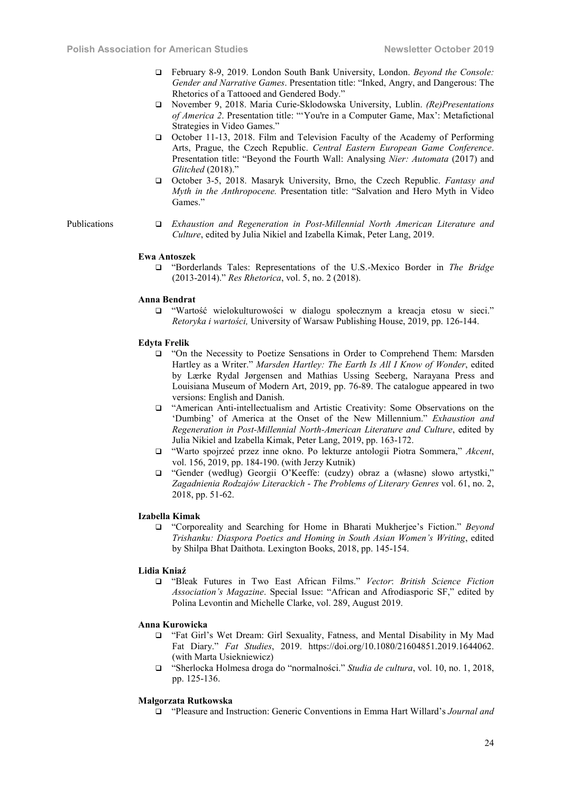- February 8-9, 2019. London South Bank University, London. *Beyond the Console: Gender and Narrative Games*. Presentation title: "Inked, Angry, and Dangerous: The Rhetorics of a Tattooed and Gendered Body."
- November 9, 2018. Maria Curie-Sklodowska University, Lublin. *(Re)Presentations of America 2*. Presentation title: "'You're in a Computer Game, Max': Metafictional Strategies in Video Games."
- October 11-13, 2018. Film and Television Faculty of the Academy of Performing Arts, Prague, the Czech Republic. *Central Eastern European Game Conference*. Presentation title: "Beyond the Fourth Wall: Analysing *Nier: Automata* (2017) and *Glitched* (2018)."
- October 3-5, 2018. Masaryk University, Brno, the Czech Republic. *Fantasy and Myth in the Anthropocene.* Presentation title: "Salvation and Hero Myth in Video Games."

Publications *Exhaustion and Regeneration in Post-Millennial North American Literature and Culture*, edited by Julia Nikiel and Izabella Kimak, Peter Lang, 2019.

#### Ewa Antoszek

 "Borderlands Tales: Representations of the U.S.-Mexico Border in *The Bridge* (2013-2014)." *Res Rhetorica*, vol. 5, no. 2 (2018).

#### Anna Bendrat

 "Wartość wielokulturowości w dialogu społecznym a kreacja etosu w sieci." *Retoryka i wartości,* University of Warsaw Publishing House, 2019, pp. 126-144.

#### Edyta Frelik

- "On the Necessity to Poetize Sensations in Order to Comprehend Them: Marsden Hartley as a Writer." *Marsden Hartley: The Earth Is All I Know of Wonder*, edited by Lærke Rydal Jørgensen and Mathias Ussing Seeberg, Narayana Press and Louisiana Museum of Modern Art, 2019, pp. 76-89. The catalogue appeared in two versions: English and Danish.
- "American Anti-intellectualism and Artistic Creativity: Some Observations on the 'Dumbing' of America at the Onset of the New Millennium." *Exhaustion and Regeneration in Post-Millennial North-American Literature and Culture*, edited by Julia Nikiel and Izabella Kimak, Peter Lang, 2019, pp. 163-172.
- "Warto spojrzeć przez inne okno. Po lekturze antologii Piotra Sommera," *Akcent*, vol. 156, 2019, pp. 184-190. (with Jerzy Kutnik)
- "Gender (według) Georgii O'Keeffe: (cudzy) obraz a (własne) słowo artystki," *Zagadnienia Rodzajów Literackich* - *The Problems of Literary Genres* vol. 61, no. 2, 2018, pp. 51-62.

#### Izabella Kimak

 "Corporeality and Searching for Home in Bharati Mukherjee's Fiction." *Beyond Trishanku: Diaspora Poetics and Homing in South Asian Women's Writing*, edited by Shilpa Bhat Daithota. Lexington Books, 2018, pp. 145-154.

#### Lidia Kniaź

 "Bleak Futures in Two East African Films." *Vector*: *British Science Fiction Association's Magazine*. Special Issue: "African and Afrodiasporic SF," edited by Polina Levontin and Michelle Clarke, vol. 289, August 2019.

#### Anna Kurowicka

- "Fat Girl's Wet Dream: Girl Sexuality, Fatness, and Mental Disability in My Mad Fat Diary." *Fat Studies*, 2019. https://doi.org/10.1080/21604851.2019.1644062. (with Marta Usiekniewicz)
- "Sherlocka Holmesa droga do "normalności." *Studia de cultura*, vol. 10, no. 1, 2018, pp. 125-136.

#### Małgorzata Rutkowska

"Pleasure and Instruction: Generic Conventions in Emma Hart Willard's *Journal and*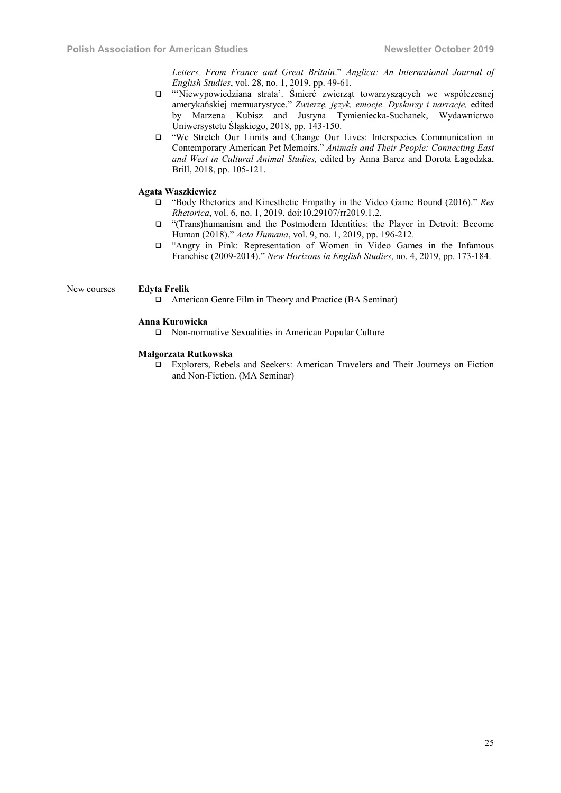*Letters, From France and Great Britain*." *Anglica: An International Journal of English Studies*, vol. 28, no. 1, 2019, pp. 49-61.

- "'Niewypowiedziana strata'. Śmierć zwierząt towarzyszących we współczesnej amerykańskiej memuarystyce." *Zwierzę, język, emocje. Dyskursy i narracje,* edited by Marzena Kubisz and Justyna Tymieniecka-Suchanek, Wydawnictwo Uniwersystetu Śląskiego, 2018, pp. 143-150.
- "We Stretch Our Limits and Change Our Lives: Interspecies Communication in Contemporary American Pet Memoirs." *Animals and Their People: Connecting East and West in Cultural Animal Studies,* edited by Anna Barcz and Dorota Łagodzka, Brill, 2018, pp. 105-121.

#### Agata Waszkiewicz

- "Body Rhetorics and Kinesthetic Empathy in the Video Game Bound (2016)." *Res Rhetorica*, vol. 6, no. 1, 2019. doi:10.29107/rr2019.1.2.
- "(Trans)humanism and the Postmodern Identities: the Player in Detroit: Become Human (2018)." *Acta Humana*, vol. 9, no. 1, 2019, pp. 196-212.
- "Angry in Pink: Representation of Women in Video Games in the Infamous Franchise (2009-2014)." *New Horizons in English Studies*, no. 4, 2019, pp. 173-184.

# New courses Edyta Frelik

American Genre Film in Theory and Practice (BA Seminar)

#### Anna Kurowicka

Non-normative Sexualities in American Popular Culture

### Małgorzata Rutkowska

 Explorers, Rebels and Seekers: American Travelers and Their Journeys on Fiction and Non-Fiction. (MA Seminar)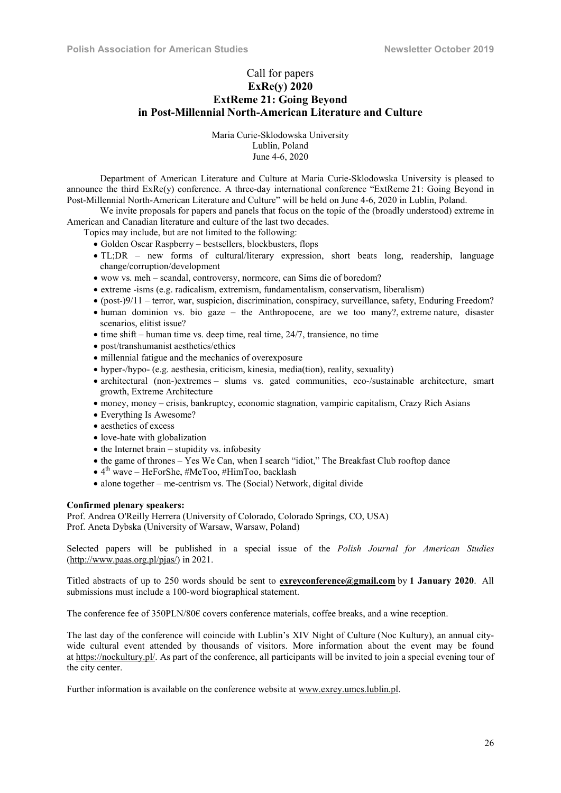# Call for papers ExRe(y) 2020 ExtReme 21: Going Beyond in Post-Millennial North-American Literature and Culture

Maria Curie-Sklodowska University Lublin, Poland June 4-6, 2020

Department of American Literature and Culture at Maria Curie-Sklodowska University is pleased to announce the third ExRe(y) conference. A three-day international conference "ExtReme 21: Going Beyond in Post-Millennial North-American Literature and Culture" will be held on June 4-6, 2020 in Lublin, Poland.

We invite proposals for papers and panels that focus on the topic of the (broadly understood) extreme in American and Canadian literature and culture of the last two decades.

Topics may include, but are not limited to the following:

- Golden Oscar Raspberry bestsellers, blockbusters, flops
- TL;DR new forms of cultural/literary expression, short beats long, readership, language change/corruption/development
- wow vs. meh scandal, controversy, normcore, can Sims die of boredom?
- extreme -isms (e.g. radicalism, extremism, fundamentalism, conservatism, liberalism)
- $\bullet$  (post-)9/11 terror, war, suspicion, discrimination, conspiracy, surveillance, safety, Enduring Freedom?
- human dominion vs. bio gaze the Anthropocene, are we too many?, extreme nature, disaster scenarios, elitist issue?
- $\bullet$  time shift human time vs. deep time, real time, 24/7, transience, no time
- post/transhumanist aesthetics/ethics
- millennial fatigue and the mechanics of overexposure
- hyper-/hypo- (e.g. aesthesia, criticism, kinesia, media(tion), reality, sexuality)
- architectural (non-)extremes slums vs. gated communities, eco-/sustainable architecture, smart growth, Extreme Architecture
- money, money crisis, bankruptcy, economic stagnation, vampiric capitalism, Crazy Rich Asians
- Everything Is Awesome?
- aesthetics of excess
- love-hate with globalization
- $\bullet$  the Internet brain stupidity vs. infobesity
- the game of thrones Yes We Can, when I search "idiot," The Breakfast Club rooftop dance
- $\bullet$  4<sup>th</sup> wave HeForShe, #MeToo, #HimToo, backlash
- alone together me-centrism vs. The (Social) Network, digital divide

# Confirmed plenary speakers:

Prof. Andrea O'Reilly Herrera (University of Colorado, Colorado Springs, CO, USA) Prof. Aneta Dybska (University of Warsaw, Warsaw, Poland)

Selected papers will be published in a special issue of the *Polish Journal for American Studies*  (http://www.paas.org.pl/pjas/) in 2021.

Titled abstracts of up to 250 words should be sent to  $exreyconference(\mathcal{Qgmail.com}$  by 1 January 2020. All submissions must include a 100-word biographical statement.

The conference fee of 350PLN/80€ covers conference materials, coffee breaks, and a wine reception.

The last day of the conference will coincide with Lublin's XIV Night of Culture (Noc Kultury), an annual citywide cultural event attended by thousands of visitors. More information about the event may be found at https://nockultury.pl/. As part of the conference, all participants will be invited to join a special evening tour of the city center.

Further information is available on the conference website at www.exrey.umcs.lublin.pl.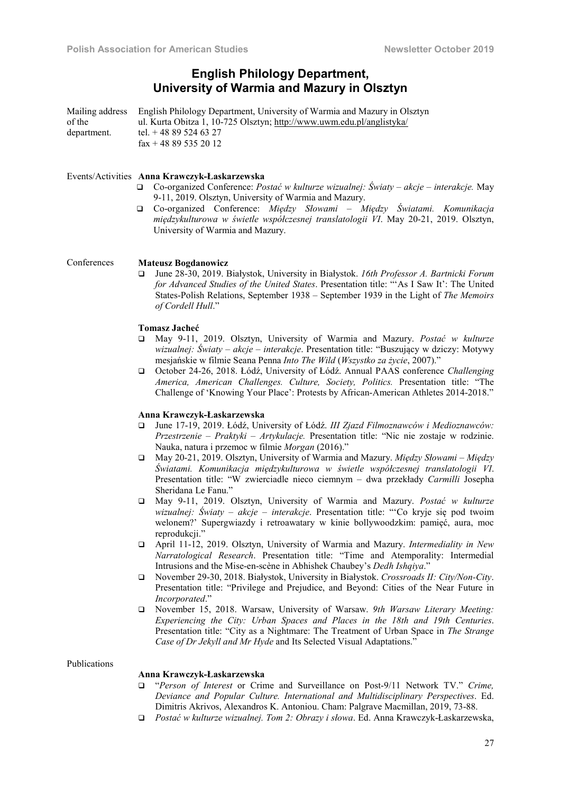# English Philology Department, University of Warmia and Mazury in Olsztyn

Mailing address of the department. English Philology Department, University of Warmia and Mazury in Olsztyn ul. Kurta Obitza 1, 10-725 Olsztyn; http://www.uwm.edu.pl/anglistyka/ tel. + 48 89 524 63 27  $\text{fax} + 48895352012$ 

### Events/Activities Anna Krawczyk-Łaskarzewska

- Co-organized Conference: *Postać w kulturze wizualnej: Światy – akcje – interakcje.* May 9-11, 2019. Olsztyn, University of Warmia and Mazury.
- Co-organized Conference: *Między Słowami – Między Światami. Komunikacja międzykulturowa w świetle współczesnej translatologii VI*. May 20-21, 2019. Olsztyn, University of Warmia and Mazury.

Conferences Mateusz Bogdanowicz

 June 28-30, 2019. Białystok, University in Białystok. *16th Professor A. Bartnicki Forum for Advanced Studies of the United States*. Presentation title: "'As I Saw It': The United States-Polish Relations, September 1938 – September 1939 in the Light of *The Memoirs of Cordell Hull*."

### Tomasz Jacheć

- May 9-11, 2019. Olsztyn, University of Warmia and Mazury. *Postać w kulturze wizualnej: Światy – akcje – interakcje*. Presentation title: "Buszujący w dziczy: Motywy mesjańskie w filmie Seana Penna *Into The Wild* (*Wszystko za życie*, 2007)."
- October 24-26, 2018. Łódź, University of Łódź. Annual PAAS conference *Challenging America, American Challenges. Culture, Society, Politics.* Presentation title: "The Challenge of 'Knowing Your Place': Protests by African-American Athletes 2014-2018."

#### Anna Krawczyk-Łaskarzewska

- June 17-19, 2019. Łódź, University of Łódź. *III Zjazd Filmoznawców i Medioznawców: Przestrzenie – Praktyki – Artykulacje.* Presentation title: "Nic nie zostaje w rodzinie. Nauka, natura i przemoc w filmie *Morgan* (2016)."
- May 20-21, 2019. Olsztyn, University of Warmia and Mazury. *Między Słowami – Między Światami. Komunikacja międzykulturowa w świetle współczesnej translatologii VI*. Presentation title: "W zwierciadle nieco ciemnym – dwa przekłady *Carmilli* Josepha Sheridana Le Fanu."
- May 9-11, 2019. Olsztyn, University of Warmia and Mazury. *Postać w kulturze wizualnej: Światy – akcje – interakcje*. Presentation title: "'Co kryje się pod twoim welonem?' Supergwiazdy i retroawatary w kinie bollywoodzkim: pamięć, aura, moc reprodukcji."
- April 11-12, 2019. Olsztyn, University of Warmia and Mazury. *Intermediality in New Narratological Research*. Presentation title: "Time and Atemporality: Intermedial Intrusions and the Mise-en-scène in Abhishek Chaubey's *Dedh Ishqiya*."
- November 29-30, 2018. Białystok, University in Białystok. *Crossroads II: City/Non-City*. Presentation title: "Privilege and Prejudice, and Beyond: Cities of the Near Future in *Incorporated*."
- November 15, 2018. Warsaw, University of Warsaw. *9th Warsaw Literary Meeting: Experiencing the City: Urban Spaces and Places in the 18th and 19th Centuries*. Presentation title: "City as a Nightmare: The Treatment of Urban Space in *The Strange Case of Dr Jekyll and Mr Hyde* and Its Selected Visual Adaptations."

# Publications

# Anna Krawczyk-Łaskarzewska

- "*Person of Interest* or Crime and Surveillance on Post-9/11 Network TV." *Crime, Deviance and Popular Culture. International and Multidisciplinary Perspectives*. Ed. Dimitris Akrivos, Alexandros K. Antoniou. Cham: Palgrave Macmillan, 2019, 73-88.
- *Postać w kulturze wizualnej. Tom 2: Obrazy i słowa*. Ed. Anna Krawczyk-Łaskarzewska,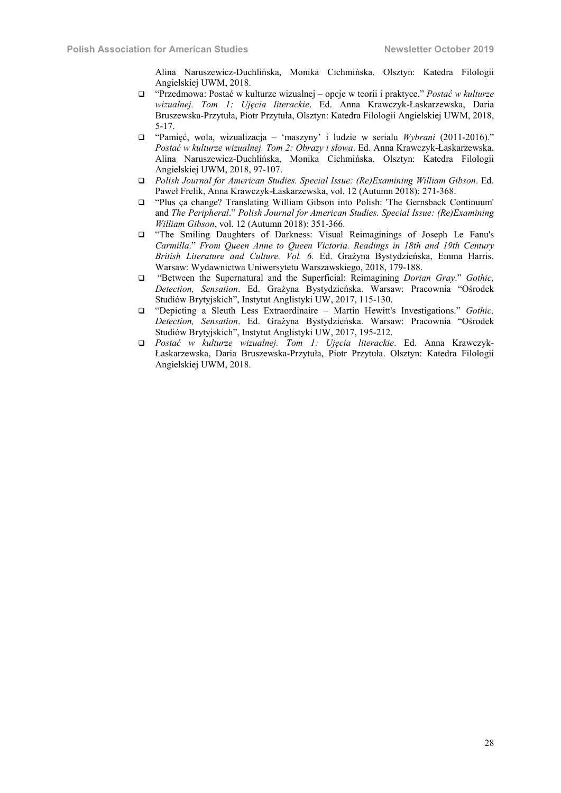Alina Naruszewicz-Duchlińska, Monika Cichmińska. Olsztyn: Katedra Filologii Angielskiej UWM, 2018.

- "Przedmowa: Postać w kulturze wizualnej opcje w teorii i praktyce." *Postać w kulturze wizualnej. Tom 1: Ujęcia literackie*. Ed. Anna Krawczyk-Łaskarzewska, Daria Bruszewska-Przytuła, Piotr Przytuła, Olsztyn: Katedra Filologii Angielskiej UWM, 2018, 5-17.
- "Pamięć, wola, wizualizacja 'maszyny' i ludzie w serialu *Wybrani* (2011-2016)." *Postać w kulturze wizualnej. Tom 2: Obrazy i słowa*. Ed. Anna Krawczyk-Łaskarzewska, Alina Naruszewicz-Duchlińska, Monika Cichmińska. Olsztyn: Katedra Filologii Angielskiej UWM, 2018, 97-107.
- *Polish Journal for American Studies. Special Issue: (Re)Examining William Gibson*. Ed. Paweł Frelik, Anna Krawczyk-Łaskarzewska, vol. 12 (Autumn 2018): 271-368.
- "Plus ça change? Translating William Gibson into Polish: 'The Gernsback Continuum' and *The Peripheral*." *Polish Journal for American Studies. Special Issue: (Re)Examining William Gibson*, vol. 12 (Autumn 2018): 351-366.
- "The Smiling Daughters of Darkness: Visual Reimaginings of Joseph Le Fanu's *Carmilla*." *From Queen Anne to Queen Victoria. Readings in 18th and 19th Century British Literature and Culture. Vol. 6.* Ed. Grażyna Bystydzieńska, Emma Harris. Warsaw: Wydawnictwa Uniwersytetu Warszawskiego, 2018, 179-188.
- "Between the Supernatural and the Superficial: Reimagining *Dorian Gray*." *Gothic, Detection, Sensation*. Ed. Grażyna Bystydzieńska. Warsaw: Pracownia "Ośrodek Studiów Brytyjskich", Instytut Anglistyki UW, 2017, 115-130.
- "Depicting a Sleuth Less Extraordinaire Martin Hewitt's Investigations." *Gothic, Detection, Sensation*. Ed. Grażyna Bystydzieńska. Warsaw: Pracownia "Ośrodek Studiów Brytyjskich", Instytut Anglistyki UW, 2017, 195-212.
- *Postać w kulturze wizualnej. Tom 1: Ujęcia literackie*. Ed. Anna Krawczyk-Łaskarzewska, Daria Bruszewska-Przytuła, Piotr Przytuła. Olsztyn: Katedra Filologii Angielskiej UWM, 2018.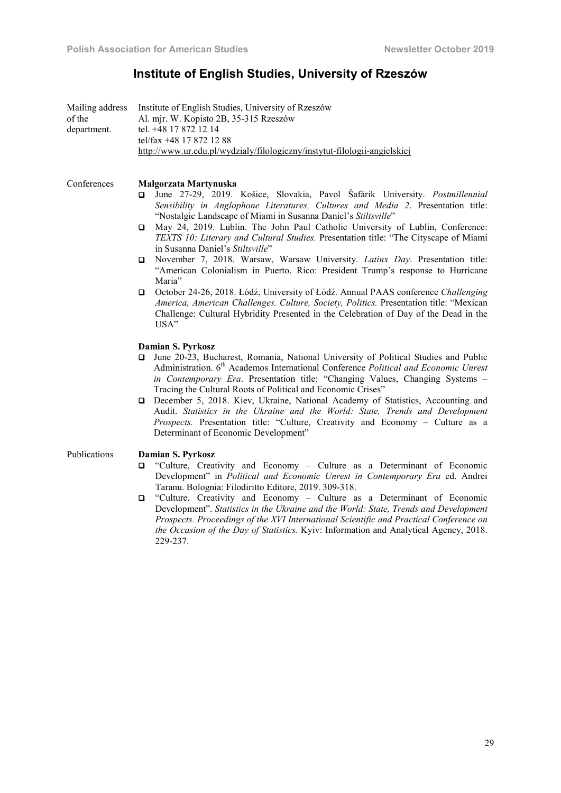# Institute of English Studies, University of Rzeszów

|             | Mailing address Institute of English Studies, University of Rzeszów       |
|-------------|---------------------------------------------------------------------------|
| of the      | Al. mjr. W. Kopisto 2B, 35-315 Rzeszów                                    |
| department. | tel. +48 17 872 12 14                                                     |
|             | tel/fax $+48$ 17 872 12 88                                                |
|             | http://www.ur.edu.pl/wydzialy/filologiczny/instytut-filologii-angielskiej |

Conferences Małgorzata Martynuska

- June 27-29, 2019. Košice, Slovakia, Pavol Šafárik University. *Postmillennial Sensibility in Anglophone Literatures, Cultures and Media 2*. Presentation title: "Nostalgic Landscape of Miami in Susanna Daniel's *Stiltsville*"
- May 24, 2019. Lublin. The John Paul Catholic University of Lublin, Conference: *TEXTS 10: Literary and Cultural Studies.* Presentation title: "The Cityscape of Miami in Susanna Daniel's *Stiltsville*"
- November 7, 2018. Warsaw, Warsaw University. *Latinx Day*. Presentation title: "American Colonialism in Puerto. Rico: President Trump's response to Hurricane Maria"
- October 24-26, 2018. Łódź, University of Łódź. Annual PAAS conference *Challenging America, American Challenges. Culture, Society, Politics.* Presentation title: "Mexican Challenge: Cultural Hybridity Presented in the Celebration of Day of the Dead in the USA"

# Damian S. Pyrkosz

- June 20-23, Bucharest, Romania, National University of Political Studies and Public Administration. 6<sup>th</sup> Academos International Conference *Political and Economic Unrest in Contemporary Era*. Presentation title: "Changing Values, Changing Systems – Tracing the Cultural Roots of Political and Economic Crises"
- December 5, 2018. Kiev, Ukraine, National Academy of Statistics, Accounting and Audit. *Statistics in the Ukraine and the World: State, Trends and Development Prospects.* Presentation title: "Culture, Creativity and Economy – Culture as a Determinant of Economic Development"

# Publications Damian S. Pyrkosz

- "Culture, Creativity and Economy Culture as a Determinant of Economic Development" in *Political and Economic Unrest in Contemporary Era* ed. Andrei Taranu. Bolognia: Filodiritto Editore, 2019. 309-318.
- "Culture, Creativity and Economy Culture as a Determinant of Economic Development". *Statistics in the Ukraine and the World: State, Trends and Development Prospects. Proceedings of the XVI International Scientific and Practical Conference on the Occasion of the Day of Statistics.* Kyiv: Information and Analytical Agency, 2018. 229-237.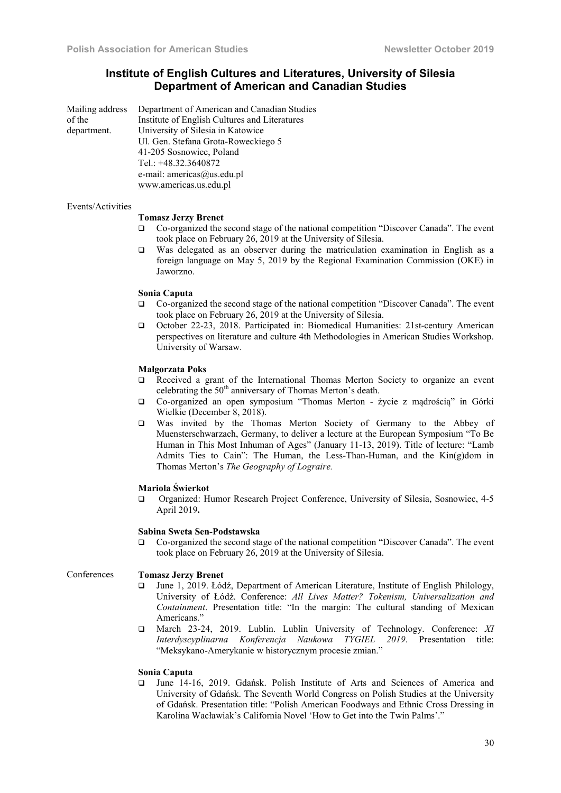# Institute of English Cultures and Literatures, University of Silesia Department of American and Canadian Studies

| Mailing address | Department of American and Canadian Studies   |
|-----------------|-----------------------------------------------|
| of the          | Institute of English Cultures and Literatures |
| department.     | University of Silesia in Katowice             |
|                 | Ul. Gen. Stefana Grota-Roweckiego 5           |
|                 | 41-205 Sosnowiec, Poland                      |
|                 | Tel.: $+48.32.3640872$                        |
|                 | e-mail: americas@us.edu.pl                    |
|                 | www.americas.us.edu.pl                        |

#### Events/Activities

#### Tomasz Jerzy Brenet

- Co-organized the second stage of the national competition "Discover Canada". The event took place on February 26, 2019 at the University of Silesia.
- Was delegated as an observer during the matriculation examination in English as a foreign language on May 5, 2019 by the Regional Examination Commission (OKE) in Jaworzno.

#### Sonia Caputa

- Co-organized the second stage of the national competition "Discover Canada". The event took place on February 26, 2019 at the University of Silesia.
- October 22-23, 2018. Participated in: Biomedical Humanities: 21st-century American perspectives on literature and culture 4th Methodologies in American Studies Workshop. University of Warsaw.

#### Małgorzata Poks

- Received a grant of the International Thomas Merton Society to organize an event celebrating the  $50<sup>th</sup>$  anniversary of Thomas Merton's death.
- Co-organized an open symposium "Thomas Merton życie z mądrością" in Górki Wielkie (December 8, 2018).
- Was invited by the Thomas Merton Society of Germany to the Abbey of Muensterschwarzach, Germany, to deliver a lecture at the European Symposium "To Be Human in This Most Inhuman of Ages" (January 11-13, 2019). Title of lecture: "Lamb Admits Ties to Cain": The Human, the Less-Than-Human, and the Kin(g)dom in Thomas Merton's *The Geography of Lograire.*

#### Mariola Świerkot

 Organized: Humor Research Project Conference, University of Silesia, Sosnowiec, 4-5 April 2019.

#### Sabina Sweta Sen-Podstawska

 Co-organized the second stage of the national competition "Discover Canada". The event took place on February 26, 2019 at the University of Silesia.

# Conferences Tomasz Jerzy Brenet

- June 1, 2019. Łódź, Department of American Literature, Institute of English Philology, University of Łódź. Conference: *All Lives Matter? Tokenism, Universalization and Containment*. Presentation title: "In the margin: The cultural standing of Mexican Americans."
- March 23-24, 2019. Lublin. Lublin University of Technology. Conference: *XI Interdyscyplinarna Konferencja Naukowa TYGIEL 2019*. Presentation title: "Meksykano-Amerykanie w historycznym procesie zmian."

#### Sonia Caputa

 June 14-16, 2019. Gdańsk. Polish Institute of Arts and Sciences of America and University of Gdańsk. The Seventh World Congress on Polish Studies at the University of Gdańsk. Presentation title: "Polish American Foodways and Ethnic Cross Dressing in Karolina Wacławiak's California Novel 'How to Get into the Twin Palms'."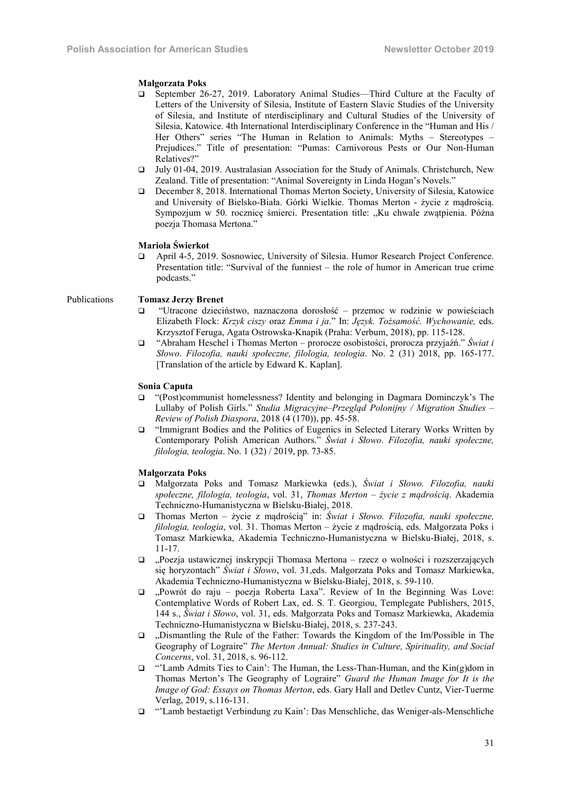#### Małgorzata Poks

- September 26-27, 2019. Laboratory Animal Studies—Third Culture at the Faculty of Letters of the University of Silesia, Institute of Eastern Slavic Studies of the University of Silesia, and Institute of nterdisciplinary and Cultural Studies of the University of Silesia, Katowice. 4th International Interdisciplinary Conference in the "Human and His / Her Others" series "The Human in Relation to Animals: Myths – Stereotypes – Prejudices." Title of presentation: "Pumas: Carnivorous Pests or Our Non-Human Relatives?"
- July 01-04, 2019. Australasian Association for the Study of Animals. Christchurch, New Zealand. Title of presentation: "Animal Sovereignty in Linda Hogan's Novels."
- December 8, 2018. International Thomas Merton Society, University of Silesia, Katowice and University of Bielsko-Biała. Górki Wielkie. Thomas Merton - życie z mądrością. Sympozjum w 50. rocznice śmierci. Presentation title: "Ku chwale zwatpienia. Późna poezja Thomasa Mertona."

# Mariola Świerkot

 April 4-5, 2019. Sosnowiec, University of Silesia. Humor Research Project Conference. Presentation title: "Survival of the funniest – the role of humor in American true crime podcasts."

#### Publications Tomasz Jerzy Brenet

- "Utracone dzieciństwo, naznaczona dorosłość przemoc w rodzinie w powieściach Elizabeth Flock: *Krzyk ciszy* oraz *Emma i ja*." In: *Język. Tożsamość. Wychowanie,* eds. Krzysztof Feruga, Agata Ostrowska-Knapik (Praha: Verbum, 2018), pp. 115-128.
- "Abraham Heschel i Thomas Merton prorocze osobistości, prorocza przyjaźń." *Świat i Słowo*. *Filozofia, nauki społeczne, filologia, teologia*. No. 2 (31) 2018, pp. 165-177. [Translation of the article by Edward K. Kaplan].

# Sonia Caputa

- "(Post)communist homelessness? Identity and belonging in Dagmara Dominczyk's The Lullaby of Polish Girls." *Studia Migracyjne–Przegląd Polonijny / Migration Studies – Review of Polish Diaspora*, 2018 (4 (170)), pp. 45-58.
- "Immigrant Bodies and the Politics of Eugenics in Selected Literary Works Written by Contemporary Polish American Authors." *Świat i Słowo*. *Filozofia, nauki społeczne, filologia, teologia*. No. 1 (32) / 2019, pp. 73-85.

#### Małgorzata Poks

- Małgorzata Poks and Tomasz Markiewka (eds.), *Świat i Słowo. Filozofia, nauki społeczne, filologia, teologia*, vol. 31, *Thomas Merton – życie z mądrością*. Akademia Techniczno-Humanistyczna w Bielsku-Białej, 2018.
- Thomas Merton życie z mądrością" in: *Świat i Słowo. Filozofia, nauki społeczne, filologia, teologia*, vol. 31. Thomas Merton – życie z mądrością, eds. Małgorzata Poks i Tomasz Markiewka, Akademia Techniczno-Humanistyczna w Bielsku-Białej, 2018, s. 11-17.
- "Poezja ustawicznej inskrypcji Thomasa Mertona rzecz o wolności i rozszerzających się horyzontach" *Świat i Słowo*, vol. 31,eds. Małgorzata Poks and Tomasz Markiewka, Akademia Techniczno-Humanistyczna w Bielsku-Białej, 2018, s. 59-110.
- "Powrót do raju poezja Roberta Laxa". Review of In the Beginning Was Love: Contemplative Words of Robert Lax, ed. S. T. Georgiou, Templegate Publishers, 2015, 144 s., *Świat i Słowo*, vol. 31, eds. Małgorzata Poks and Tomasz Markiewka, Akademia Techniczno-Humanistyczna w Bielsku-Białej, 2018, s. 237-243.
- $\Box$ , Dismantling the Rule of the Father: Towards the Kingdom of the Im/Possible in The Geography of Lograire" *The Merton Annual: Studies in Culture, Spirituality, and Social Concerns*, vol. 31, 2018, s. 96-112.
- "'Lamb Admits Ties to Cain': The Human, the Less-Than-Human, and the Kin(g)dom in Thomas Merton's The Geography of Lograire" *Guard the Human Image for It is the Image of God: Essays on Thomas Merton*, eds. Gary Hall and Detlev Cuntz, Vier-Tuerme Verlag, 2019, s.116-131.
- "'Lamb bestaetigt Verbindung zu Kain': Das Menschliche, das Weniger-als-Menschliche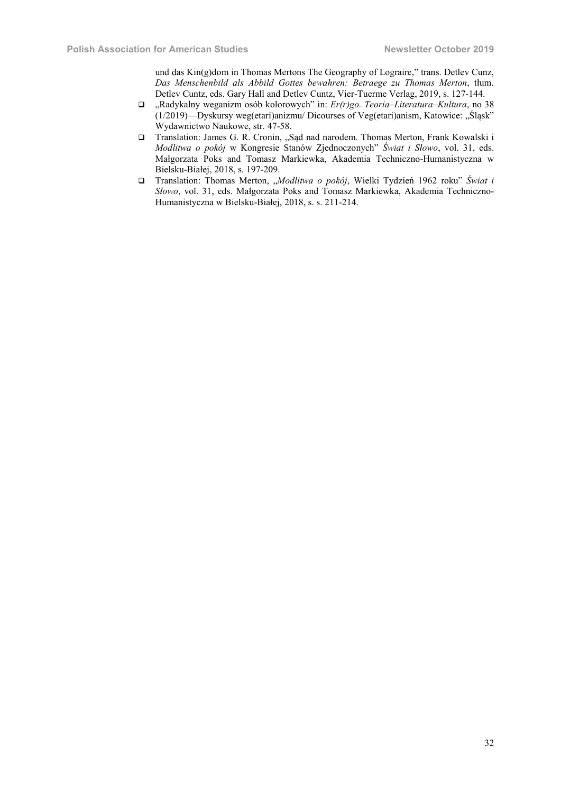und das Kin(g)dom in Thomas Mertons The Geography of Lograire," trans. Detlev Cunz, *Das Menschenbild als Abbild Gottes bewahren: Betraege zu Thomas Merton*, tłum. Detlev Cuntz, eds. Gary Hall and Detlev Cuntz, Vier-Tuerme Verlag, 2019, s. 127-144.

- "Radykalny weganizm osób kolorowych" in: *Er(r)go. Teoria–Literatura–Kultura*, no 38  $(1/2019)$ —Dyskursy weg(etari)anizmu/ Dicourses of Veg(etari)anism, Katowice: "Śląsk" Wydawnictwo Naukowe, str. 47-58.
- □ Translation: James G. R. Cronin, "Sąd nad narodem. Thomas Merton, Frank Kowalski i *Modlitwa o pokój* w Kongresie Stanów Zjednoczonych" *Świat i Słowo*, vol. 31, eds. Małgorzata Poks and Tomasz Markiewka, Akademia Techniczno-Humanistyczna w Bielsku-Białej, 2018, s. 197-209.
- □ Translation: Thomas Merton, "Modlitwa o pokój, Wielki Tydzień 1962 roku" Świat i *Słowo*, vol. 31, eds. Małgorzata Poks and Tomasz Markiewka, Akademia Techniczno-Humanistyczna w Bielsku-Białej, 2018, s. s. 211-214.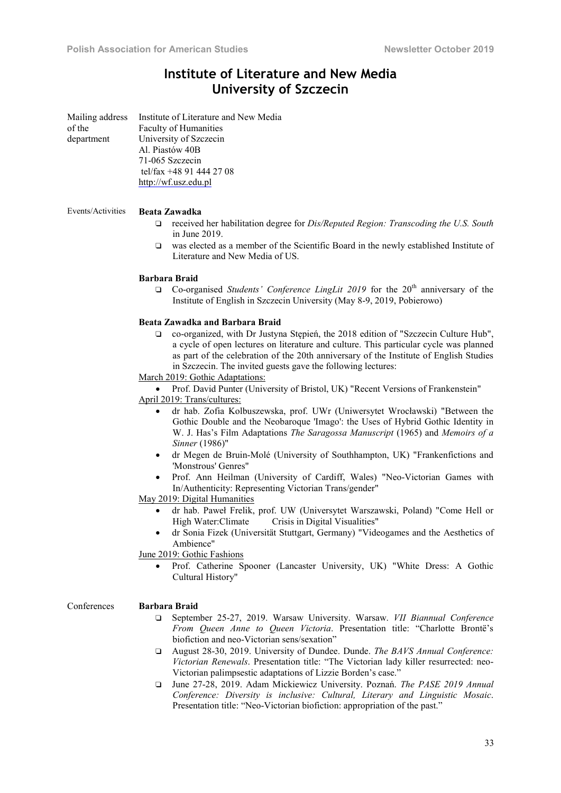# Institute of Literature and New Media University of Szczecin

| Mailing address<br>of the<br>department | Institute of Literature and New Media<br>Faculty of Humanities<br>University of Szczecin<br>Al. Piastów 40B<br>71-065 Szczecin<br>tel/fax +48 91 444 27 08<br>http://wf.usz.edu.pl                                                                                                                                                                                                                                                                                                                                                                    |
|-----------------------------------------|-------------------------------------------------------------------------------------------------------------------------------------------------------------------------------------------------------------------------------------------------------------------------------------------------------------------------------------------------------------------------------------------------------------------------------------------------------------------------------------------------------------------------------------------------------|
| Events/Activities                       | <b>Beata Zawadka</b><br>received her habilitation degree for <i>Dis/Reputed Region: Transcoding the U.S. South</i><br>❏<br>in June 2019.<br>was elected as a member of the Scientific Board in the newly established Institute of<br>$\Box$<br>Literature and New Media of US.                                                                                                                                                                                                                                                                        |
|                                         | <b>Barbara Braid</b><br>Co-organised Students' Conference LingLit 2019 for the 20 <sup>th</sup> anniversary of the<br>Q<br>Institute of English in Szczecin University (May 8-9, 2019, Pobierowo)                                                                                                                                                                                                                                                                                                                                                     |
|                                         | Beata Zawadka and Barbara Braid<br>co-organized, with Dr Justyna Stepień, the 2018 edition of "Szczecin Culture Hub",<br>$\Box$<br>a cycle of open lectures on literature and culture. This particular cycle was planned<br>as part of the celebration of the 20th anniversary of the Institute of English Studies<br>in Szczecin. The invited guests gave the following lectures:<br>March 2019: Gothic Adaptations:<br>Prof. David Punter (University of Bristol, UK) "Recent Versions of Frankenstein"<br>$\bullet$<br>April 2019: Trans/cultures: |
|                                         | dr hab. Zofia Kolbuszewska, prof. UWr (Uniwersytet Wrocławski) "Between the<br>$\bullet$<br>Gothic Double and the Neobaroque 'Imago': the Uses of Hybrid Gothic Identity in<br>W. J. Has's Film Adaptations The Saragossa Manuscript (1965) and Memoirs of a<br>Sinner (1986)"<br>dr Megen de Bruin-Molé (University of Southhampton, UK) "Frankenfictions and<br>$\bullet$<br>'Monstrous' Genres"<br>Prof. Ann Heilman (University of Cardiff, Wales) "Neo-Victorian Games with<br>$\bullet$                                                         |
|                                         | In/Authenticity: Representing Victorian Trans/gender"<br>May 2019: Digital Humanities<br>dr hab. Paweł Frelik, prof. UW (Universytet Warszawski, Poland) "Come Hell or<br>$\bullet$<br>High Water: Climate Crisis in Digital Visualities"<br>dr Sonia Fizek (Universität Stuttgart, Germany) "Videogames and the Aesthetics of<br>Ambience"                                                                                                                                                                                                           |
|                                         | June 2019: Gothic Fashions<br>Prof. Catherine Spooner (Lancaster University, UK) "White Dress: A Gothic<br>$\bullet$<br>Cultural History"                                                                                                                                                                                                                                                                                                                                                                                                             |
| Conferences                             | <b>Barbara Braid</b><br>□ September 25-27, 2019. Warsaw University. Warsaw. VII Biannual Conference                                                                                                                                                                                                                                                                                                                                                                                                                                                   |

- ❑ September 25-27, 2019. Warsaw University. Warsaw. *VII Biannual Conference From Queen Anne to Queen Victoria*. Presentation title: "Charlotte Brontë's biofiction and neo-Victorian sens/sexation"
- ❑ August 28-30, 2019. University of Dundee. Dunde. *The BAVS Annual Conference: Victorian Renewals*. Presentation title: "The Victorian lady killer resurrected: neo-Victorian palimpsestic adaptations of Lizzie Borden's case."
- ❑ June 27-28, 2019. Adam Mickiewicz University. Poznań. *The PASE 2019 Annual Conference: Diversity is inclusive: Cultural, Literary and Linguistic Mosaic*. Presentation title: "Neo-Victorian biofiction: appropriation of the past."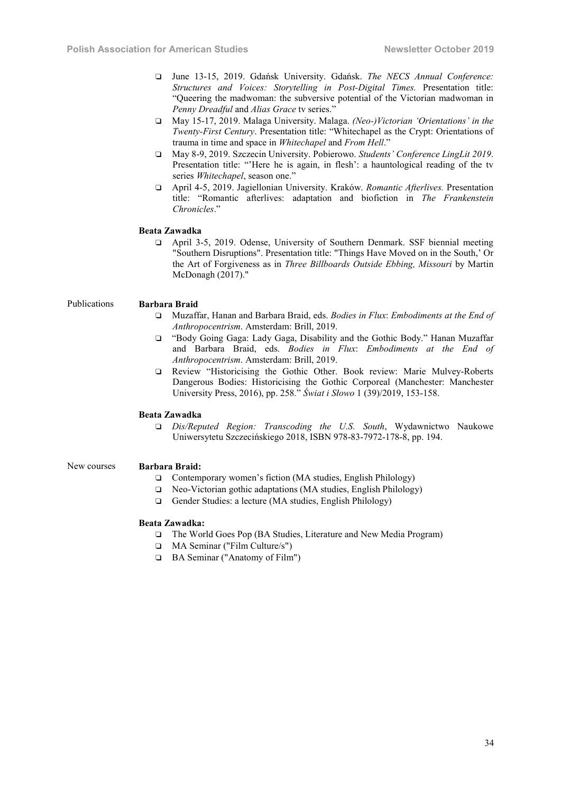- ❑ June 13-15, 2019. Gdańsk University. Gdańsk. *The NECS Annual Conference: Structures and Voices: Storytelling in Post-Digital Times.* Presentation title: "Queering the madwoman: the subversive potential of the Victorian madwoman in *Penny Dreadful* and *Alias Grace* tv series."
- ❑ May 15-17, 2019. Malaga University. Malaga. *(Neo-)Victorian 'Orientations' in the Twenty-First Century*. Presentation title: "Whitechapel as the Crypt: Orientations of trauma in time and space in *Whitechapel* and *From Hell*."
- ❑ May 8-9, 2019. Szczecin University. Pobierowo. *Students' Conference LingLit 2019*. Presentation title: "'Here he is again, in flesh': a hauntological reading of the tv series *Whitechapel*, season one."
- ❑ April 4-5, 2019. Jagiellonian University. Kraków. *Romantic Afterlives.* Presentation title: "Romantic afterlives: adaptation and biofiction in *The Frankenstein Chronicles*."

# Beata Zawadka

❑ April 3-5, 2019. Odense, University of Southern Denmark. SSF biennial meeting "Southern Disruptions". Presentation title: "Things Have Moved on in the South,' Or the Art of Forgiveness as in *Three Billboards Outside Ebbing, Missouri* by Martin McDonagh (2017)."

### Publications Barbara Braid

- ❑ Muzaffar, Hanan and Barbara Braid, eds. *Bodies in Flux*: *Embodiments at the End of Anthropocentrism*. Amsterdam: Brill, 2019.
- ❑ "Body Going Gaga: Lady Gaga, Disability and the Gothic Body." Hanan Muzaffar and Barbara Braid, eds. *Bodies in Flux*: *Embodiments at the End of Anthropocentrism*. Amsterdam: Brill, 2019.
- ❑ Review "Historicising the Gothic Other. Book review: Marie Mulvey-Roberts Dangerous Bodies: Historicising the Gothic Corporeal (Manchester: Manchester University Press, 2016), pp. 258*.*" *Świat i Słowo* 1 (39)/2019, 153-158.

#### Beata Zawadka

❑ *Dis/Reputed Region: Transcoding the U.S. South*, Wydawnictwo Naukowe Uniwersytetu Szczecińskiego 2018, ISBN 978-83-7972-178-8, pp. 194.

#### New courses Barbara Braid:

- ❑ Contemporary women's fiction (MA studies, English Philology)
- ❑ Neo-Victorian gothic adaptations (MA studies, English Philology)
- ❑ Gender Studies: a lecture (MA studies, English Philology)

#### Beata Zawadka:

- ❑ The World Goes Pop (BA Studies, Literature and New Media Program)
- ❑ MA Seminar ("Film Culture/s")
- ❑ BA Seminar ("Anatomy of Film")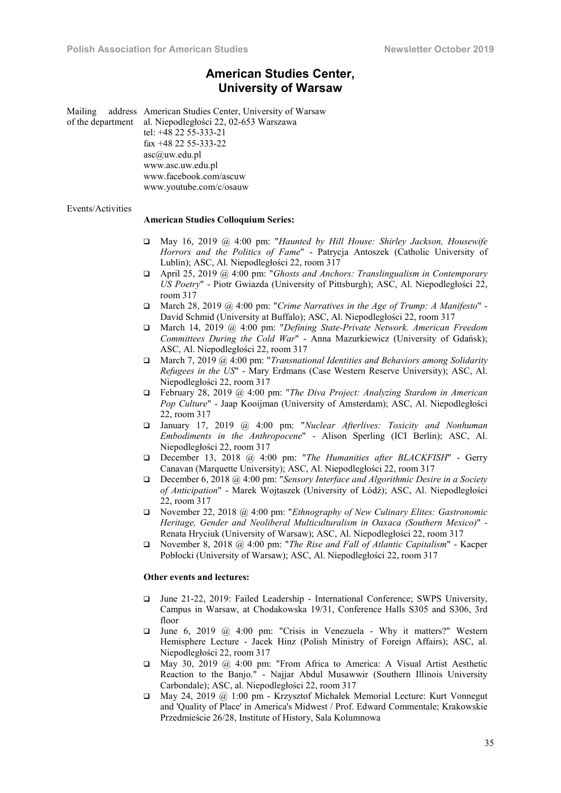# American Studies Center, University of Warsaw

Mailing address American Studies Center, University of Warsaw of the department al. Niepodległości 22, 02-653 Warszawa tel: +48 22 55-333-21 fax +48 22 55-333-22 asc@uw.edu.pl www.asc.uw.edu.pl www.facebook.com/ascuw www.youtube.com/c/osauw

#### Events/Activities

#### American Studies Colloquium Series:

- May 16, 2019 @ 4:00 pm: "*Haunted by Hill House: Shirley Jackson, Housewife Horrors and the Politics of Fame*" - Patrycja Antoszek (Catholic University of Lublin); ASC, Al. Niepodległości 22, room 317
- April 25, 2019 @ 4:00 pm: "*Ghosts and Anchors: Translingualism in Contemporary US Poetry*" - Piotr Gwiazda (University of Pittsburgh); ASC, Al. Niepodległości 22, room 317
- March 28, 2019 @ 4:00 pm: "*Crime Narratives in the Age of Trump: A Manifesto*" David Schmid (University at Buffalo); ASC, Al. Niepodległości 22, room 317
- March 14, 2019 @ 4:00 pm: "*Defining State-Private Network. American Freedom Committees During the Cold War*" - Anna Mazurkiewicz (University of Gdańsk); ASC, Al. Niepodległości 22, room 317
- March 7, 2019 @ 4:00 pm: "*Transnational Identities and Behaviors among Solidarity Refugees in the US*" - Mary Erdmans (Case Western Reserve University); ASC, Al. Niepodległości 22, room 317
- February 28, 2019 @ 4:00 pm: "*The Diva Project: Analyzing Stardom in American Pop Culture*" - Jaap Kooijman (University of Amsterdam); ASC, Al. Niepodległości 22, room 317
- January 17, 2019 @ 4:00 pm: "*Nuclear Afterlives: Toxicity and Nonhuman Embodiments in the Anthropocene*" - Alison Sperling (ICI Berlin); ASC, Al. Niepodległości 22, room 317
- December 13, 2018 @ 4:00 pm: "*The Humanities after BLACKFISH*" Gerry Canavan (Marquette University); ASC, Al. Niepodległości 22, room 317
- December 6, 2018 @ 4:00 pm: "*Sensory Interface and Algorithmic Desire in a Society of Anticipation*" - Marek Wojtaszek (University of Łódź); ASC, Al. Niepodległości 22, room 317
- November 22, 2018 @ 4:00 pm: "*Ethnography of New Culinary Elites: Gastronomic Heritage, Gender and Neoliberal Multiculturalism in Oaxaca (Southern Mexico)*" - Renata Hryciuk (University of Warsaw); ASC, Al. Niepodległości 22, room 317
- November 8, 2018 @ 4:00 pm: "*The Rise and Fall of Atlantic Capitalism*" Kacper Pobłocki (University of Warsaw); ASC, Al. Niepodległości 22, room 317

#### Other events and lectures:

- June 21-22, 2019: Failed Leadership International Conference; SWPS University, Campus in Warsaw, at Chodakowska 19/31, Conference Halls S305 and S306, 3rd floor
- $\Box$  June 6, 2019 @ 4:00 pm: "Crisis in Venezuela Why it matters?" Western Hemisphere Lecture - Jacek Hinz (Polish Ministry of Foreign Affairs); ASC, al. Niepodległości 22, room 317
- May 30, 2019 @ 4:00 pm: "From Africa to America: A Visual Artist Aesthetic Reaction to the Banjo." - Najjar Abdul Musawwir (Southern Illinois University Carbondale); ASC, al. Niepodległości 22, room 317
- May 24, 2019 @ 1:00 pm Krzysztof Michałek Memorial Lecture: Kurt Vonnegut and 'Quality of Place' in America's Midwest / Prof. Edward Commentale; Krakowskie Przedmieście 26/28, Institute of History, Sala Kolumnowa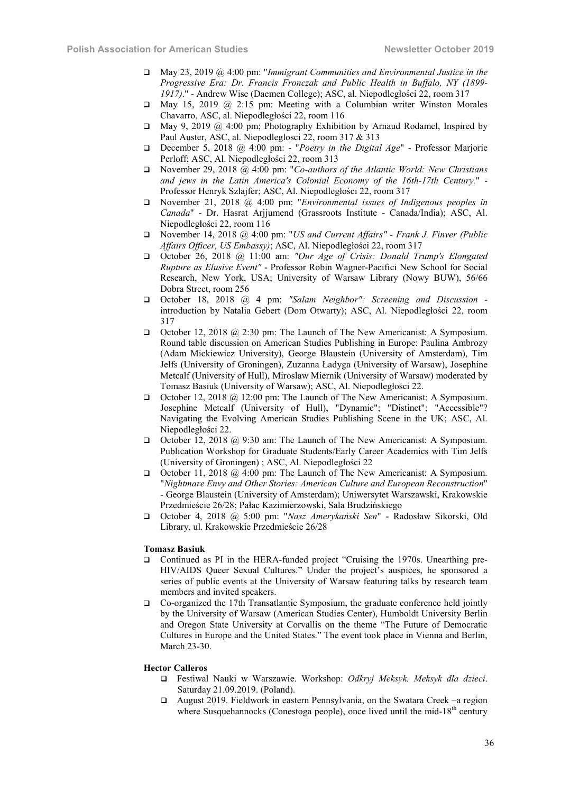- May 23, 2019 @ 4:00 pm: "*Immigrant Communities and Environmental Justice in the Progressive Era: Dr. Francis Fronczak and Public Health in Buffalo, NY (1899- 1917)*." - Andrew Wise (Daemen College); ASC, al. Niepodległości 22, room 317
- May 15, 2019 @ 2:15 pm: Meeting with a Columbian writer Winston Morales Chavarro, ASC, al. Niepodległości 22, room 116
- $\Box$  May 9, 2019 @ 4:00 pm; Photography Exhibition by Arnaud Rodamel, Inspired by Paul Auster, ASC, al. Niepodleglosci 22, room 317 & 313
- December 5, 2018 @ 4:00 pm: "*Poetry in the Digital Age*" Professor Marjorie Perloff; ASC, Al. Niepodległości 22, room 313
- November 29, 2018 @ 4:00 pm: "*Co-authors of the Atlantic World: New Christians and jews in the Latin America's Colonial Economy of the 16th-17th Century.*" - Professor Henryk Szlajfer; ASC, Al. Niepodległości 22, room 317
- November 21, 2018 @ 4:00 pm: "*Environmental issues of Indigenous peoples in Canada*" - Dr. Hasrat Arjjumend (Grassroots Institute - Canada/India); ASC, Al. Niepodległości 22, room 116
- November 14, 2018 @ 4:00 pm: "*US and Current Affairs" - Frank J. Finver (Public Affairs Officer, US Embassy)*; ASC, Al. Niepodległości 22, room 317
- October 26, 2018 @ 11:00 am: *"Our Age of Crisis: Donald Trump's Elongated Rupture as Elusive Event"* - Professor Robin Wagner-Pacifici New School for Social Research, New York, USA; University of Warsaw Library (Nowy BUW), 56/66 Dobra Street, room 256
- October 18, 2018 @ 4 pm: *"Salam Neighbor": Screening and Discussion* introduction by Natalia Gebert (Dom Otwarty); ASC, Al. Niepodległości 22, room 317
- October 12, 2018 @ 2:30 pm: The Launch of The New Americanist: A Symposium. Round table discussion on American Studies Publishing in Europe: Paulina Ambrozy (Adam Mickiewicz University), George Blaustein (University of Amsterdam), Tim Jelfs (University of Groningen), Zuzanna Ładyga (University of Warsaw), Josephine Metcalf (University of Hull), Miroslaw Miernik (University of Warsaw) moderated by Tomasz Basiuk (University of Warsaw); ASC, Al. Niepodległości 22.
- October 12, 2018 @ 12:00 pm: The Launch of The New Americanist: A Symposium. Josephine Metcalf (University of Hull), "Dynamic"; "Distinct"; "Accessible"? Navigating the Evolving American Studies Publishing Scene in the UK; ASC, Al. Niepodległości 22.
- October 12, 2018 @ 9:30 am: The Launch of The New Americanist: A Symposium. Publication Workshop for Graduate Students/Early Career Academics with Tim Jelfs (University of Groningen) ; ASC, Al. Niepodległości 22
- October 11, 2018  $\omega$  4:00 pm: The Launch of The New Americanist: A Symposium. "*Nightmare Envy and Other Stories: American Culture and European Reconstruction*" - George Blaustein (University of Amsterdam); Uniwersytet Warszawski, Krakowskie Przedmieście 26/28; Pałac Kazimierzowski, Sala Brudzińskiego
- October 4, 2018 @ 5:00 pm: "*Nasz Amerykański Sen*" Radosław Sikorski, Old Library, ul. Krakowskie Przedmieście 26/28

#### Tomasz Basiuk

- Continued as PI in the HERA-funded project "Cruising the 1970s. Unearthing pre-HIV/AIDS Queer Sexual Cultures." Under the project's auspices, he sponsored a series of public events at the University of Warsaw featuring talks by research team members and invited speakers.
- Co-organized the 17th Transatlantic Symposium, the graduate conference held jointly by the University of Warsaw (American Studies Center), Humboldt University Berlin and Oregon State University at Corvallis on the theme "The Future of Democratic Cultures in Europe and the United States." The event took place in Vienna and Berlin, March 23-30.

#### Hector Calleros

- Festiwal Nauki w Warszawie. Workshop: *Odkryj Meksyk. Meksyk dla dzieci*. Saturday 21.09.2019. (Poland).
- August 2019. Fieldwork in eastern Pennsylvania, on the Swatara Creek –a region where Susquehannocks (Conestoga people), once lived until the mid-18<sup>th</sup> century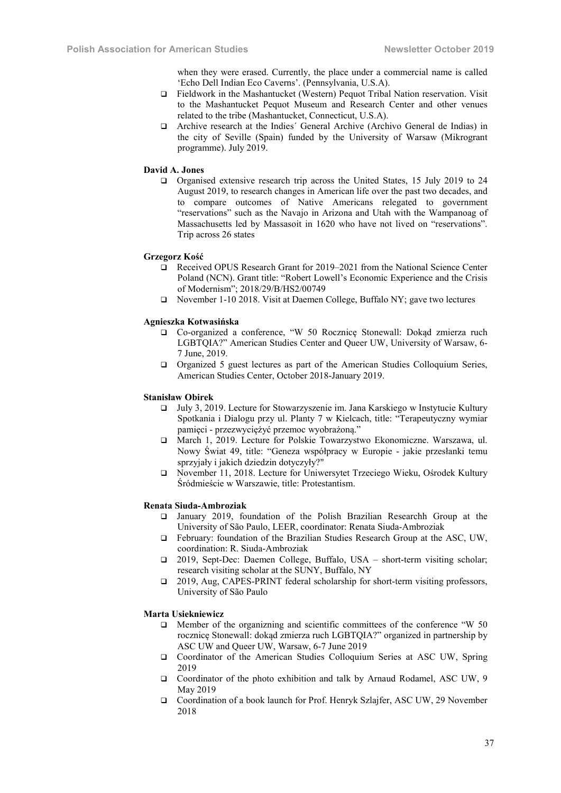when they were erased. Currently, the place under a commercial name is called 'Echo Dell Indian Eco Caverns'. (Pennsylvania, U.S.A).

- Fieldwork in the Mashantucket (Western) Pequot Tribal Nation reservation. Visit to the Mashantucket Pequot Museum and Research Center and other venues related to the tribe (Mashantucket, Connecticut, U.S.A).
- Archive research at the Indies´ General Archive (Archivo General de Indias) in the city of Seville (Spain) funded by the University of Warsaw (Mikrogrant programme). July 2019.

#### David A. Jones

 Organised extensive research trip across the United States, 15 July 2019 to 24 August 2019, to research changes in American life over the past two decades, and to compare outcomes of Native Americans relegated to government "reservations" such as the Navajo in Arizona and Utah with the Wampanoag of Massachusetts led by Massasoit in 1620 who have not lived on "reservations". Trip across 26 states

# Grzegorz Kość

- Received OPUS Research Grant for 2019–2021 from the National Science Center Poland (NCN). Grant title: "Robert Lowell's Economic Experience and the Crisis of Modernism"; 2018/29/B/HS2/00749
- November 1-10 2018. Visit at Daemen College, Buffalo NY; gave two lectures

# Agnieszka Kotwasińska

- Co-organized a conference, "W 50 Rocznicę Stonewall: Dokąd zmierza ruch LGBTQIA?" American Studies Center and Queer UW, University of Warsaw, 6- 7 June, 2019.
- Organized 5 guest lectures as part of the American Studies Colloquium Series, American Studies Center, October 2018-January 2019.

# Stanisław Obirek

- July 3, 2019. Lecture for Stowarzyszenie im. Jana Karskiego w Instytucie Kultury Spotkania i Dialogu przy ul. Planty 7 w Kielcach, title: "Terapeutyczny wymiar pamięci - przezwyciężyć przemoc wyobrażoną."
- March 1, 2019. Lecture for Polskie Towarzystwo Ekonomiczne. Warszawa, ul. Nowy Świat 49, title: "Geneza współpracy w Europie - jakie przesłanki temu sprzyjały i jakich dziedzin dotyczyły?"
- November 11, 2018. Lecture for Uniwersytet Trzeciego Wieku, Ośrodek Kultury Śródmieście w Warszawie, title: Protestantism.

#### Renata Siuda-Ambroziak

- January 2019, foundation of the Polish Brazilian Researchh Group at the University of São Paulo, LEER, coordinator: Renata Siuda-Ambroziak
- February: foundation of the Brazilian Studies Research Group at the ASC, UW, coordination: R. Siuda-Ambroziak
- 2019, Sept-Dec: Daemen College, Buffalo, USA short-term visiting scholar; research visiting scholar at the SUNY, Buffalo, NY
- □ 2019, Aug, CAPES-PRINT federal scholarship for short-term visiting professors, University of São Paulo

# Marta Usiekniewicz

- $\Box$  Member of the organizning and scientific committees of the conference "W 50 rocznicę Stonewall: dokąd zmierza ruch LGBTQIA?" organized in partnership by ASC UW and Queer UW, Warsaw, 6-7 June 2019
- Coordinator of the American Studies Colloquium Series at ASC UW, Spring 2019
- Coordinator of the photo exhibition and talk by Arnaud Rodamel, ASC UW, 9 May 2019
- Coordination of a book launch for Prof. Henryk Szlajfer, ASC UW, 29 November 2018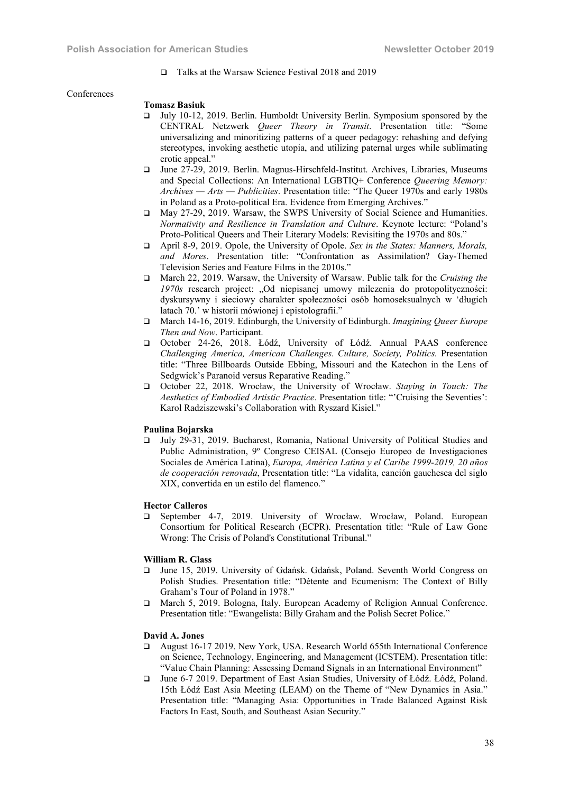Talks at the Warsaw Science Festival 2018 and 2019

#### Conferences

#### Tomasz Basiuk

- July 10-12, 2019. Berlin. Humboldt University Berlin. Symposium sponsored by the CENTRAL Netzwerk *Queer Theory in Transit*. Presentation title: "Some universalizing and minoritizing patterns of a queer pedagogy: rehashing and defying stereotypes, invoking aesthetic utopia, and utilizing paternal urges while sublimating erotic appeal."
- June 27-29, 2019. Berlin. Magnus-Hirschfeld-Institut. Archives, Libraries, Museums and Special Collections: An International LGBTIQ+ Conference *Queering Memory: Archives — Arts — Publicities*. Presentation title: "The Queer 1970s and early 1980s in Poland as a Proto-political Era. Evidence from Emerging Archives."
- May 27-29, 2019. Warsaw, the SWPS University of Social Science and Humanities. *Normativity and Resilience in Translation and Culture*. Keynote lecture: "Poland's Proto-Political Queers and Their Literary Models: Revisiting the 1970s and 80s."
- April 8-9, 2019. Opole, the University of Opole. *Sex in the States: Manners, Morals, and Mores*. Presentation title: "Confrontation as Assimilation? Gay-Themed Television Series and Feature Films in the 2010s."
- March 22, 2019. Warsaw, the University of Warsaw. Public talk for the *Cruising the 1970s* research project: "Od niepisanej umowy milczenia do protopolityczności: dyskursywny i sieciowy charakter społeczności osób homoseksualnych w 'długich latach 70.' w historii mówionej i epistolografii."
- March 14-16, 2019. Edinburgh, the University of Edinburgh. *Imagining Queer Europe Then and Now*. Participant.
- October 24-26, 2018. Łódź, University of Łódź. Annual PAAS conference *Challenging America, American Challenges. Culture, Society, Politics.* Presentation title: "Three Billboards Outside Ebbing, Missouri and the Katechon in the Lens of Sedgwick's Paranoid versus Reparative Reading."
- October 22, 2018. Wrocław, the University of Wrocław. *Staying in Touch: The Aesthetics of Embodied Artistic Practice*. Presentation title: "'Cruising the Seventies': Karol Radziszewski's Collaboration with Ryszard Kisiel."

#### Paulina Bojarska

 July 29-31, 2019. Bucharest, Romania, National University of Political Studies and Public Administration, 9º Congreso CEISAL (Consejo Europeo de Investigaciones Sociales de América Latina), *Europa, América Latina y el Caribe 1999-2019, 20 años de cooperación renovada*, Presentation title: "La vidalita, canción gauchesca del siglo XIX, convertida en un estilo del flamenco."

#### Hector Calleros

 September 4-7, 2019. University of Wrocław. Wrocław, Poland. European Consortium for Political Research (ECPR). Presentation title: "Rule of Law Gone Wrong: The Crisis of Poland's Constitutional Tribunal."

#### William R. Glass

- June 15, 2019. University of Gdańsk. Gdańsk, Poland. Seventh World Congress on Polish Studies. Presentation title: "Détente and Ecumenism: The Context of Billy Graham's Tour of Poland in 1978."
- March 5, 2019. Bologna, Italy. European Academy of Religion Annual Conference. Presentation title: "Ewangelista: Billy Graham and the Polish Secret Police."

# David A. Jones

- August 16-17 2019. New York, USA. Research World 655th International Conference on Science, Technology, Engineering, and Management (ICSTEM). Presentation title: "Value Chain Planning: Assessing Demand Signals in an International Environment"
- June 6-7 2019. Department of East Asian Studies, University of Łódź. Łódź, Poland. 15th Łódź East Asia Meeting (LEAM) on the Theme of "New Dynamics in Asia." Presentation title: "Managing Asia: Opportunities in Trade Balanced Against Risk Factors In East, South, and Southeast Asian Security."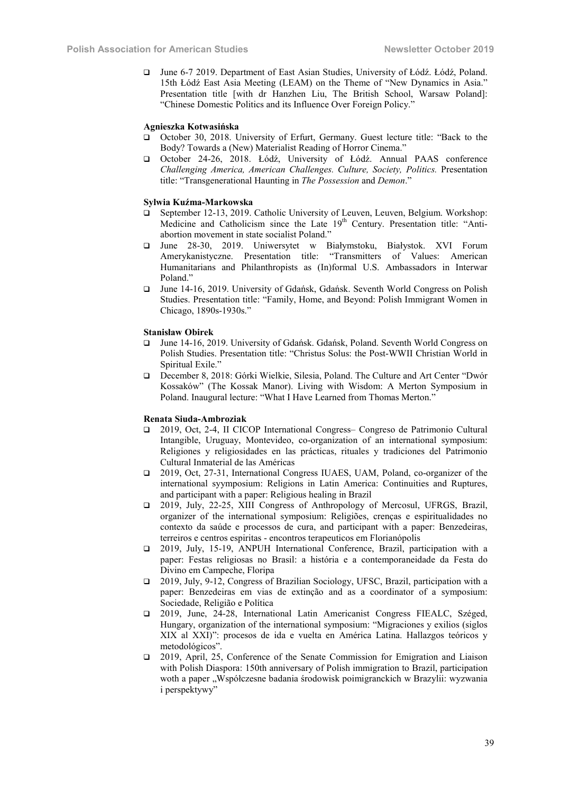June 6-7 2019. Department of East Asian Studies, University of Łódź. Łódź, Poland. 15th Łódź East Asia Meeting (LEAM) on the Theme of "New Dynamics in Asia." Presentation title [with dr Hanzhen Liu, The British School, Warsaw Poland]: "Chinese Domestic Politics and its Influence Over Foreign Policy."

#### Agnieszka Kotwasińska

- October 30, 2018. University of Erfurt, Germany. Guest lecture title: "Back to the Body? Towards a (New) Materialist Reading of Horror Cinema."
- October 24-26, 2018. Łódź, University of Łódź. Annual PAAS conference *Challenging America, American Challenges. Culture, Society, Politics.* Presentation title: "Transgenerational Haunting in *The Possession* and *Demon*."

#### Sylwia Kuźma-Markowska

- September 12-13, 2019. Catholic University of Leuven, Leuven, Belgium. Workshop: Medicine and Catholicism since the Late 19<sup>th</sup> Century. Presentation title: "Antiabortion movement in state socialist Poland."
- June 28-30, 2019. Uniwersytet w Białymstoku, Białystok. XVI Forum Amerykanistyczne. Presentation title: "Transmitters of Values: American Humanitarians and Philanthropists as (In)formal U.S. Ambassadors in Interwar Poland."
- June 14-16, 2019. University of Gdańsk, Gdańsk. Seventh World Congress on Polish Studies. Presentation title: "Family, Home, and Beyond: Polish Immigrant Women in Chicago, 1890s-1930s."

#### Stanisław Obirek

- June 14-16, 2019. University of Gdańsk. Gdańsk, Poland. Seventh World Congress on Polish Studies. Presentation title: "Christus Solus: the Post-WWII Christian World in Spiritual Exile."
- December 8, 2018: Górki Wielkie, Silesia, Poland. The Culture and Art Center "Dwór Kossaków" (The Kossak Manor). Living with Wisdom: A Merton Symposium in Poland. Inaugural lecture: "What I Have Learned from Thomas Merton."

#### Renata Siuda-Ambroziak

- 2019, Oct, 2-4, II CICOP International Congress– Congreso de Patrimonio Cultural Intangible, Uruguay, Montevideo, co-organization of an international symposium: Religiones y religiosidades en las prácticas, rituales y tradiciones del Patrimonio Cultural Inmaterial de las Américas
- 2019, Oct, 27-31, International Congress IUAES, UAM, Poland, co-organizer of the international syymposium: Religions in Latin America: Continuities and Ruptures, and participant with a paper: Religious healing in Brazil
- 2019, July, 22-25, XIII Congress of Anthropology of Mercosul, UFRGS, Brazil, organizer of the international symposium: Religiões, crenças e espiritualidades no contexto da saúde e processos de cura, and participant with a paper: Benzedeiras, terreiros e centros espiritas - encontros terapeuticos em Florianópolis
- 2019, July, 15-19, ANPUH International Conference, Brazil, participation with a paper: Festas religiosas no Brasil: a história e a contemporaneidade da Festa do Divino em Campeche, Floripa
- 2019, July, 9-12, Congress of Brazilian Sociology, UFSC, Brazil, participation with a paper: Benzedeiras em vias de extinção and as a coordinator of a symposium: Sociedade, Religião e Política
- 2019, June, 24-28, International Latin Americanist Congress FIEALC, Széged, Hungary, organization of the international symposium: "Migraciones y exilios (siglos XIX al XXI)": procesos de ida e vuelta en América Latina. Hallazgos teóricos y metodológicos".
- 2019, April, 25, Conference of the Senate Commission for Emigration and Liaison with Polish Diaspora: 150th anniversary of Polish immigration to Brazil, participation woth a paper "Współczesne badania środowisk poimigranckich w Brazylii: wyzwania i perspektywy"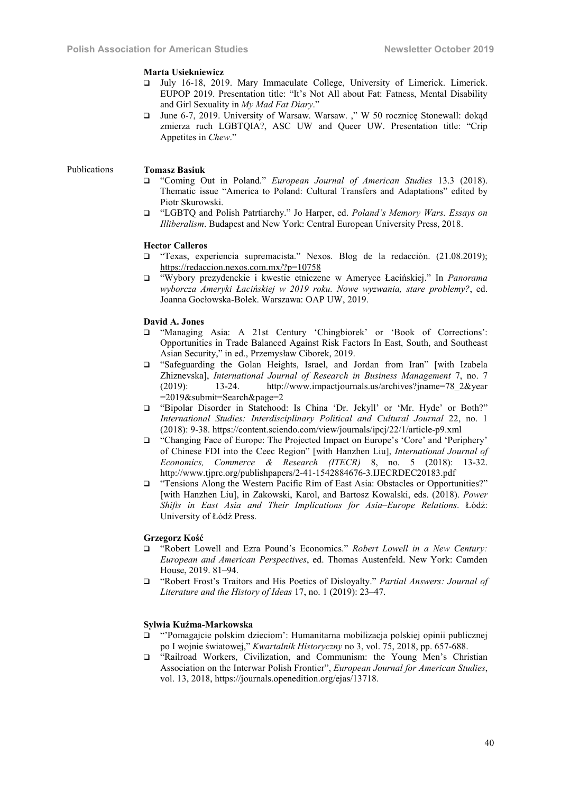### Marta Usiekniewicz

- July 16-18, 2019. Mary Immaculate College, University of Limerick. Limerick. EUPOP 2019. Presentation title: "It's Not All about Fat: Fatness, Mental Disability and Girl Sexuality in *My Mad Fat Diary*."
- $\Box$  June 6-7, 2019. University of Warsaw. Warsaw. "W 50 rocznicę Stonewall: dokąd zmierza ruch LGBTQIA?, ASC UW and Queer UW. Presentation title: "Crip Appetites in *Chew*."

# Publications Tomasz Basiuk

- "Coming Out in Poland." *European Journal of American Studies* 13.3 (2018). Thematic issue "America to Poland: Cultural Transfers and Adaptations" edited by Piotr Skurowski.
- "LGBTQ and Polish Patrtiarchy." Jo Harper, ed. *Poland's Memory Wars. Essays on Illiberalism*. Budapest and New York: Central European University Press, 2018.

#### Hector Calleros

- "Texas, experiencia supremacista." Nexos. Blog de la redacción. (21.08.2019); https://redaccion.nexos.com.mx/?p=10758
- "Wybory prezydenckie i kwestie etniczene w Ameryce Łacińskiej." In *Panorama wyborcza Ameryki Łacińskiej w 2019 roku. Nowe wyzwania, stare problemy?*, ed. Joanna Gocłowska-Bolek. Warszawa: OAP UW, 2019.

# David A. Jones

- "Managing Asia: A 21st Century 'Chingbiorek' or 'Book of Corrections': Opportunities in Trade Balanced Against Risk Factors In East, South, and Southeast Asian Security," in ed., Przemysław Ciborek, 2019.
- "Safeguarding the Golan Heights, Israel, and Jordan from Iran" [with Izabela Zhiznevska], *International Journal of Research in Business Management* 7, no. 7 http://www.impactjournals.us/archives?jname=78\_2&year =2019&submit=Search&page=2
- "Bipolar Disorder in Statehood: Is China 'Dr. Jekyll' or 'Mr. Hyde' or Both?" *International Studies: Interdisciplinary Political and Cultural Journal* 22, no. 1 (2018): 9-38. https://content.sciendo.com/view/journals/ipcj/22/1/article-p9.xml
- "Changing Face of Europe: The Projected Impact on Europe's 'Core' and 'Periphery' of Chinese FDI into the Ceec Region" [with Hanzhen Liu], *International Journal of Economics, Commerce & Research (ITECR)* 8, no. 5 (2018): 13-32. http://www.tjprc.org/publishpapers/2-41-1542884676-3.IJECRDEC20183.pdf
- "Tensions Along the Western Pacific Rim of East Asia: Obstacles or Opportunities?" [with Hanzhen Liu], in Zakowski, Karol, and Bartosz Kowalski, eds. (2018). *Power Shifts in East Asia and Their Implications for Asia–Europe Relations*. Łódź: University of Łódź Press.

#### Grzegorz Kość

- "Robert Lowell and Ezra Pound's Economics." *Robert Lowell in a New Century: European and American Perspectives*, ed. Thomas Austenfeld. New York: Camden House, 2019. 81–94.
- "Robert Frost's Traitors and His Poetics of Disloyalty." *Partial Answers: Journal of Literature and the History of Ideas* 17, no. 1 (2019): 23–47.

# Sylwia Kuźma-Markowska

- "'Pomagajcie polskim dzieciom': Humanitarna mobilizacja polskiej opinii publicznej po I wojnie światowej," *Kwartalnik Historyczny* no 3, vol. 75, 2018, pp. 657-688.
- "Railroad Workers, Civilization, and Communism: the Young Men's Christian Association on the Interwar Polish Frontier", *European Journal for American Studies*, vol. 13, 2018, https://journals.openedition.org/ejas/13718.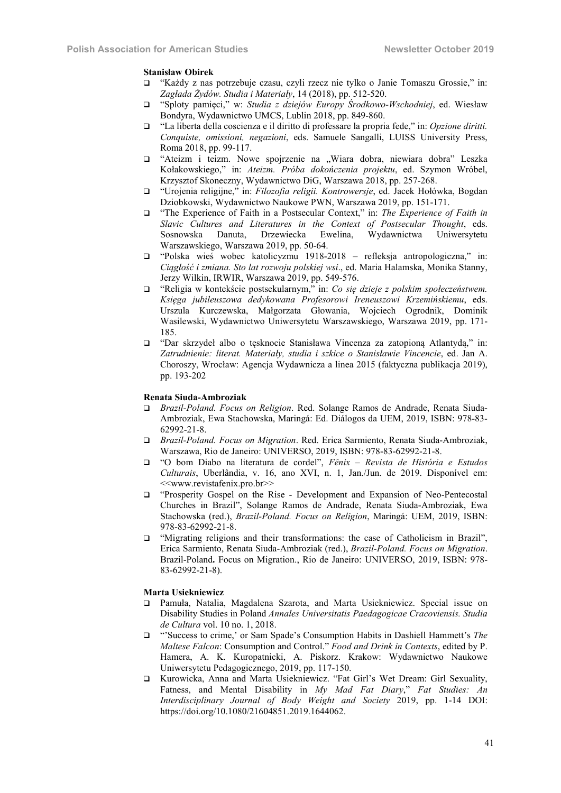# Stanisław Obirek

- "Każdy z nas potrzebuje czasu, czyli rzecz nie tylko o Janie Tomaszu Grossie," in: *Zagłada Żydów. Studia i Materiały*, 14 (2018), pp. 512-520.
- "Sploty pamięci," w: *Studia z dziejów Europy Środkowo-Wschodniej*, ed. Wiesław Bondyra, Wydawnictwo UMCS, Lublin 2018, pp. 849-860.
- "La liberta della coscienza e il diritto di professare la propria fede," in: *Opzione diritti. Conquiste, omissioni, negazioni*, eds. Samuele Sangalli, LUISS University Press, Roma 2018, pp. 99-117.
- $\Box$  "Ateizm i teizm. Nowe spojrzenie na "Wiara dobra, niewiara dobra" Leszka Kołakowskiego," in: *Ateizm. Próba dokończenia projektu*, ed. Szymon Wróbel, Krzysztof Skoneczny, Wydawnictwo DiG, Warszawa 2018, pp. 257-268.
- "Urojenia religijne," in: *Filozofia religii. Kontrowersje*, ed. Jacek Hołówka, Bogdan Dziobkowski, Wydawnictwo Naukowe PWN, Warszawa 2019, pp. 151-171.
- "The Experience of Faith in a Postsecular Context," in: *The Experience of Faith in Slavic Cultures and Literatures in the Context of Postsecular Thought*, eds. Sosnowska Danuta, Drzewiecka Ewelina, Wydawnictwa Uniwersytetu Warszawskiego, Warszawa 2019, pp. 50-64.
- "Polska wieś wobec katolicyzmu 1918-2018 refleksja antropologiczna," in: *Ciągłość i zmiana. Sto lat rozwoju polskiej wsi*., ed. Maria Halamska, Monika Stanny, Jerzy Wilkin, IRWIR, Warszawa 2019, pp. 549-576.
- "Religia w kontekście postsekularnym," in: *Co się dzieje z polskim społeczeństwem. Księga jubileuszowa dedykowana Profesorowi Ireneuszowi Krzemińskiemu*, eds. Urszula Kurczewska, Małgorzata Głowania, Wojciech Ogrodnik, Dominik Wasilewski, Wydawnictwo Uniwersytetu Warszawskiego, Warszawa 2019, pp. 171- 185.
- "Dar skrzydeł albo o tęsknocie Stanisława Vincenza za zatopioną Atlantydą," in: *Zatrudnienie: literat. Materiały, studia i szkice o Stanisławie Vincencie*, ed. Jan A. Choroszy, Wrocław: Agencja Wydawnicza a linea 2015 (faktyczna publikacja 2019), pp. 193-202

# Renata Siuda-Ambroziak

- *Brazil-Poland. Focus on Religion*. Red. Solange Ramos de Andrade, Renata Siuda-Ambroziak, Ewa Stachowska, Maringá: Ed. Diálogos da UEM, 2019, ISBN: 978-83- 62992-21-8.
- *Brazil-Poland. Focus on Migration*. Red. Erica Sarmiento, Renata Siuda-Ambroziak, Warszawa, Rio de Janeiro: UNIVERSO, 2019, ISBN: 978-83-62992-21-8.
- "O bom Diabo na literatura de cordel", *Fênix – Revista de História e Estudos Culturais*, Uberlândia, v. 16, ano XVI, n. 1, Jan./Jun. de 2019. Disponível em: <<www.revistafenix.pro.br>>
- "Prosperity Gospel on the Rise Development and Expansion of Neo-Pentecostal Churches in Brazil", Solange Ramos de Andrade, Renata Siuda-Ambroziak, Ewa Stachowska (red.), *Brazil-Poland. Focus on Religion*, Maringá: UEM, 2019, ISBN: 978-83-62992-21-8.
- "Migrating religions and their transformations: the case of Catholicism in Brazil", Erica Sarmiento, Renata Siuda-Ambroziak (red.), *Brazil-Poland. Focus on Migration*. Brazil-Poland. Focus on Migration., Rio de Janeiro: UNIVERSO, 2019, ISBN: 978- 83-62992-21-8).

#### Marta Usiekniewicz

- Pamuła, Natalia, Magdalena Szarota, and Marta Usiekniewicz. Special issue on Disability Studies in Poland *Annales Universitatis Paedagogicae Cracoviensis. Studia de Cultura* vol. 10 no. 1, 2018.
- □ "Success to crime,' or Sam Spade's Consumption Habits in Dashiell Hammett's *The Maltese Falcon*: Consumption and Control." *Food and Drink in Contexts*, edited by P. Hamera, A. K. Kuropatnicki, A. Piskorz. Krakow: Wydawnictwo Naukowe Uniwersytetu Pedagogicznego, 2019, pp. 117-150.
- Kurowicka, Anna and Marta Usiekniewicz. "Fat Girl's Wet Dream: Girl Sexuality, Fatness, and Mental Disability in *My Mad Fat Diary*," *Fat Studies: An Interdisciplinary Journal of Body Weight and Society* 2019, pp. 1-14 DOI: https://doi.org/10.1080/21604851.2019.1644062.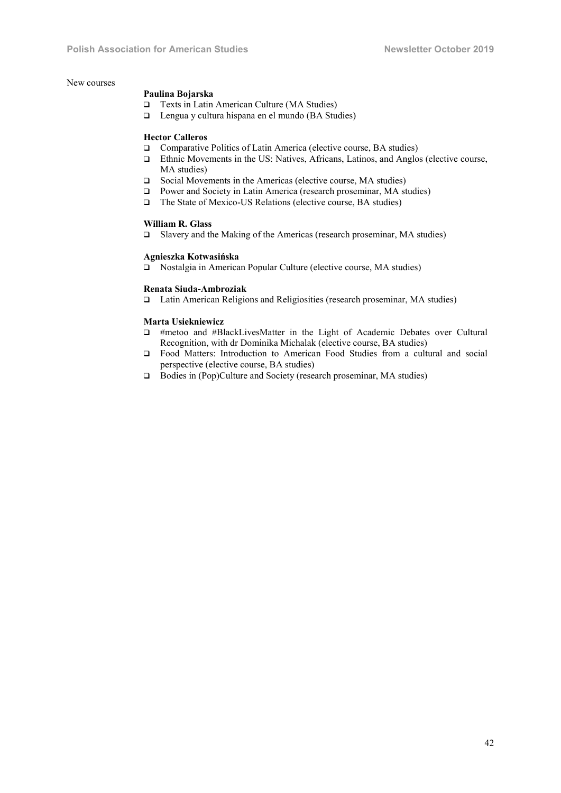### New courses

#### Paulina Bojarska

- □ Texts in Latin American Culture (MA Studies)
- Lengua y cultura hispana en el mundo (BA Studies)

#### Hector Calleros

- □ Comparative Politics of Latin America (elective course, BA studies)
- Ethnic Movements in the US: Natives, Africans, Latinos, and Anglos (elective course, MA studies)
- □ Social Movements in the Americas (elective course, MA studies)
- Power and Society in Latin America (research proseminar, MA studies)
- □ The State of Mexico-US Relations (elective course, BA studies)

# William R. Glass

Slavery and the Making of the Americas (research proseminar, MA studies)

# Agnieszka Kotwasińska

□ Nostalgia in American Popular Culture (elective course, MA studies)

# Renata Siuda-Ambroziak

Latin American Religions and Religiosities (research proseminar, MA studies)

# Marta Usiekniewicz

- #metoo and #BlackLivesMatter in the Light of Academic Debates over Cultural Recognition, with dr Dominika Michalak (elective course, BA studies)
- Food Matters: Introduction to American Food Studies from a cultural and social perspective (elective course, BA studies)
- □ Bodies in (Pop)Culture and Society (research proseminar, MA studies)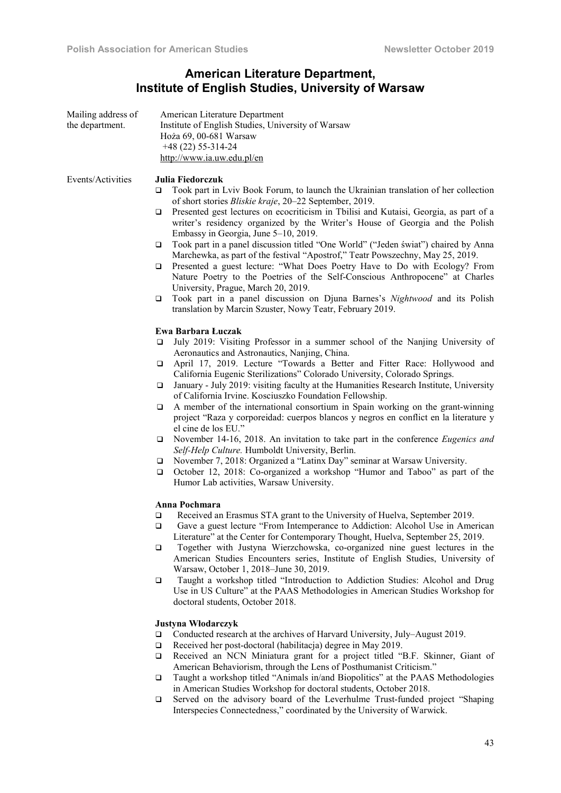# American Literature Department, Institute of English Studies, University of Warsaw

| Mailing address of<br>the department. | American Literature Department<br>Institute of English Studies, University of Warsaw<br>Hoża 69, 00-681 Warsaw<br>$+48(22)$ 55-314-24<br>http://www.ia.uw.edu.pl/en                                                                                                                                                                                                                                                                                                                                                                                                                                                                                                                                                                                                                                                                                                                                                                                                                                                                                |
|---------------------------------------|----------------------------------------------------------------------------------------------------------------------------------------------------------------------------------------------------------------------------------------------------------------------------------------------------------------------------------------------------------------------------------------------------------------------------------------------------------------------------------------------------------------------------------------------------------------------------------------------------------------------------------------------------------------------------------------------------------------------------------------------------------------------------------------------------------------------------------------------------------------------------------------------------------------------------------------------------------------------------------------------------------------------------------------------------|
| Events/Activities                     | Julia Fiedorczuk<br>Took part in Lviv Book Forum, to launch the Ukrainian translation of her collection<br>o<br>of short stories Bliskie kraje, 20-22 September, 2019.<br>Presented gest lectures on ecocriticism in Tbilisi and Kutaisi, Georgia, as part of a<br>❏<br>writer's residency organized by the Writer's House of Georgia and the Polish<br>Embassy in Georgia, June 5-10, 2019.<br>Took part in a panel discussion titled "One World" ("Jeden świat") chaired by Anna<br>□<br>Marchewka, as part of the festival "Apostrof," Teatr Powszechny, May 25, 2019.<br>Presented a guest lecture: "What Does Poetry Have to Do with Ecology? From<br>□<br>Nature Poetry to the Poetries of the Self-Conscious Anthropocene" at Charles<br>University, Prague, March 20, 2019.<br>Took part in a panel discussion on Djuna Barnes's Nightwood and its Polish<br>□<br>translation by Marcin Szuster, Nowy Teatr, February 2019.                                                                                                                |
|                                       | Ewa Barbara Łuczak<br>July 2019: Visiting Professor in a summer school of the Nanjing University of<br>□<br>Aeronautics and Astronautics, Nanjing, China.<br>April 17, 2019. Lecture "Towards a Better and Fitter Race: Hollywood and<br>▫<br>California Eugenic Sterilizations" Colorado University, Colorado Springs.<br>January - July 2019: visiting faculty at the Humanities Research Institute, University<br>□<br>of California Irvine. Kosciuszko Foundation Fellowship.<br>A member of the international consortium in Spain working on the grant-winning<br>□<br>project "Raza y corporeidad: cuerpos blancos y negros en conflict en la literature y<br>el cine de los EU."<br>November 14-16, 2018. An invitation to take part in the conference Eugenics and<br>□<br>Self-Help Culture. Humboldt University, Berlin.<br>November 7, 2018: Organized a "Latinx Day" seminar at Warsaw University.<br>□<br>October 12, 2018: Co-organized a workshop "Humor and Taboo" as part of the<br>□<br>Humor Lab activities, Warsaw University. |
|                                       | Anna Pochmara<br>Received an Erasmus STA grant to the University of Huelva, September 2019.<br>❏<br>Gave a guest lecture "From Intemperance to Addiction: Alcohol Use in American<br>□<br>Literature" at the Center for Contemporary Thought, Huelva, September 25, 2019.<br>Together with Justyna Wierzchowska, co-organized nine guest lectures in the<br>❏<br>American Studies Encounters series, Institute of English Studies, University of<br>Warsaw, October 1, 2018-June 30, 2019.<br>Taught a workshop titled "Introduction to Addiction Studies: Alcohol and Drug<br>□<br>Use in US Culture" at the PAAS Methodologies in American Studies Workshop for<br>doctoral students, October 2018.                                                                                                                                                                                                                                                                                                                                              |
|                                       | <b>Justyna Włodarczyk</b><br>Conducted research at the archives of Harvard University, July–August 2019.<br>❏<br>Received her post-doctoral (habilitacja) degree in May 2019.<br>$\Box$<br>Received an NCN Miniatura grant for a project titled "B.F. Skinner, Giant of<br>❏<br>American Behaviorism, through the Lens of Posthumanist Criticism."<br>Taught a workshop titled "Animals in/and Biopolitics" at the PAAS Methodologies<br>❏<br>in American Studies Workshop for doctoral students, October 2018.                                                                                                                                                                                                                                                                                                                                                                                                                                                                                                                                    |

 Served on the advisory board of the Leverhulme Trust-funded project "Shaping Interspecies Connectedness," coordinated by the University of Warwick.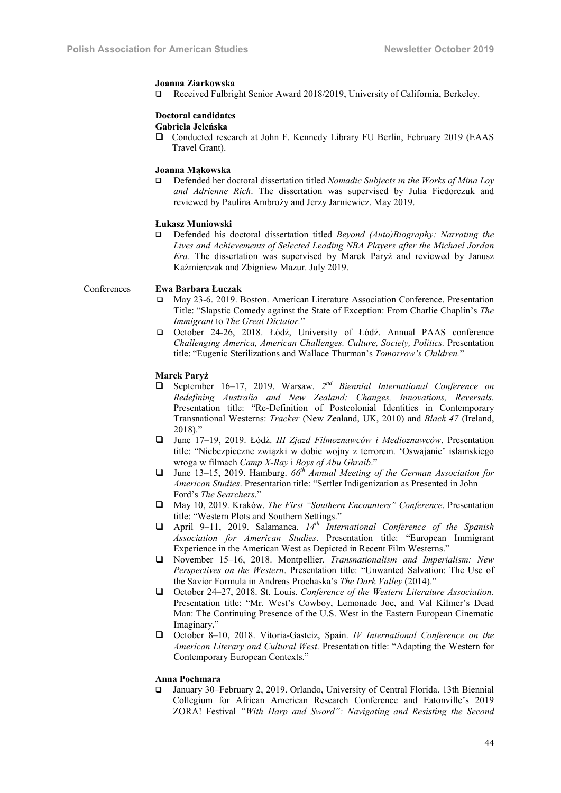#### Joanna Ziarkowska

Received Fulbright Senior Award 2018/2019, University of California, Berkeley.

# Doctoral candidates

Gabriela Jeleńska

 Conducted research at John F. Kennedy Library FU Berlin, February 2019 (EAAS Travel Grant).

# Joanna Mąkowska

 Defended her doctoral dissertation titled *Nomadic Subjects in the Works of Mina Loy and Adrienne Rich*. The dissertation was supervised by Julia Fiedorczuk and reviewed by Paulina Ambroży and Jerzy Jarniewicz. May 2019.

#### Łukasz Muniowski

 Defended his doctoral dissertation titled *Beyond (Auto)Biography: Narrating the Lives and Achievements of Selected Leading NBA Players after the Michael Jordan Era*. The dissertation was supervised by Marek Paryż and reviewed by Janusz Kaźmierczak and Zbigniew Mazur. July 2019.

### Conferences Ewa Barbara Łuczak

- May 23-6. 2019. Boston. American Literature Association Conference. Presentation Title: "Slapstic Comedy against the State of Exception: From Charlie Chaplin's *The Immigrant* to *The Great Dictator.*"
- October 24-26, 2018. Łódź, University of Łódź. Annual PAAS conference *Challenging America, American Challenges. Culture, Society, Politics.* Presentation title: "Eugenic Sterilizations and Wallace Thurman's *Tomorrow's Children.*"

# Marek Paryż

- September 16–17, 2019. Warsaw. *2nd Biennial International Conference on Redefining Australia and New Zealand: Changes, Innovations, Reversals*. Presentation title: "Re-Definition of Postcolonial Identities in Contemporary Transnational Westerns: *Tracker* (New Zealand, UK, 2010) and *Black 47* (Ireland, 2018)."
- June 17–19, 2019. Łódź. *III Zjazd Filmoznawców i Medioznawców*. Presentation title: "Niebezpieczne związki w dobie wojny z terrorem. 'Oswajanie' islamskiego wroga w filmach *Camp X-Ray* i *Boys of Abu Ghraib*."
- June 13–15, 2019. Hamburg. *66th Annual Meeting of the German Association for American Studies*. Presentation title: "Settler Indigenization as Presented in John Ford's *The Searchers*."
- May 10, 2019. Kraków. *The First "Southern Encounters" Conference*. Presentation title: "Western Plots and Southern Settings."
- April 9–11, 2019. Salamanca. *14th International Conference of the Spanish Association for American Studies*. Presentation title: "European Immigrant Experience in the American West as Depicted in Recent Film Westerns."
- November 15–16, 2018. Montpellier. *Transnationalism and Imperialism: New Perspectives on the Western*. Presentation title: "Unwanted Salvation: The Use of the Savior Formula in Andreas Prochaska's *The Dark Valley* (2014)."
- October 24–27, 2018. St. Louis. *Conference of the Western Literature Association*. Presentation title: "Mr. West's Cowboy, Lemonade Joe, and Val Kilmer's Dead Man: The Continuing Presence of the U.S. West in the Eastern European Cinematic Imaginary."
- October 8–10, 2018. Vitoria-Gasteiz, Spain. *IV International Conference on the American Literary and Cultural West*. Presentation title: "Adapting the Western for Contemporary European Contexts."

#### Anna Pochmara

 January 30–February 2, 2019. Orlando, University of Central Florida. 13th Biennial Collegium for African American Research Conference and Eatonville's 2019 ZORA! Festival *"With Harp and Sword": Navigating and Resisting the Second*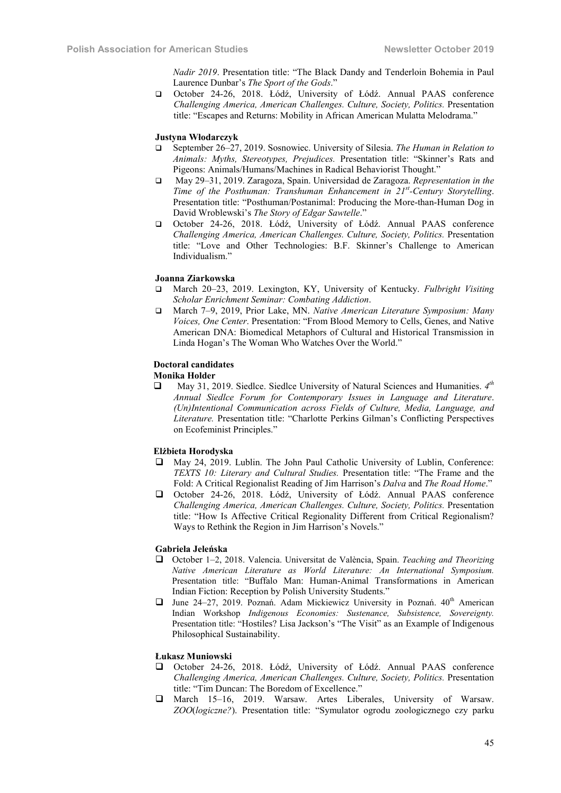*Nadir 2019*. Presentation title: "The Black Dandy and Tenderloin Bohemia in Paul Laurence Dunbar's *The Sport of the Gods*."

 October 24-26, 2018. Łódź, University of Łódź. Annual PAAS conference *Challenging America, American Challenges. Culture, Society, Politics.* Presentation title: "Escapes and Returns: Mobility in African American Mulatta Melodrama."

#### Justyna Włodarczyk

- September 26–27, 2019. Sosnowiec. University of Silesia. *The Human in Relation to Animals: Myths, Stereotypes, Prejudices.* Presentation title: "Skinner's Rats and Pigeons: Animals/Humans/Machines in Radical Behaviorist Thought."
- May 29–31, 2019. Zaragoza, Spain. Universidad de Zaragoza. *Representation in the Time of the Posthuman: Transhuman Enhancement in 21st -Century Storytelling*. Presentation title: "Posthuman/Postanimal: Producing the More-than-Human Dog in David Wroblewski's *The Story of Edgar Sawtelle*."
- October 24-26, 2018. Łódź, University of Łódź. Annual PAAS conference *Challenging America, American Challenges. Culture, Society, Politics.* Presentation title: "Love and Other Technologies: B.F. Skinner's Challenge to American Individualism."

#### Joanna Ziarkowska

- March 20–23, 2019. Lexington, KY, University of Kentucky. *Fulbright Visiting Scholar Enrichment Seminar: Combating Addiction*.
- March 7–9, 2019, Prior Lake, MN. *Native American Literature Symposium: Many Voices, One Center*. Presentation: "From Blood Memory to Cells, Genes, and Native American DNA: Biomedical Metaphors of Cultural and Historical Transmission in Linda Hogan's The Woman Who Watches Over the World."

# Doctoral candidates

# Monika Holder

 May 31, 2019. Siedlce. Siedlce University of Natural Sciences and Humanities. *4th Annual Siedlce Forum for Contemporary Issues in Language and Literature*. *(Un)Intentional Communication across Fields of Culture, Media, Language, and Literature.* Presentation title: "Charlotte Perkins Gilman's Conflicting Perspectives on Ecofeminist Principles."

#### Elżbieta Horodyska

- May 24, 2019. Lublin. The John Paul Catholic University of Lublin, Conference: *TEXTS 10: Literary and Cultural Studies.* Presentation title: "The Frame and the Fold: A Critical Regionalist Reading of Jim Harrison's *Dalva* and *The Road Home*."
- October 24-26, 2018. Łódź, University of Łódź. Annual PAAS conference *Challenging America, American Challenges. Culture, Society, Politics.* Presentation title: "How Is Affective Critical Regionality Different from Critical Regionalism? Ways to Rethink the Region in Jim Harrison's Novels."

# Gabriela Jeleńska

- October 1–2, 2018. Valencia. Universitat de València, Spain. *Teaching and Theorizing Native American Literature as World Literature: An International Symposium.* Presentation title: "Buffalo Man: Human-Animal Transformations in American Indian Fiction: Reception by Polish University Students."
- $\Box$  June 24–27, 2019. Poznań. Adam Mickiewicz University in Poznań. 40<sup>th</sup> American Indian Workshop *Indigenous Economies: Sustenance, Subsistence, Sovereignty.* Presentation title: "Hostiles? Lisa Jackson's "The Visit" as an Example of Indigenous Philosophical Sustainability.

# Łukasz Muniowski

- October 24-26, 2018. Łódź, University of Łódź. Annual PAAS conference *Challenging America, American Challenges. Culture, Society, Politics.* Presentation title: "Tim Duncan: The Boredom of Excellence."
- March 15–16, 2019. Warsaw. Artes Liberales, University of Warsaw. *ZOO*(*logiczne?*). Presentation title: "Symulator ogrodu zoologicznego czy parku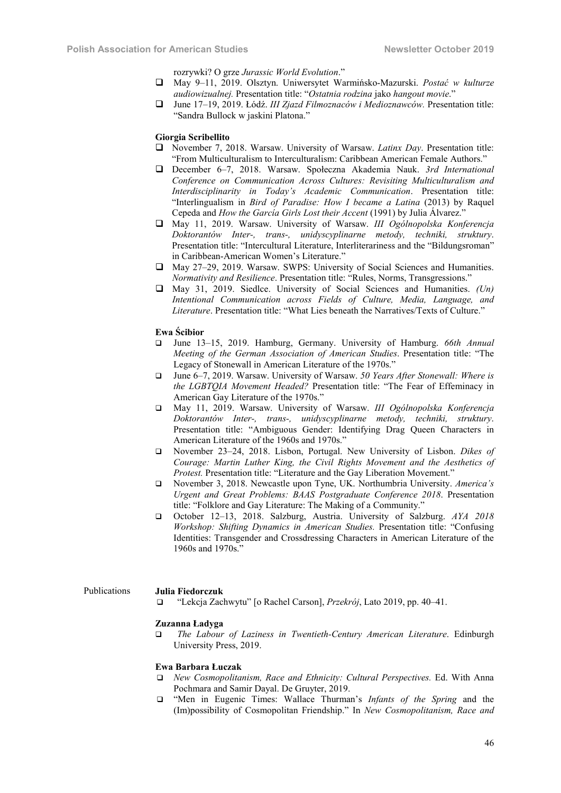rozrywki? O grze *Jurassic World Evolution*."

- May 9–11, 2019. Olsztyn. Uniwersytet Warmińsko-Mazurski. *Postać w kulturze audiowizualnej.* Presentation title: "*Ostatnia rodzina* jako *hangout movie*."
- June 17–19, 2019. Łódź. *III Zjazd Filmoznaców i Medioznawców.* Presentation title: "Sandra Bullock w jaskini Platona."

#### Giorgia Scribellito

- November 7, 2018. Warsaw. University of Warsaw. *Latinx Day*. Presentation title: "From Multiculturalism to Interculturalism: Caribbean American Female Authors."
- December 6–7, 2018. Warsaw. Społeczna Akademia Nauk. *3rd International Conference on Communication Across Cultures: Revisiting Multiculturalism and Interdisciplinarity in Today's Academic Communication*. Presentation title: "Interlingualism in *Bird of Paradise: How I became a Latina* (2013) by Raquel Cepeda and *How the García Girls Lost their Accent* (1991) by Julia Álvarez."
- May 11, 2019. Warsaw. University of Warsaw. *III Ogólnopolska Konferencja Doktorantów Inter-, trans-, unidyscyplinarne metody, techniki, struktury*. Presentation title: "Intercultural Literature, Interliterariness and the "Bildungsroman" in Caribbean-American Women's Literature."
- May 27–29, 2019. Warsaw. SWPS: University of Social Sciences and Humanities. *Normativity and Resilience*. Presentation title: "Rules, Norms, Transgressions."
- May 31, 2019. Siedlce. University of Social Sciences and Humanities. *(Un) Intentional Communication across Fields of Culture, Media, Language, and Literature*. Presentation title: "What Lies beneath the Narratives/Texts of Culture."

# Ewa Ścibior

- June 13–15, 2019. Hamburg, Germany. University of Hamburg. *66th Annual Meeting of the German Association of American Studies*. Presentation title: "The Legacy of Stonewall in American Literature of the 1970s."
- June 6–7, 2019. Warsaw. University of Warsaw. *50 Years After Stonewall: Where is the LGBTQIA Movement Headed?* Presentation title: "The Fear of Effeminacy in American Gay Literature of the 1970s."
- May 11, 2019. Warsaw. University of Warsaw. *III Ogólnopolska Konferencja Doktorantów Inter-, trans-, unidyscyplinarne metody, techniki, struktury*. Presentation title: "Ambiguous Gender: Identifying Drag Queen Characters in American Literature of the 1960s and 1970s."
- November 23–24, 2018. Lisbon, Portugal. New University of Lisbon. *Dikes of Courage: Martin Luther King, the Civil Rights Movement and the Aesthetics of Protest.* Presentation title: "Literature and the Gay Liberation Movement."
- November 3, 2018. Newcastle upon Tyne, UK. Northumbria University. *America's Urgent and Great Problems: BAAS Postgraduate Conference 2018*. Presentation title: "Folklore and Gay Literature: The Making of a Community."
- October 12–13, 2018. Salzburg, Austria. University of Salzburg. *AYA 2018 Workshop: Shifting Dynamics in American Studies.* Presentation title: "Confusing Identities: Transgender and Crossdressing Characters in American Literature of the 1960s and 1970s."

#### Publications Julia Fiedorczuk

"Lekcja Zachwytu" [o Rachel Carson], *Przekrój*, Lato 2019, pp. 40–41.

#### Zuzanna Ładyga

 *The Labour of Laziness in Twentieth-Century American Literature*. Edinburgh University Press, 2019.

#### Ewa Barbara Łuczak

- *New Cosmopolitanism, Race and Ethnicity: Cultural Perspectives.* Ed. With Anna Pochmara and Samir Dayal. De Gruyter, 2019.
- "Men in Eugenic Times: Wallace Thurman's *Infants of the Spring* and the (Im)possibility of Cosmopolitan Friendship." In *New Cosmopolitanism, Race and*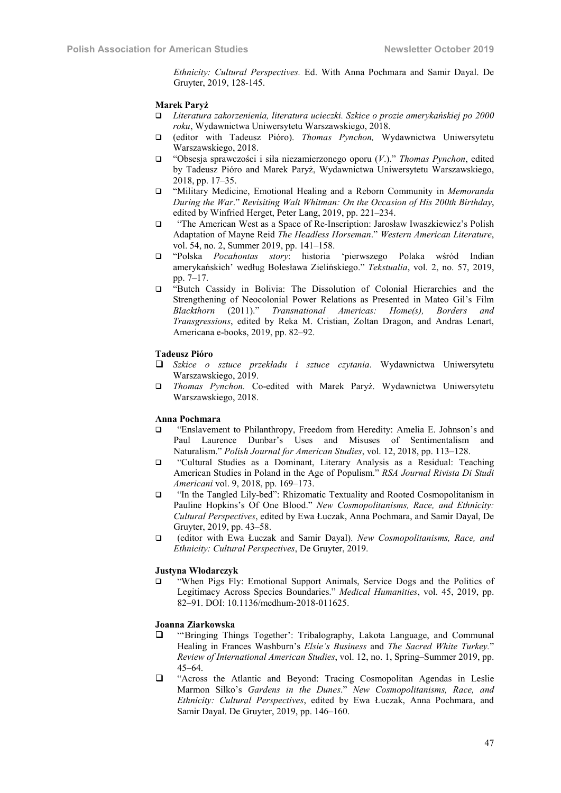*Ethnicity: Cultural Perspectives.* Ed. With Anna Pochmara and Samir Dayal. De Gruyter, 2019, 128-145.

#### Marek Paryż

- *Literatura zakorzenienia, literatura ucieczki. Szkice o prozie amerykańskiej po 2000 roku*, Wydawnictwa Uniwersytetu Warszawskiego, 2018.
- (editor with Tadeusz Pióro). *Thomas Pynchon,* Wydawnictwa Uniwersytetu Warszawskiego, 2018.
- "Obsesja sprawczości i siła niezamierzonego oporu (*V*.)." *Thomas Pynchon*, edited by Tadeusz Pióro and Marek Paryż, Wydawnictwa Uniwersytetu Warszawskiego, 2018, pp. 17–35.
- "Military Medicine, Emotional Healing and a Reborn Community in *Memoranda During the War*." *Revisiting Walt Whitman: On the Occasion of His 200th Birthday*, edited by Winfried Herget, Peter Lang, 2019, pp. 221–234.
- "The American West as a Space of Re-Inscription: Jarosław Iwaszkiewicz's Polish Adaptation of Mayne Reid *The Headless Horseman*." *Western American Literature*, vol. 54, no. 2, Summer 2019, pp. 141–158.
- "Polska *Pocahontas story*: historia 'pierwszego Polaka wśród Indian amerykańskich' według Bolesława Zielińskiego." *Tekstualia*, vol. 2, no. 57, 2019, pp. 7–17.
- "Butch Cassidy in Bolivia: The Dissolution of Colonial Hierarchies and the Strengthening of Neocolonial Power Relations as Presented in Mateo Gil's Film *Blackthorn* (2011)." *Transnational Americas: Home(s), Borders and Transgressions*, edited by Reka M. Cristian, Zoltan Dragon, and Andras Lenart, Americana e-books, 2019, pp. 82–92.

# Tadeusz Pióro

- *Szkice o sztuce przekładu i sztuce czytania*. Wydawnictwa Uniwersytetu Warszawskiego, 2019.
- *Thomas Pynchon.* Co-edited with Marek Paryż. Wydawnictwa Uniwersytetu Warszawskiego, 2018.

#### Anna Pochmara

- "Enslavement to Philanthropy, Freedom from Heredity: Amelia E. Johnson's and Paul Laurence Dunbar's Uses and Misuses of Sentimentalism and Naturalism." *Polish Journal for American Studies*, vol. 12, 2018, pp. 113–128.
- "Cultural Studies as a Dominant, Literary Analysis as a Residual: Teaching American Studies in Poland in the Age of Populism." *RSA Journal Rivista Di Studi Americani* vol. 9, 2018, pp. 169–173.
- "In the Tangled Lily-bed": Rhizomatic Textuality and Rooted Cosmopolitanism in Pauline Hopkins's Of One Blood." *New Cosmopolitanisms, Race, and Ethnicity: Cultural Perspectives*, edited by Ewa Łuczak, Anna Pochmara, and Samir Dayal, De Gruyter, 2019, pp. 43–58.
- (editor with Ewa Łuczak and Samir Dayal). *New Cosmopolitanisms, Race, and Ethnicity: Cultural Perspectives*, De Gruyter, 2019.

# Justyna Włodarczyk

 "When Pigs Fly: Emotional Support Animals, Service Dogs and the Politics of Legitimacy Across Species Boundaries." *Medical Humanities*, vol. 45, 2019, pp. 82–91. DOI: 10.1136/medhum-2018-011625.

# Joanna Ziarkowska

- "'Bringing Things Together': Tribalography, Lakota Language, and Communal Healing in Frances Washburn's *Elsie's Business* and *The Sacred White Turkey.*" *Review of International American Studies*, vol. 12, no. 1, Spring–Summer 2019, pp. 45–64.
- "Across the Atlantic and Beyond: Tracing Cosmopolitan Agendas in Leslie Marmon Silko's *Gardens in the Dunes*." *New Cosmopolitanisms, Race, and Ethnicity: Cultural Perspectives*, edited by Ewa Łuczak, Anna Pochmara, and Samir Dayal. De Gruyter, 2019, pp. 146–160.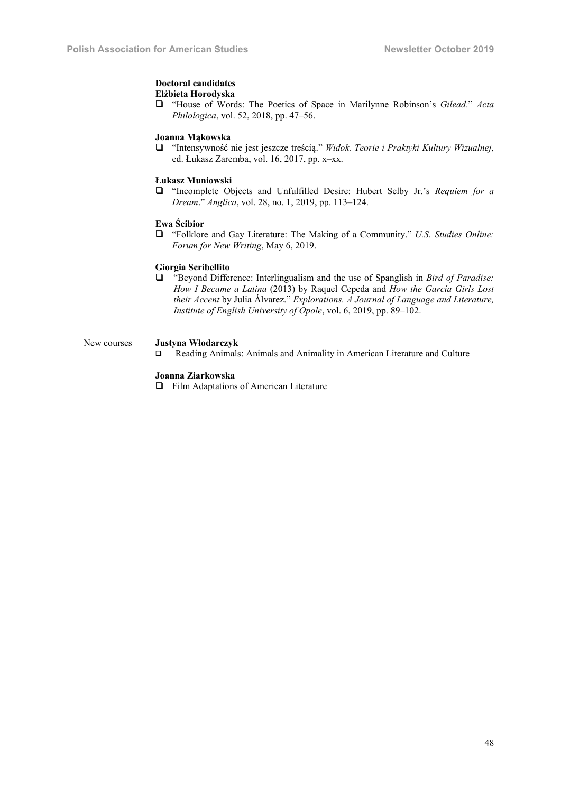#### Doctoral candidates Elżbieta Horodyska

 "House of Words: The Poetics of Space in Marilynne Robinson's *Gilead*." *Acta Philologica*, vol. 52, 2018, pp. 47–56.

#### Joanna Mąkowska

 "Intensywność nie jest jeszcze treścią." *Widok. Teorie i Praktyki Kultury Wizualnej*, ed. Łukasz Zaremba, vol. 16, 2017, pp. x–xx.

# Łukasz Muniowski

 "Incomplete Objects and Unfulfilled Desire: Hubert Selby Jr.'s *Requiem for a Dream*." *Anglica*, vol. 28, no. 1, 2019, pp. 113–124.

### Ewa Ścibior

 "Folklore and Gay Literature: The Making of a Community." *U.S. Studies Online: Forum for New Writing*, May 6, 2019.

# Giorgia Scribellito

 "Beyond Difference: Interlingualism and the use of Spanglish in *Bird of Paradise: How I Became a Latina* (2013) by Raquel Cepeda and *How the García Girls Lost their Accent* by Julia Álvarez." *Explorations. A Journal of Language and Literature, Institute of English University of Opole*, vol. 6, 2019, pp. 89–102.

# New courses Justyna Włodarczyk

Reading Animals: Animals and Animality in American Literature and Culture

# Joanna Ziarkowska

Film Adaptations of American Literature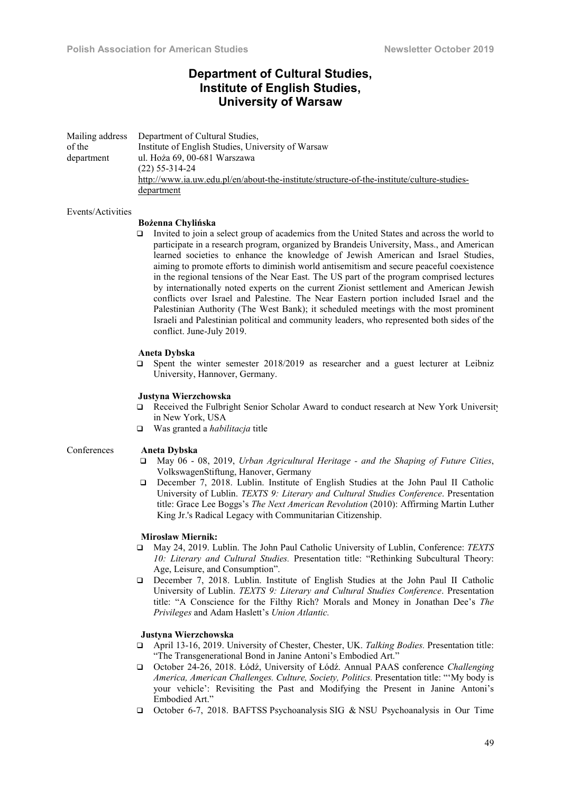# Department of Cultural Studies, Institute of English Studies, University of Warsaw

Mailing address of the department Department of Cultural Studies, Institute of English Studies, University of Warsaw ul. Hoża 69, 00-681 Warszawa (22) 55-314-24 http://www.ia.uw.edu.pl/en/about-the-institute/structure-of-the-institute/culture-studiesdepartment

#### Events/Activities

# Bożenna Chylińska

 Invited to join a select group of academics from the United States and across the world to participate in a research program, organized by Brandeis University, Mass., and American learned societies to enhance the knowledge of Jewish American and Israel Studies, aiming to promote efforts to diminish world antisemitism and secure peaceful coexistence in the regional tensions of the Near East. The US part of the program comprised lectures by internationally noted experts on the current Zionist settlement and American Jewish conflicts over Israel and Palestine. The Near Eastern portion included Israel and the Palestinian Authority (The West Bank); it scheduled meetings with the most prominent Israeli and Palestinian political and community leaders, who represented both sides of the conflict. June-July 2019.

#### Aneta Dybska

 $\Box$  Spent the winter semester 2018/2019 as researcher and a guest lecturer at Leibniz University, Hannover, Germany.

### Justyna Wierzchowska

- Received the Fulbright Senior Scholar Award to conduct research at New York University in New York, USA
- Was granted a *habilitacja* title

# Conferences Aneta Dybska

- May 06 08, 2019, *Urban Agricultural Heritage - and the Shaping of Future Cities*, VolkswagenStiftung, Hanover, Germany
- December 7, 2018. Lublin. Institute of English Studies at the John Paul II Catholic University of Lublin. *TEXTS 9: Literary and Cultural Studies Conference*. Presentation title: Grace Lee Boggs's *The Next American Revolution* (2010): Affirming Martin Luther King Jr.'s Radical Legacy with Communitarian Citizenship.

#### Miroslaw Miernik:

- May 24, 2019. Lublin. The John Paul Catholic University of Lublin, Conference: *TEXTS 10: Literary and Cultural Studies.* Presentation title: "Rethinking Subcultural Theory: Age, Leisure, and Consumption".
- December 7, 2018. Lublin. Institute of English Studies at the John Paul II Catholic University of Lublin. *TEXTS 9: Literary and Cultural Studies Conference*. Presentation title: "A Conscience for the Filthy Rich? Morals and Money in Jonathan Dee's *The Privileges* and Adam Haslett's *Union Atlantic.*

#### Justyna Wierzchowska

- April 13-16, 2019. University of Chester, Chester, UK. *Talking Bodies.* Presentation title: "The Transgenerational Bond in Janine Antoni's Embodied Art."
- October 24-26, 2018. Łódź, University of Łódź. Annual PAAS conference *Challenging America, American Challenges. Culture, Society, Politics.* Presentation title: "'My body is your vehicle': Revisiting the Past and Modifying the Present in Janine Antoni's Embodied Art."
- October 6-7, 2018. BAFTSS Psychoanalysis SIG & NSU Psychoanalysis in Our Time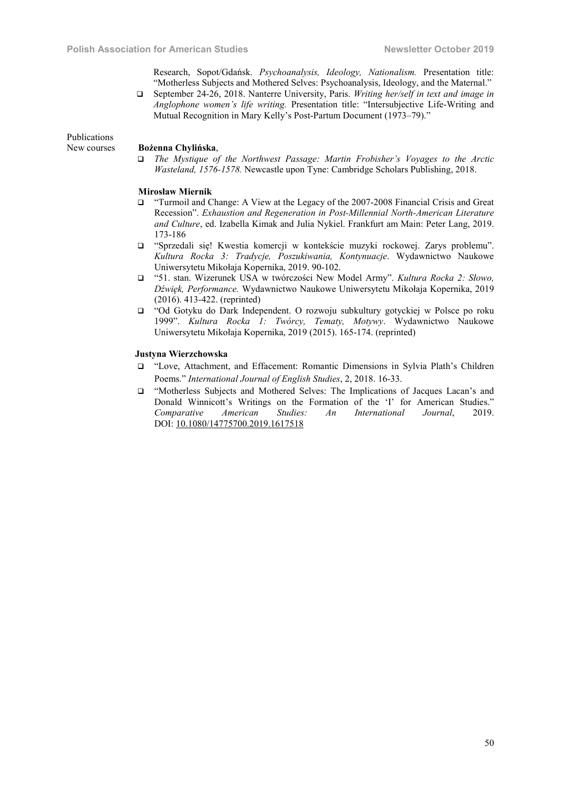Research, Sopot/Gdańsk. *Psychoanalysis, Ideology, Nationalism.* Presentation title: "Motherless Subjects and Mothered Selves: Psychoanalysis, Ideology, and the Maternal."

 September 24-26, 2018. Nanterre University, Paris. *Writing her/self in text and image in Anglophone women's life writing.* Presentation title: "Intersubjective Life-Writing and Mutual Recognition in Mary Kelly's Post-Partum Document (1973–79)."

Publications

#### New courses Bożenna Chylińska,

 *The Mystique of the Northwest Passage: Martin Frobisher's Voyages to the Arctic Wasteland, 1576-1578.* Newcastle upon Tyne: Cambridge Scholars Publishing, 2018.

#### Mirosław Miernik

- "Turmoil and Change: A View at the Legacy of the 2007-2008 Financial Crisis and Great Recession". *Exhaustion and Regeneration in Post-Millennial North-American Literature and Culture*, ed. Izabella Kimak and Julia Nykiel. Frankfurt am Main: Peter Lang, 2019. 173-186
- "Sprzedali się! Kwestia komercji w kontekście muzyki rockowej. Zarys problemu". *Kultura Rocka 3: Tradycje, Poszukiwania, Kontynuacje*. Wydawnictwo Naukowe Uniwersytetu Mikołaja Kopernika, 2019. 90-102.
- "51. stan. Wizerunek USA w twórczości New Model Army". *Kultura Rocka 2: Słowo, Dźwięk, Performance.* Wydawnictwo Naukowe Uniwersytetu Mikołaja Kopernika, 2019 (2016). 413-422. (reprinted)
- "Od Gotyku do Dark Independent. O rozwoju subkultury gotyckiej w Polsce po roku 1999". *Kultura Rocka 1: Twórcy, Tematy, Motywy*. Wydawnictwo Naukowe Uniwersytetu Mikołaja Kopernika, 2019 (2015). 165-174. (reprinted)

# Justyna Wierzchowska

- "Love, Attachment, and Effacement: Romantic Dimensions in Sylvia Plath's Children Poems." *International Journal of English Studies*, 2, 2018. 16-33.
- "Motherless Subjects and Mothered Selves: The Implications of Jacques Lacan's and Donald Winnicott's Writings on the Formation of the 'I' for American Studies." *Comparative American Studies: An International Journal*, 2019. DOI: 10.1080/14775700.2019.1617518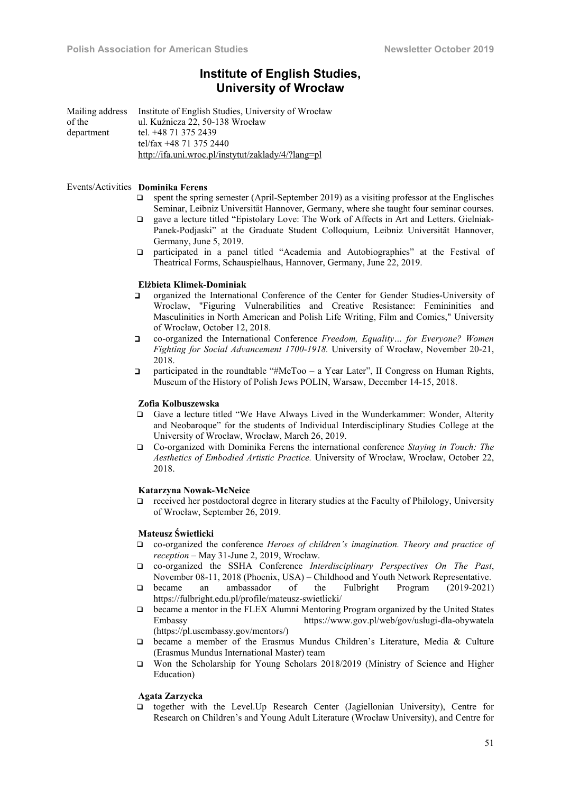# Institute of English Studies, University of Wrocław

Mailing address of the department Institute of English Studies, University of Wrocław ul. Kuźnicza 22, 50-138 Wrocław tel. +48 71 375 2439 tel/fax +48 71 375 2440 http://ifa.uni.wroc.pl/instytut/zaklady/4/?lang=pl

#### Events/Activities Dominika Ferens

- $\Box$  spent the spring semester (April-September 2019) as a visiting professor at the Englisches Seminar, Leibniz Universität Hannover, Germany, where she taught four seminar courses.
- gave a lecture titled "Epistolary Love: The Work of Affects in Art and Letters. Gielniak-Panek-Podjaski" at the Graduate Student Colloquium, Leibniz Universität Hannover, Germany, June 5, 2019.
- participated in a panel titled "Academia and Autobiographies" at the Festival of Theatrical Forms, Schauspielhaus, Hannover, Germany, June 22, 2019.

# Elżbieta Klimek-Dominiak

- organized the International Conference of the Center for Gender Studies-University of Wroclaw, "Figuring Vulnerabilities and Creative Resistance: Femininities and Masculinities in North American and Polish Life Writing, Film and Comics," University of Wrocław, October 12, 2018.
- co-organized the International Conference *Freedom, Equality… for Everyone? Women Fighting for Social Advancement 1700-1918.* University of Wrocław, November 20-21, 2018.
- participated in the roundtable "#MeToo a Year Later", II Congress on Human Rights, Museum of the History of Polish Jews POLIN, Warsaw, December 14-15, 2018.

#### Zofia Kolbuszewska

- Gave a lecture titled "We Have Always Lived in the Wunderkammer: Wonder, Alterity and Neobaroque" for the students of Individual Interdisciplinary Studies College at the University of Wrocław, Wrocław, March 26, 2019.
- Co-organized with Dominika Ferens the international conference *Staying in Touch: The Aesthetics of Embodied Artistic Practice.* University of Wrocław, Wrocław, October 22, 2018.

#### Katarzyna Nowak-McNeice

 received her postdoctoral degree in literary studies at the Faculty of Philology, University of Wrocław, September 26, 2019.

# Mateusz Świetlicki

- co-organized the conference *Heroes of children's imagination. Theory and practice of reception* – May 31-June 2, 2019, Wrocław.
- co-organized the SSHA Conference *Interdisciplinary Perspectives On The Past*, November 08-11, 2018 (Phoenix, USA) – Childhood and Youth Network Representative.
- became an ambassador of the Fulbright Program (2019-2021) https://fulbright.edu.pl/profile/mateusz-swietlicki/
- became a mentor in the FLEX Alumni Mentoring Program organized by the United States Embassy https://www.gov.pl/web/gov/uslugi-dla-obywatela (https://pl.usembassy.gov/mentors/)
- became a member of the Erasmus Mundus Children's Literature, Media & Culture (Erasmus Mundus International Master) team
- Won the Scholarship for Young Scholars 2018/2019 (Ministry of Science and Higher Education)

### Agata Zarzycka

 together with the Level.Up Research Center (Jagiellonian University), Centre for Research on Children's and Young Adult Literature (Wrocław University), and Centre for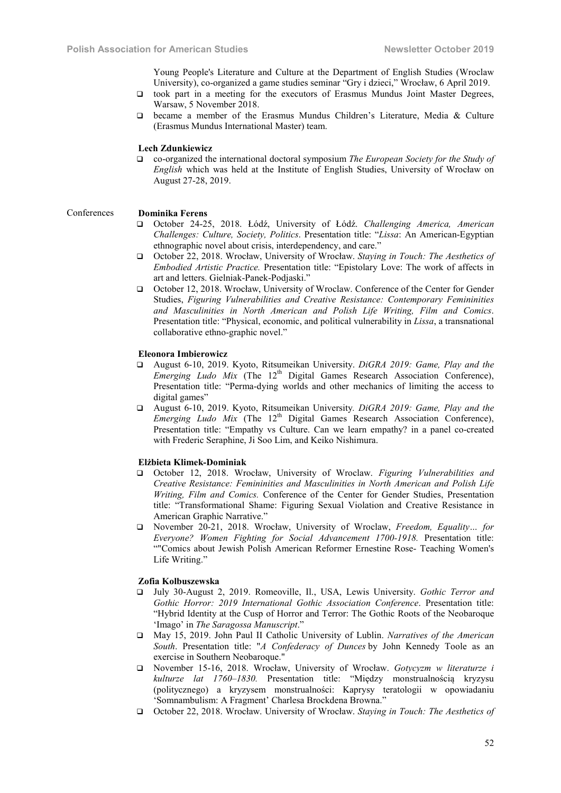Young People's Literature and Culture at the Department of English Studies (Wroclaw University), co-organized a game studies seminar "Gry i dzieci," Wrocław, 6 April 2019.

- took part in a meeting for the executors of Erasmus Mundus Joint Master Degrees, Warsaw, 5 November 2018.
- became a member of the Erasmus Mundus Children's Literature, Media & Culture (Erasmus Mundus International Master) team.

### Lech Zdunkiewicz

 co-organized the international doctoral symposium *The European Society for the Study of English* which was held at the Institute of English Studies, University of Wrocław on August 27-28, 2019.

#### Conferences Dominika Ferens

- October 24-25, 2018. Łódź, University of Łódź. *Challenging America, American Challenges: Culture, Society, Politics*. Presentation title: "*Lissa*: An American-Egyptian ethnographic novel about crisis, interdependency, and care."
- October 22, 2018. Wrocław, University of Wrocław. *Staying in Touch: The Aesthetics of Embodied Artistic Practice.* Presentation title: "Epistolary Love: The work of affects in art and letters. Gielniak-Panek-Podjaski."
- October 12, 2018. Wrocław, University of Wroclaw. Conference of the Center for Gender Studies, *Figuring Vulnerabilities and Creative Resistance: Contemporary Femininities and Masculinities in North American and Polish Life Writing, Film and Comics*. Presentation title: "Physical, economic, and political vulnerability in *Lissa*, a transnational collaborative ethno-graphic novel."

# Eleonora Imbierowicz

- August 6-10, 2019. Kyoto, Ritsumeikan University. *DiGRA 2019: Game, Play and the Emerging Ludo Mix* (The 12<sup>th</sup> Digital Games Research Association Conference), Presentation title: "Perma-dying worlds and other mechanics of limiting the access to digital games"
- August 6-10, 2019. Kyoto, Ritsumeikan University*. DiGRA 2019: Game, Play and the Emerging Ludo Mix* (The 12<sup>th</sup> Digital Games Research Association Conference), Presentation title: "Empathy vs Culture. Can we learn empathy? in a panel co-created with Frederic Seraphine, Ji Soo Lim, and Keiko Nishimura.

#### Elżbieta Klimek-Dominiak

- October 12, 2018. Wrocław, University of Wroclaw. *Figuring Vulnerabilities and Creative Resistance: Femininities and Masculinities in North American and Polish Life Writing, Film and Comics.* Conference of the Center for Gender Studies, Presentation title: "Transformational Shame: Figuring Sexual Violation and Creative Resistance in American Graphic Narrative."
- November 20-21, 2018. Wrocław, University of Wroclaw, *Freedom, Equality… for Everyone? Women Fighting for Social Advancement 1700-1918.* Presentation title: ""Comics about Jewish Polish American Reformer Ernestine Rose- Teaching Women's Life Writing."

### Zofia Kolbuszewska

- July 30-August 2, 2019. Romeoville, Il., USA, Lewis University. *Gothic Terror and Gothic Horror: 2019 International Gothic Association Conference*. Presentation title: "Hybrid Identity at the Cusp of Horror and Terror: The Gothic Roots of the Neobaroque 'Imago' in *The Saragossa Manuscript*."
- May 15, 2019. John Paul II Catholic University of Lublin. *Narratives of the American South*. Presentation title: "*A Confederacy of Dunces* by John Kennedy Toole as an exercise in Southern Neobaroque."
- November 15-16, 2018. Wrocław, University of Wrocław. *Gotycyzm w literaturze i kulturze lat 1760–1830.* Presentation title: "Między monstrualnością kryzysu (politycznego) a kryzysem monstrualności: Kaprysy teratologii w opowiadaniu 'Somnambulism: A Fragment' Charlesa Brockdena Browna."
- October 22, 2018. Wrocław. University of Wrocław. *Staying in Touch: The Aesthetics of*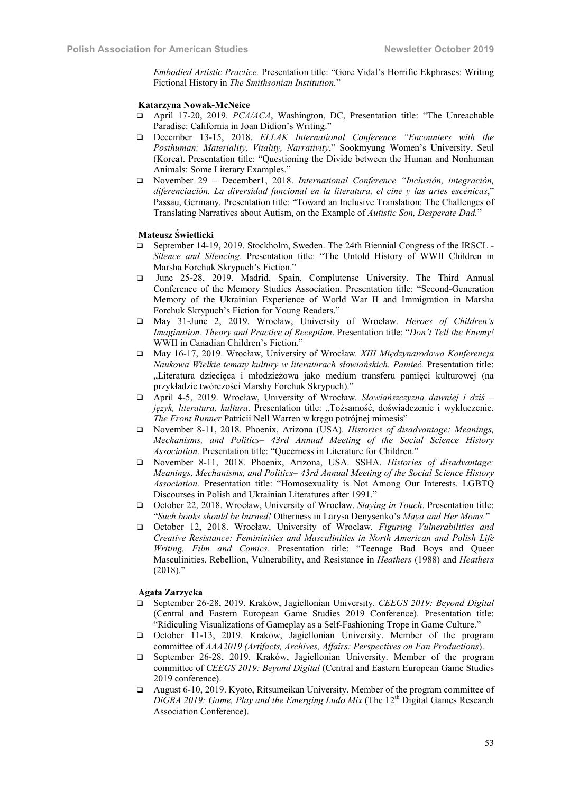*Embodied Artistic Practice.* Presentation title: "Gore Vidal's Horrific Ekphrases: Writing Fictional History in *The Smithsonian Institution.*"

#### Katarzyna Nowak-McNeice

- April 17-20, 2019. *PCA/ACA*, Washington, DC, Presentation title: "The Unreachable Paradise: California in Joan Didion's Writing."
- December 13-15, 2018. *ELLAK International Conference "Encounters with the Posthuman: Materiality, Vitality, Narrativity*," Sookmyung Women's University, Seul (Korea). Presentation title: "Questioning the Divide between the Human and Nonhuman Animals: Some Literary Examples."
- November 29 December1, 2018. *International Conference "Inclusión, integración, diferenciación. La diversidad funcional en la literatura, el cine y las artes escénicas*," Passau, Germany. Presentation title: "Toward an Inclusive Translation: The Challenges of Translating Narratives about Autism, on the Example of *Autistic Son, Desperate Dad.*"

#### Mateusz Świetlicki

- September 14-19, 2019. Stockholm, Sweden. The 24th Biennial Congress of the IRSCL *Silence and Silencing*. Presentation title: "The Untold History of WWII Children in Marsha Forchuk Skrypuch's Fiction."
- June 25-28, 2019. Madrid, Spain, Complutense University. The Third Annual Conference of the Memory Studies Association. Presentation title: "Second-Generation Memory of the Ukrainian Experience of World War II and Immigration in Marsha Forchuk Skrypuch's Fiction for Young Readers."
- May 31-June 2, 2019. Wrocław, University of Wrocław. *Heroes of Children's Imagination. Theory and Practice of Reception*. Presentation title: "*Don't Tell the Enemy!*  WWII in Canadian Children's Fiction."
- May 16-17, 2019. Wrocław, University of Wrocław*. XIII Międzynarodowa Konferencja Naukowa Wielkie tematy kultury w literaturach słowiańskich. Pamieć.* Presentation title: "Literatura dziecięca i młodzieżowa jako medium transferu pamięci kulturowej (na przykładzie twórczości Marshy Forchuk Skrypuch)."
- April 4-5, 2019. Wrocław, University of Wrocław*. Słowiańszczyzna dawniej i dziś –* język, literatura, kultura. Presentation title: "Tożsamość, doświadczenie i wykluczenie. *The Front Runner* Patricii Nell Warren w kręgu potrójnej mimesis"
- November 8-11, 2018. Phoenix, Arizona (USA). *Histories of disadvantage: Meanings, Mechanisms, and Politics– 43rd Annual Meeting of the Social Science History Association.* Presentation title: "Queerness in Literature for Children."
- November 8-11, 2018. Phoenix, Arizona, USA. SSHA. *Histories of disadvantage: Meanings, Mechanisms, and Politics– 43rd Annual Meeting of the Social Science History Association.* Presentation title: "Homosexuality is Not Among Our Interests. LGBTQ Discourses in Polish and Ukrainian Literatures after 1991."
- October 22, 2018. Wrocław, University of Wroclaw. *Staying in Touch*. Presentation title: "*Such books should be burned!* Otherness in Larуsa Denysenko's *Maya and Her Moms.*"
- October 12, 2018. Wrocław, University of Wroclaw. *Figuring Vulnerabilities and Creative Resistance: Femininities and Masculinities in North American and Polish Life Writing, Film and Comics*. Presentation title: "Teenage Bad Boys and Queer Masculinities. Rebellion, Vulnerability, and Resistance in *Heathers* (1988) and *Heathers*  $(2018)$ ."

#### Agata Zarzycka

- September 26-28, 2019. Kraków, Jagiellonian University. *CEEGS 2019: Beyond Digital* (Central and Eastern European Game Studies 2019 Conference). Presentation title: "Ridiculing Visualizations of Gameplay as a Self-Fashioning Trope in Game Culture."
- October 11-13, 2019. Kraków, Jagiellonian University. Member of the program committee of *AAA2019 (Artifacts, Archives, Affairs: Perspectives on Fan Productions*).
- September 26-28, 2019. Kraków, Jagiellonian University. Member of the program committee of *CEEGS 2019: Beyond Digital* (Central and Eastern European Game Studies 2019 conference).
- August 6-10, 2019. Kyoto, Ritsumeikan University. Member of the program committee of *DiGRA 2019: Game, Play and the Emerging Ludo Mix* (The 12<sup>th</sup> Digital Games Research Association Conference).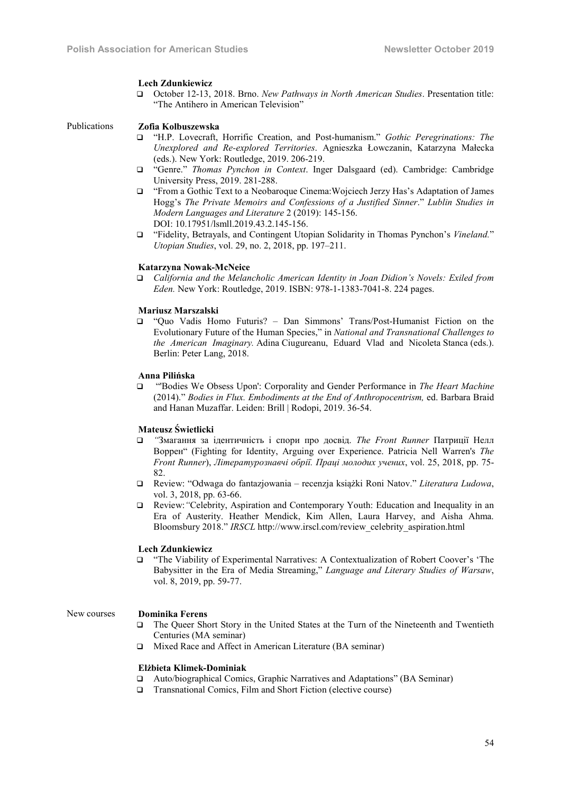#### Lech Zdunkiewicz

 October 12-13, 2018. Brno. *New Pathways in North American Studies*. Presentation title: "The Antihero in American Television"

#### Publications Zofia Kolbuszewska

- "H.P. Lovecraft, Horrific Creation, and Post-humanism." *Gothic Peregrinations: The Unexplored and Re-explored Territories*. Agnieszka Łowczanin, Katarzyna Małecka (eds.). New York: Routledge, 2019. 206-219.
- "Genre." *Thomas Pynchon in Context*. Inger Dalsgaard (ed). Cambridge: Cambridge University Press, 2019. 281-288.
- "From a Gothic Text to a Neobaroque Cinema:Wojciech Jerzy Has's Adaptation of James Hogg's *The Private Memoirs and Confessions of a Justified Sinner*." *Lublin Studies in Modern Languages and Literature* 2 (2019): 145-156. DOI: 10.17951/lsmll.2019.43.2.145-156.
- "Fidelity, Betrayals, and Contingent Utopian Solidarity in Thomas Pynchon's *Vineland.*" *Utopian Studies*, vol. 29, no. 2, 2018, pp. 197–211.

#### Katarzyna Nowak-McNeice

 *California and the Melancholic American Identity in Joan Didion's Novels: Exiled from Eden.* New York: Routledge, 2019. ISBN: 978-1-1383-7041-8. 224 pages.

# Mariusz Marszalski

 "Quo Vadis Homo Futuris? – Dan Simmons' Trans/Post-Humanist Fiction on the Evolutionary Future of the Human Species," in *National and Transnational Challenges to the American Imaginary.* Adina Ciugureanu, Eduard Vlad and Nicoleta Stanca (eds.). Berlin: Peter Lang, 2018.

# Anna Pilińska

 "'Bodies We Obsess Upon': Corporality and Gender Performance in *The Heart Machine* (2014)." *Bodies in Flux. Embodiments at the End of Anthropocentrism,* ed. Barbara Braid and Hanan Muzaffar. Leiden: Brill | Rodopi, 2019. 36-54.

# Mateusz Świetlicki

- *"*Змагання за ідентичність і спори про досвід. *The Front Runner* Патриції Нелл Воррен" (Fighting for Identity, Arguing over Experience. Patricia Nell Warren's *The Front Runner*), *Літературознавчі обрії. Праці молодих учених*, vol. 25, 2018, pp. 75- 82.
- Review: "Odwaga do fantazjowania recenzja książki Roni Natov." *Literatura Ludowa*, vol. 3, 2018, pp. 63-66.
- Review:*"*Celebrity, Aspiration and Contemporary Youth: Education and Inequality in an Era of Austerity. Heather Mendick, Kim Allen, Laura Harvey, and Aisha Ahma. Bloomsbury 2018." *IRSCL* http://www.irscl.com/review\_celebrity\_aspiration.html

#### Lech Zdunkiewicz

 "The Viability of Experimental Narratives: A Contextualization of Robert Coover's 'The Babysitter in the Era of Media Streaming," *Language and Literary Studies of Warsaw*, vol. 8, 2019, pp. 59-77.

# New courses Dominika Ferens

- The Queer Short Story in the United States at the Turn of the Nineteenth and Twentieth Centuries (MA seminar)
- Mixed Race and Affect in American Literature (BA seminar)

#### Elżbieta Klimek-Dominiak

- Auto/biographical Comics, Graphic Narratives and Adaptations" (BA Seminar)
- □ Transnational Comics, Film and Short Fiction (elective course)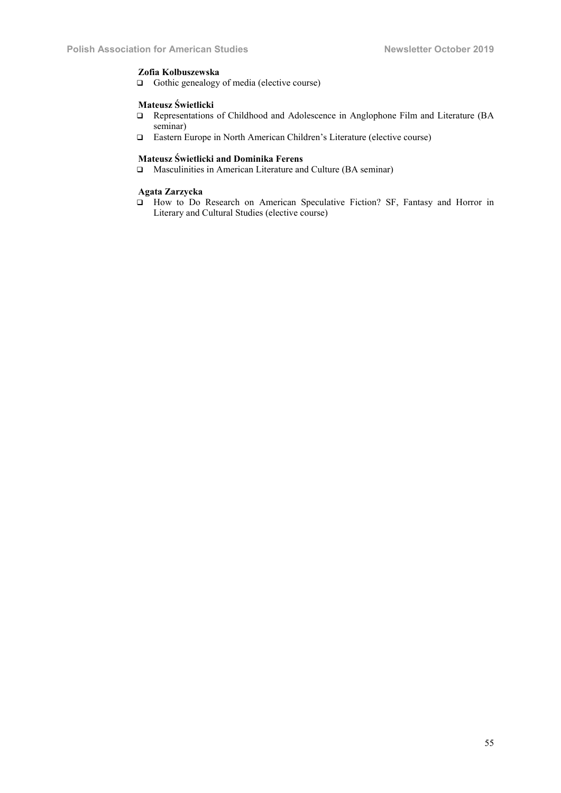# Zofia Kolbuszewska

Gothic genealogy of media (elective course)

### Mateusz Świetlicki

- Representations of Childhood and Adolescence in Anglophone Film and Literature (BA seminar)
- Eastern Europe in North American Children's Literature (elective course)

# Mateusz Świetlicki and Dominika Ferens

Masculinities in American Literature and Culture (BA seminar)

# Agata Zarzycka

 How to Do Research on American Speculative Fiction? SF, Fantasy and Horror in Literary and Cultural Studies (elective course)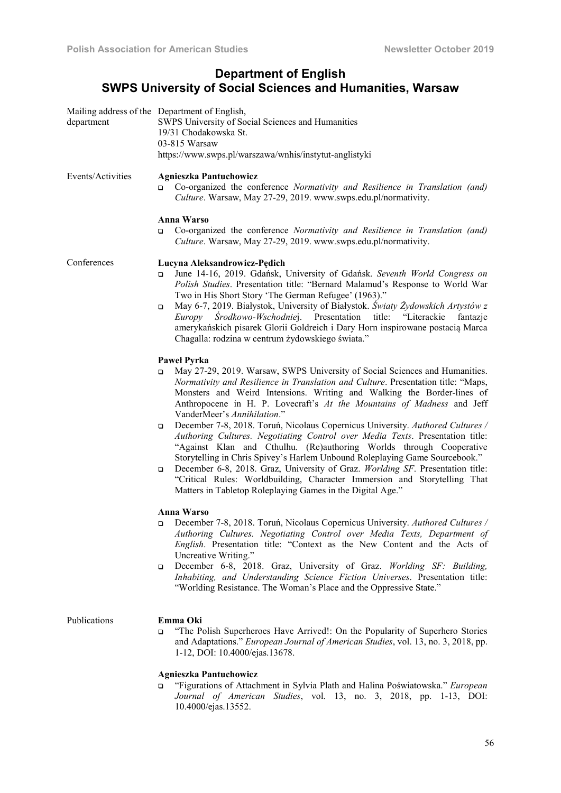# Department of English SWPS University of Social Sciences and Humanities, Warsaw

| department        | Mailing address of the Department of English,<br>SWPS University of Social Sciences and Humanities<br>19/31 Chodakowska St.<br>03-815 Warsaw<br>https://www.swps.pl/warszawa/wnhis/instytut-anglistyki                                                                                                                                                                                                                                                                                                                                                              |
|-------------------|---------------------------------------------------------------------------------------------------------------------------------------------------------------------------------------------------------------------------------------------------------------------------------------------------------------------------------------------------------------------------------------------------------------------------------------------------------------------------------------------------------------------------------------------------------------------|
| Events/Activities | <b>Agnieszka Pantuchowicz</b><br>Co-organized the conference Normativity and Resilience in Translation (and)<br>$\Box$<br>Culture. Warsaw, May 27-29, 2019. www.swps.edu.pl/normativity.                                                                                                                                                                                                                                                                                                                                                                            |
|                   | <b>Anna Warso</b><br>Co-organized the conference Normativity and Resilience in Translation (and)<br>$\Box$<br>Culture. Warsaw, May 27-29, 2019. www.swps.edu.pl/normativity.                                                                                                                                                                                                                                                                                                                                                                                        |
| Conferences       | Lucyna Aleksandrowicz-Pędich<br>June 14-16, 2019. Gdańsk, University of Gdańsk. Seventh World Congress on<br>o<br>Polish Studies. Presentation title: "Bernard Malamud's Response to World War<br>Two in His Short Story 'The German Refugee' (1963)."<br>May 6-7, 2019. Białystok, University of Białystok. Światy Żydowskich Artystów z<br>$\Box$<br>Europy Środkowo-Wschodniej. Presentation title: "Literackie<br>fantazje<br>amerykańskich pisarek Glorii Goldreich i Dary Horn inspirowane postacią Marca<br>Chagalla: rodzina w centrum żydowskiego świata." |
|                   | <b>Pawel Pyrka</b><br>May 27-29, 2019. Warsaw, SWPS University of Social Sciences and Humanities.<br>o<br>Normativity and Resilience in Translation and Culture. Presentation title: "Maps,<br>Monsters and Weird Intensions. Writing and Walking the Border-lines of<br>Anthropocene in H. P. Lovecraft's At the Mountains of Madness and Jeff<br>VanderMeer's Annihilation."                                                                                                                                                                                      |
|                   | December 7-8, 2018. Toruń, Nicolaus Copernicus University. Authored Cultures /<br>o<br>Authoring Cultures. Negotiating Control over Media Texts. Presentation title:<br>"Against Klan and Cthulhu. (Re)authoring Worlds through Cooperative<br>Storytelling in Chris Spivey's Harlem Unbound Roleplaying Game Sourcebook."<br>December 6-8, 2018. Graz, University of Graz. Worlding SF. Presentation title:<br>o<br>"Critical Rules: Worldbuilding, Character Immersion and Storytelling That<br>Matters in Tabletop Roleplaying Games in the Digital Age."        |
|                   | <b>Anna Warso</b><br>December 7-8, 2018. Toruń, Nicolaus Copernicus University. Authored Cultures /<br>$\Box$<br>Authoring Cultures. Negotiating Control over Media Texts, Department of<br>English. Presentation title: "Context as the New Content and the Acts of<br>Uncreative Writing."<br>December 6-8, 2018. Graz, University of Graz. Worlding SF: Building,<br>o<br>Inhabiting, and Understanding Science Fiction Universes. Presentation title:                                                                                                           |
| Publications      | "Worlding Resistance. The Woman's Place and the Oppressive State."<br>Emma Oki<br>"The Polish Superheroes Have Arrived!: On the Popularity of Superhero Stories<br>o<br>and Adaptations." European Journal of American Studies, vol. 13, no. 3, 2018, pp.<br>1-12, DOI: 10.4000/ejas.13678.                                                                                                                                                                                                                                                                         |
|                   | <b>Agnieszka Pantuchowicz</b><br>"Figurations of Attachment in Sylvia Plath and Halina Poświatowska." European<br>Journal of American Studies, vol. 13, no. 3, 2018, pp. 1-13, DOI:<br>10.4000/ejas.13552.                                                                                                                                                                                                                                                                                                                                                          |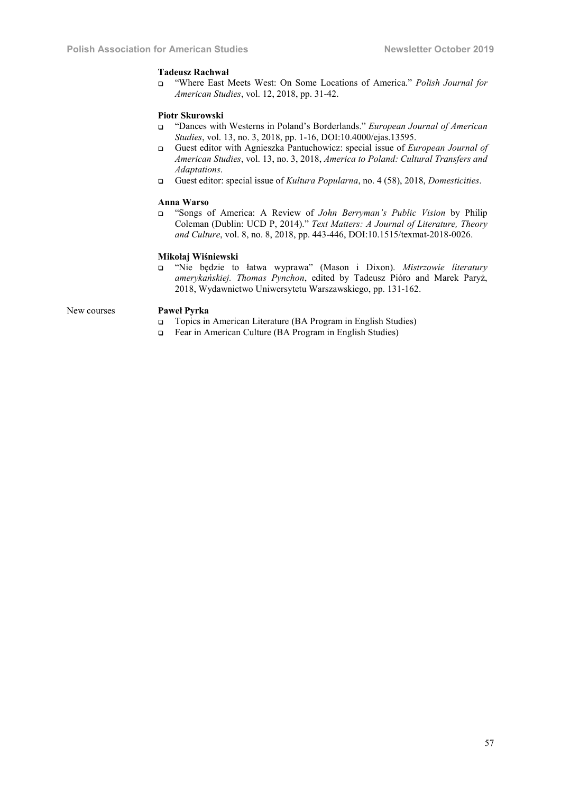### Tadeusz Rachwał

❑ "Where East Meets West: On Some Locations of America." *Polish Journal for American Studies*, vol. 12, 2018, pp. 31-42.

# Piotr Skurowski

- ❑ "Dances with Westerns in Poland's Borderlands." *European Journal of American Studies*, vol. 13, no. 3, 2018, pp. 1-16, DOI:10.4000/ejas.13595.
- ❑ Guest editor with Agnieszka Pantuchowicz: special issue of *European Journal of American Studies*, vol. 13, no. 3, 2018, *America to Poland: Cultural Transfers and Adaptations*.
- ❑ Guest editor: special issue of *Kultura Popularna*, no. 4 (58), 2018, *Domesticities*.

# Anna Warso

❑ "Songs of America: A Review of *John Berryman's Public Vision* by Philip Coleman (Dublin: UCD P, 2014)." *Text Matters: A Journal of Literature, Theory and Culture*, vol. 8, no. 8, 2018, pp. 443-446, DOI:10.1515/texmat-2018-0026.

# Mikołaj Wiśniewski

❑ "Nie będzie to łatwa wyprawa" (Mason i Dixon). *Mistrzowie literatury amerykańskiej. Thomas Pynchon*, edited by Tadeusz Pióro and Marek Paryż, 2018, Wydawnictwo Uniwersytetu Warszawskiego, pp. 131-162.

# New courses Paweł Pyrka

- ❑ Topics in American Literature (BA Program in English Studies)
- ❑ Fear in American Culture (BA Program in English Studies)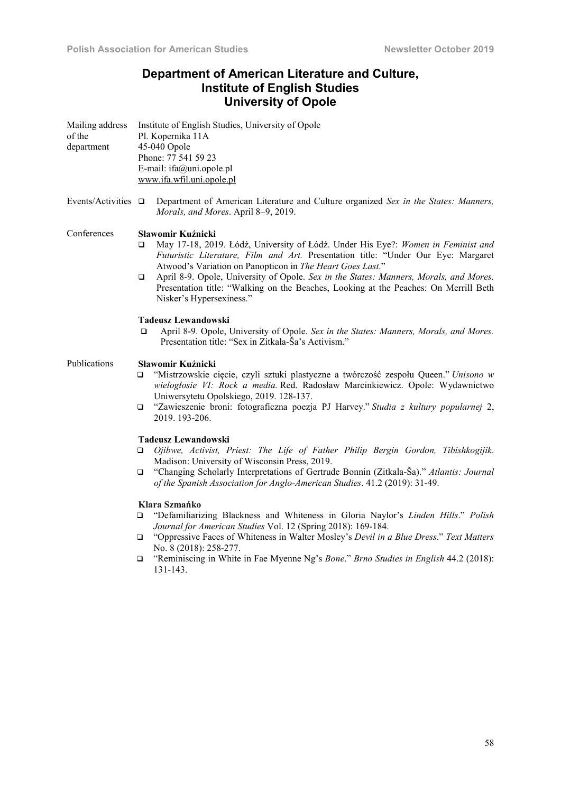# Department of American Literature and Culture, Institute of English Studies University of Opole

| Mailing address<br>of the<br>department | Institute of English Studies, University of Opole<br>Pl. Kopernika 11A<br>45-040 Opole<br>Phone: 77 541 59 23<br>E-mail: ifa@uni.opole.pl<br>www.ifa.wfil.uni.opole.pl                                                                                                                                                                                                                                                                                                         |
|-----------------------------------------|--------------------------------------------------------------------------------------------------------------------------------------------------------------------------------------------------------------------------------------------------------------------------------------------------------------------------------------------------------------------------------------------------------------------------------------------------------------------------------|
| Events/Activities $\Box$                | Department of American Literature and Culture organized Sex in the States: Manners,<br>Morals, and Mores. April 8-9, 2019.                                                                                                                                                                                                                                                                                                                                                     |
| Conferences                             | Sławomir Kuźnicki<br>May 17-18, 2019. Łódź, University of Łódź. Under His Eye?: Women in Feminist and<br>❏<br>Futuristic Literature, Film and Art. Presentation title: "Under Our Eye: Margaret<br>Atwood's Variation on Panopticon in The Heart Goes Last."<br>April 8-9. Opole, University of Opole. Sex in the States: Manners, Morals, and Mores.<br>❏<br>Presentation title: "Walking on the Beaches, Looking at the Peaches: On Merrill Beth<br>Nisker's Hypersexiness." |
|                                         | Tadeusz Lewandowski<br>April 8-9. Opole, University of Opole. Sex in the States: Manners, Morals, and Mores.<br>❏<br>Presentation title: "Sex in Zitkala-Ša's Activism."                                                                                                                                                                                                                                                                                                       |
| Publications                            | Sławomir Kuźnicki<br>"Mistrzowskie cięcie, czyli sztuki plastyczne a twórczość zespołu Queen." Unisono w<br>o.<br>wielogłosie VI: Rock a media Red. Radosław Marcinkiewicz. Opole: Wydawnictwo<br>Uniwersytetu Opolskiego, 2019. 128-137.<br>"Zawieszenie broni: fotograficzna poezja PJ Harvey." Studia z kultury popularnej 2,<br>□<br>2019. 193-206.                                                                                                                        |
|                                         | <b>Tadeusz Lewandowski</b><br>Ojibwe, Activist, Priest: The Life of Father Philip Bergin Gordon, Tibishkogijik.<br>□<br>Madison: University of Wisconsin Press, 2019.<br>"Changing Scholarly Interpretations of Gertrude Bonnin (Zitkala-Ša)." Atlantis: Journal<br>□<br>of the Spanish Association for Anglo-American Studies. 41.2 (2019): 31-49.                                                                                                                            |
|                                         | Klara Szmańko<br>"Defamiliarizing Blackness and Whiteness in Gloria Naylor's Linden Hills." Polish<br>□<br>Journal for American Studies Vol. 12 (Spring 2018): 169-184.<br>"Oppressive Faces of Whiteness in Walter Mosley's Devil in a Blue Dress." Text Matters<br>$\Box$<br>No. 8 (2018): 258-277.<br>"Reminiscing in White in Fae Myenne Ng's Bone." Brno Studies in English 44.2 (2018):<br>$\Box$<br>131-143.                                                            |
|                                         |                                                                                                                                                                                                                                                                                                                                                                                                                                                                                |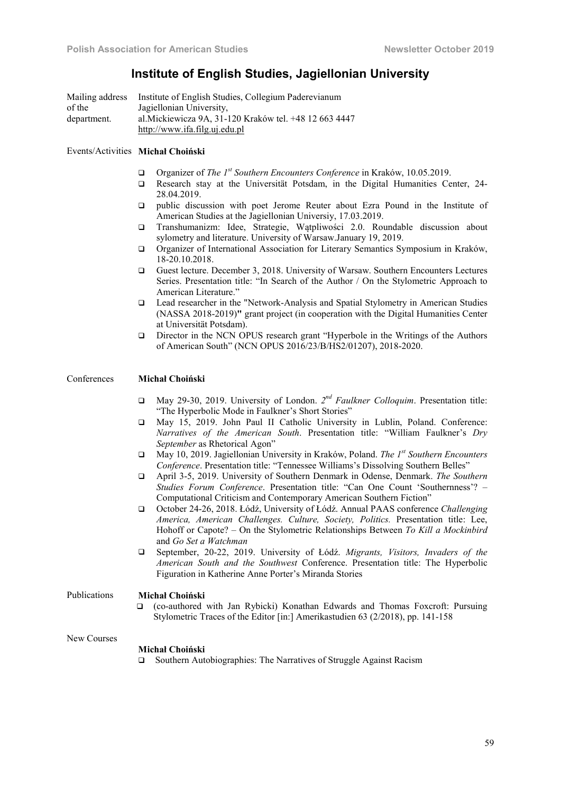# Institute of English Studies, Jagiellonian University

| Mailing address | Institute of English Studies, Collegium Paderevianum   |
|-----------------|--------------------------------------------------------|
| of the          | Jagiellonian University,                               |
| department.     | al. Mickiewicza 9A, 31-120 Kraków tel. +48 12 663 4447 |
|                 | http://www.ifa.filg.uj.edu.pl                          |

# Events/Activities Michał Choiński

- Organizer of *The 1st Southern Encounters Conference* in Kraków, 10.05.2019.
- Research stay at the Universität Potsdam, in the Digital Humanities Center, 24- 28.04.2019.
- public discussion with poet Jerome Reuter about Ezra Pound in the Institute of American Studies at the Jagiellonian Universiy, 17.03.2019.
- Transhumanizm: Idee, Strategie, Wątpliwości 2.0. Roundable discussion about sylometry and literature. University of Warsaw.January 19, 2019.
- Organizer of International Association for Literary Semantics Symposium in Kraków, 18-20.10.2018.
- Guest lecture. December 3, 2018. University of Warsaw. Southern Encounters Lectures Series. Presentation title: "In Search of the Author / On the Stylometric Approach to American Literature."
- Lead researcher in the "Network-Analysis and Spatial Stylometry in American Studies (NASSA 2018-2019)" grant project (in cooperation with the Digital Humanities Center at Universität Potsdam).
- Director in the NCN OPUS research grant "Hyperbole in the Writings of the Authors of American South" (NCN OPUS 2016/23/B/HS2/01207), 2018-2020.

# Conferences Michał Choiński

- May 29-30, 2019. University of London. *2nd Faulkner Colloquim*. Presentation title: "The Hyperbolic Mode in Faulkner's Short Stories"
- May 15, 2019. John Paul II Catholic University in Lublin, Poland. Conference: *Narratives of the American South*. Presentation title: "William Faulkner's *Dry September* as Rhetorical Agon"
- May 10, 2019. Jagiellonian University in Kraków, Poland. *The 1st Southern Encounters Conference*. Presentation title: "Tennessee Williams's Dissolving Southern Belles"
- April 3-5, 2019. University of Southern Denmark in Odense, Denmark. *The Southern Studies Forum Conference*. Presentation title: "Can One Count 'Southernness'? – Computational Criticism and Contemporary American Southern Fiction"
- October 24-26, 2018. Łódź, University of Łódź. Annual PAAS conference *Challenging America, American Challenges. Culture, Society, Politics.* Presentation title: Lee, Hohoff or Capote? – On the Stylometric Relationships Between *To Kill a Mockinbird*  and *Go Set a Watchman*
- September, 20-22, 2019. University of Łódź. *Migrants, Visitors, Invaders of the American South and the Southwest* Conference. Presentation title: The Hyperbolic Figuration in Katherine Anne Porter's Miranda Stories

# Publications Michał Choiński

 (co-authored with Jan Rybicki) Konathan Edwards and Thomas Foxcroft: Pursuing Stylometric Traces of the Editor [in:] Amerikastudien 63 (2/2018), pp. 141-158

#### New Courses

#### Michał Choiński

□ Southern Autobiographies: The Narratives of Struggle Against Racism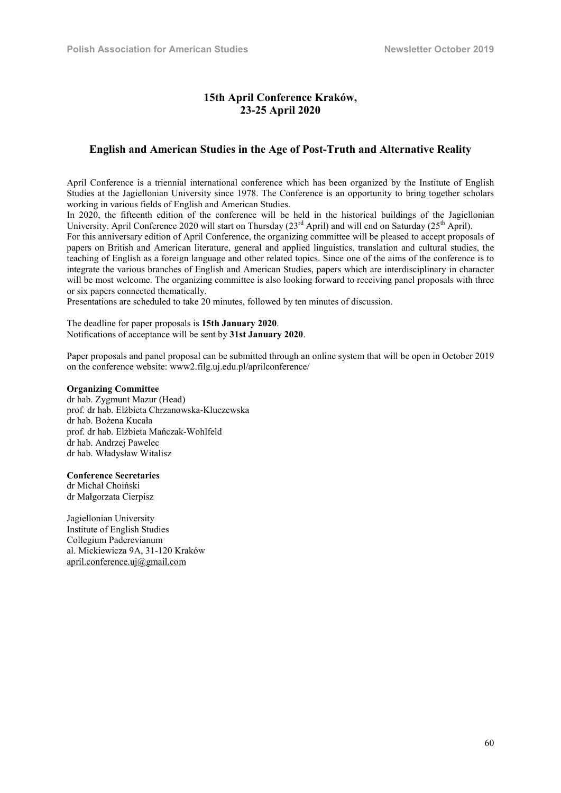# 15th April Conference Kraków, 23-25 April 2020

# English and American Studies in the Age of Post-Truth and Alternative Reality

April Conference is a triennial international conference which has been organized by the Institute of English Studies at the Jagiellonian University since 1978. The Conference is an opportunity to bring together scholars working in various fields of English and American Studies.

In 2020, the fifteenth edition of the conference will be held in the historical buildings of the Jagiellonian University. April Conference 2020 will start on Thursday (23<sup>rd</sup> April) and will end on Saturday (25<sup>th</sup> April).

For this anniversary edition of April Conference, the organizing committee will be pleased to accept proposals of papers on British and American literature, general and applied linguistics, translation and cultural studies, the teaching of English as a foreign language and other related topics. Since one of the aims of the conference is to integrate the various branches of English and American Studies, papers which are interdisciplinary in character will be most welcome. The organizing committee is also looking forward to receiving panel proposals with three or six papers connected thematically.

Presentations are scheduled to take 20 minutes, followed by ten minutes of discussion.

The deadline for paper proposals is 15th January 2020. Notifications of acceptance will be sent by 31st January 2020.

Paper proposals and panel proposal can be submitted through an online system that will be open in October 2019 on the conference website: www2.filg.uj.edu.pl/aprilconference/

# Organizing Committee

dr hab. Zygmunt Mazur (Head) prof. dr hab. Elżbieta Chrzanowska-Kluczewska dr hab. Bożena Kucała prof. dr hab. Elżbieta Mańczak-Wohlfeld dr hab. Andrzej Pawelec dr hab. Władysław Witalisz

# Conference Secretaries

dr Michał Choiński dr Małgorzata Cierpisz

Jagiellonian University Institute of English Studies Collegium Paderevianum al. Mickiewicza 9A, 31-120 Kraków april.conference.uj@gmail.com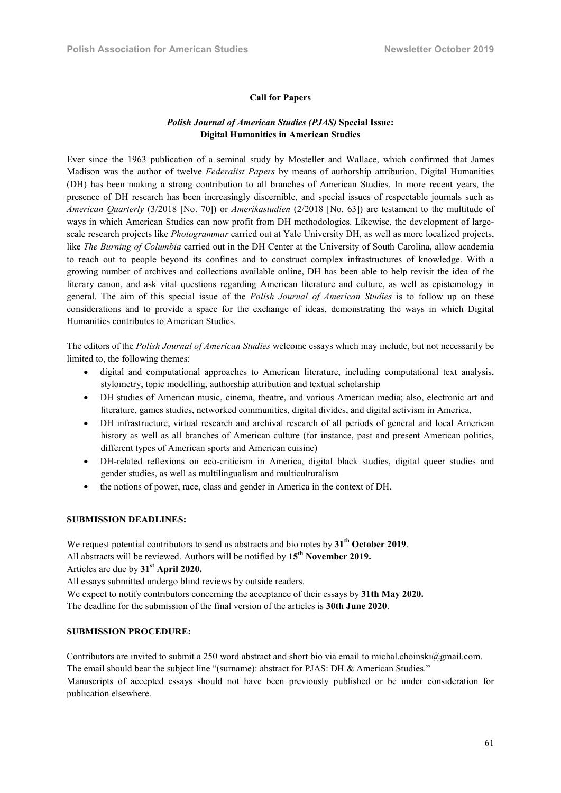#### Call for Papers

# *Polish Journal of American Studies (PJAS)* Special Issue: Digital Humanities in American Studies

Ever since the 1963 publication of a seminal study by Mosteller and Wallace, which confirmed that James Madison was the author of twelve *Federalist Papers* by means of authorship attribution, Digital Humanities (DH) has been making a strong contribution to all branches of American Studies. In more recent years, the presence of DH research has been increasingly discernible, and special issues of respectable journals such as *American Quarterly* (3/2018 [No. 70]) or *Amerikastudien* (2/2018 [No. 63]) are testament to the multitude of ways in which American Studies can now profit from DH methodologies. Likewise, the development of largescale research projects like *Photogrammar* carried out at Yale University DH, as well as more localized projects, like *The Burning of Columbia* carried out in the DH Center at the University of South Carolina, allow academia to reach out to people beyond its confines and to construct complex infrastructures of knowledge. With a growing number of archives and collections available online, DH has been able to help revisit the idea of the literary canon, and ask vital questions regarding American literature and culture, as well as epistemology in general. The aim of this special issue of the *Polish Journal of American Studies* is to follow up on these considerations and to provide a space for the exchange of ideas, demonstrating the ways in which Digital Humanities contributes to American Studies.

The editors of the *Polish Journal of American Studies* welcome essays which may include, but not necessarily be limited to, the following themes:

- digital and computational approaches to American literature, including computational text analysis, stylometry, topic modelling, authorship attribution and textual scholarship
- DH studies of American music, cinema, theatre, and various American media; also, electronic art and literature, games studies, networked communities, digital divides, and digital activism in America,
- DH infrastructure, virtual research and archival research of all periods of general and local American history as well as all branches of American culture (for instance, past and present American politics, different types of American sports and American cuisine)
- DH-related reflexions on eco-criticism in America, digital black studies, digital queer studies and gender studies, as well as multilingualism and multiculturalism
- the notions of power, race, class and gender in America in the context of DH.

#### SUBMISSION DEADLINES:

We request potential contributors to send us abstracts and bio notes by  $31<sup>th</sup>$  October 2019. All abstracts will be reviewed. Authors will be notified by 15<sup>th</sup> November 2019. Articles are due by  $31<sup>st</sup>$  April 2020.

All essays submitted undergo blind reviews by outside readers.

We expect to notify contributors concerning the acceptance of their essays by 31th May 2020. The deadline for the submission of the final version of the articles is 30th June 2020.

### SUBMISSION PROCEDURE:

Contributors are invited to submit a 250 word abstract and short bio via email to michal.choinski@gmail.com. The email should bear the subject line "(surname): abstract for PJAS: DH & American Studies." Manuscripts of accepted essays should not have been previously published or be under consideration for publication elsewhere.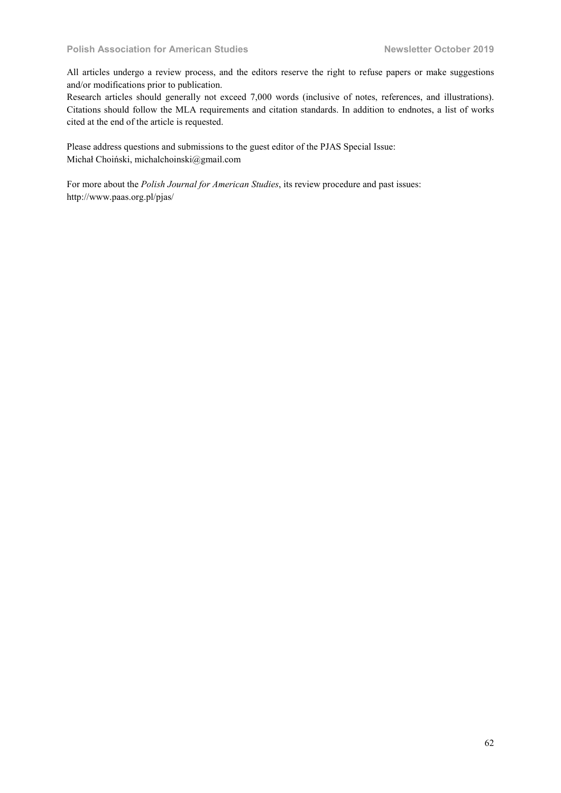All articles undergo a review process, and the editors reserve the right to refuse papers or make suggestions and/or modifications prior to publication.

Research articles should generally not exceed 7,000 words (inclusive of notes, references, and illustrations). Citations should follow the MLA requirements and citation standards. In addition to endnotes, a list of works cited at the end of the article is requested.

Please address questions and submissions to the guest editor of the PJAS Special Issue: Michał Choiński, michalchoinski@gmail.com

For more about the *Polish Journal for American Studies*, its review procedure and past issues: http://www.paas.org.pl/pjas/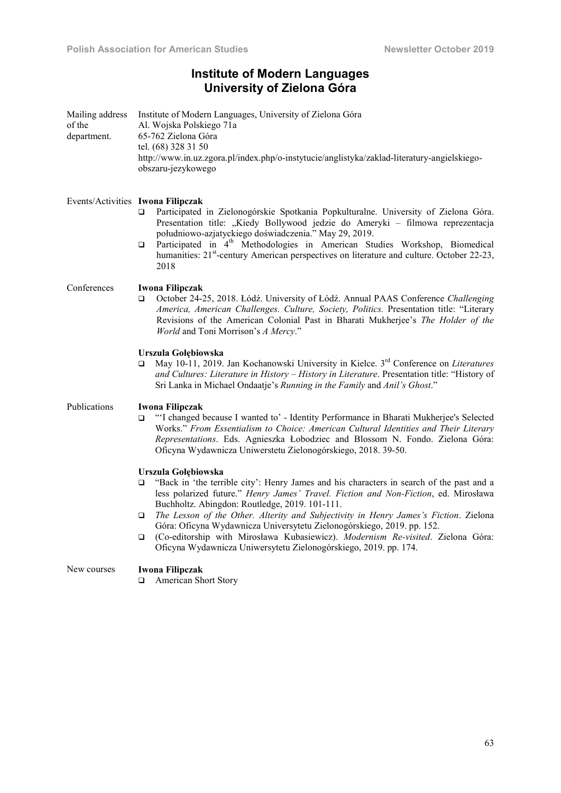# Institute of Modern Languages University of Zielona Góra

| Mailing address<br>of the<br>department. | Institute of Modern Languages, University of Zielona Góra<br>Al. Wojska Polskiego 71a<br>65-762 Zielona Góra<br>tel. (68) 328 31 50<br>http://www.in.uz.zgora.pl/index.php/o-instytucie/anglistyka/zaklad-literatury-angielskiego-<br>obszaru-jezykowego                                                                                                                                                                                                                                                                                                                                                        |
|------------------------------------------|-----------------------------------------------------------------------------------------------------------------------------------------------------------------------------------------------------------------------------------------------------------------------------------------------------------------------------------------------------------------------------------------------------------------------------------------------------------------------------------------------------------------------------------------------------------------------------------------------------------------|
|                                          | Events/Activities Iwona Filipczak<br>Participated in Zielonogórskie Spotkania Popkulturalne. University of Zielona Góra.<br>$\Box$<br>Presentation title: "Kiedy Bollywood jedzie do Ameryki - filmowa reprezentacja<br>południowo-azjatyckiego doświadczenia." May 29, 2019.<br>Participated in 4 <sup>th</sup> Methodologies in American Studies Workshop, Biomedical<br>$\Box$<br>humanities: 21 <sup>st</sup> -century American perspectives on literature and culture. October 22-23,<br>2018                                                                                                              |
| Conferences                              | Iwona Filipczak<br>October 24-25, 2018. Łódź. University of Łódź. Annual PAAS Conference Challenging<br>□<br>America, American Challenges. Culture, Society, Politics. Presentation title: "Literary<br>Revisions of the American Colonial Past in Bharati Mukherjee's The Holder of the<br>World and Toni Morrison's A Mercy."                                                                                                                                                                                                                                                                                 |
|                                          | Urszula Gołębiowska<br>May 10-11, 2019. Jan Kochanowski University in Kielce. 3 <sup>rd</sup> Conference on Literatures<br>▫<br>and Cultures: Literature in History - History in Literature. Presentation title: "History of<br>Sri Lanka in Michael Ondaatje's Running in the Family and Anil's Ghost."                                                                                                                                                                                                                                                                                                        |
| Publications                             | Iwona Filipczak<br>"I changed because I wanted to' - Identity Performance in Bharati Mukherjee's Selected<br>$\Box$<br>Works." From Essentialism to Choice: American Cultural Identities and Their Literary<br>Representations. Eds. Agnieszka Łobodziec and Blossom N. Fondo. Zielona Góra:<br>Oficyna Wydawnicza Uniwerstetu Zielonogórskiego, 2018. 39-50.                                                                                                                                                                                                                                                   |
|                                          | Urszula Gołębiowska<br>"Back in 'the terrible city': Henry James and his characters in search of the past and a<br>$\Box$<br>less polarized future." Henry James' Travel. Fiction and Non-Fiction, ed. Mirosława<br>Buchholtz. Abingdon: Routledge, 2019. 101-111.<br>The Lesson of the Other. Alterity and Subjectivity in Henry James's Fiction. Zielona<br>$\Box$<br>Góra: Oficyna Wydawnicza Universytetu Zielonogórskiego, 2019. pp. 152.<br>(Co-editorship with Mirosława Kubasiewicz). Modernism Re-visited. Zielona Góra:<br>$\Box$<br>Oficyna Wydawnicza Uniwersytetu Zielonogórskiego, 2019. pp. 174. |
| New courses                              | Iwona Filipczak<br>American Short Story<br>□                                                                                                                                                                                                                                                                                                                                                                                                                                                                                                                                                                    |